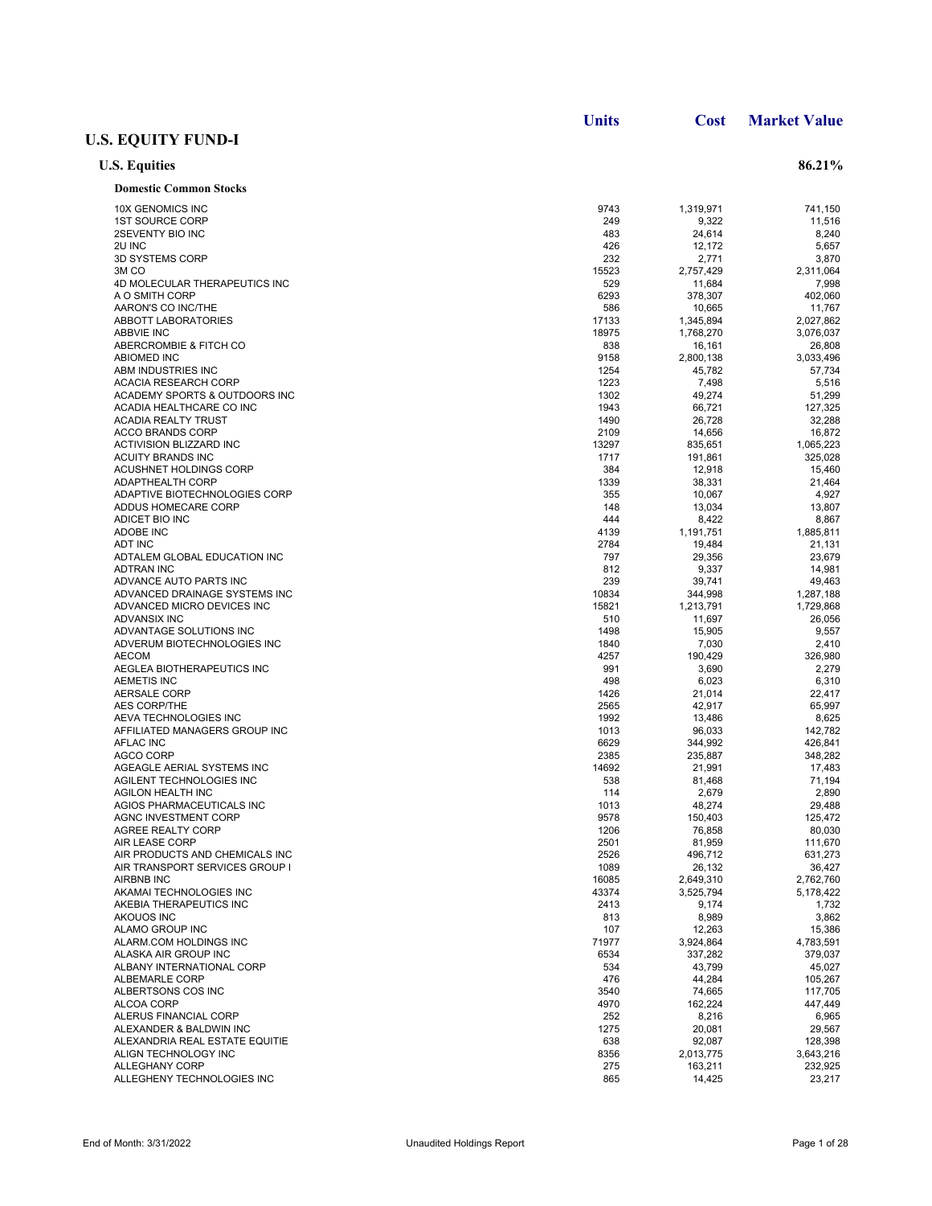|                                                   | <b>Units</b> | Cost              | <b>Market Value</b> |
|---------------------------------------------------|--------------|-------------------|---------------------|
| <b>U.S. EQUITY FUND-I</b>                         |              |                   |                     |
| <b>U.S. Equities</b>                              |              |                   | 86.21%              |
| <b>Domestic Common Stocks</b>                     |              |                   |                     |
| <b>10X GENOMICS INC</b>                           | 9743         | 1,319,971         | 741,150             |
| <b>1ST SOURCE CORP</b>                            | 249          | 9,322             | 11,516              |
| 2SEVENTY BIO INC                                  | 483          | 24,614            | 8,240               |
| 2U INC                                            | 426          | 12,172            | 5,657               |
| 3D SYSTEMS CORP                                   | 232          | 2,771             | 3,870               |
| 3M <sub>CO</sub>                                  | 15523        | 2,757,429         | 2,311,064           |
| 4D MOLECULAR THERAPEUTICS INC<br>A O SMITH CORP   | 529<br>6293  | 11,684            | 7,998               |
| AARON'S CO INC/THE                                | 586          | 378,307<br>10,665 | 402,060<br>11,767   |
| <b>ABBOTT LABORATORIES</b>                        | 17133        | 1,345,894         | 2,027,862           |
| <b>ABBVIE INC</b>                                 | 18975        | 1,768,270         | 3,076,037           |
| ABERCROMBIE & FITCH CO                            | 838          | 16,161            | 26,808              |
| <b>ABIOMED INC</b>                                | 9158         | 2,800,138         | 3,033,496           |
| ABM INDUSTRIES INC                                | 1254         | 45,782            | 57,734              |
| <b>ACACIA RESEARCH CORP</b>                       | 1223         | 7,498             | 5,516               |
| ACADEMY SPORTS & OUTDOORS INC                     | 1302         | 49,274            | 51,299              |
| ACADIA HEALTHCARE CO INC                          | 1943         | 66,721            | 127,325             |
| <b>ACADIA REALTY TRUST</b>                        | 1490         | 26,728            | 32,288              |
| <b>ACCO BRANDS CORP</b>                           | 2109         | 14,656            | 16,872              |
| <b>ACTIVISION BLIZZARD INC</b>                    | 13297        | 835,651           | 1,065,223           |
| ACUITY BRANDS INC                                 | 1717         | 191,861           | 325,028             |
| ACUSHNET HOLDINGS CORP                            | 384          | 12,918            | 15,460              |
| <b>ADAPTHEALTH CORP</b>                           | 1339         | 38,331            | 21,464              |
| ADAPTIVE BIOTECHNOLOGIES CORP                     | 355          | 10,067            | 4,927               |
| ADDUS HOMECARE CORP                               | 148          | 13,034            | 13,807              |
| ADICET BIO INC                                    | 444          | 8,422             | 8,867               |
| <b>ADOBE INC</b>                                  | 4139         | 1,191,751         | 1,885,811           |
| <b>ADT INC</b>                                    | 2784         | 19,484            | 21,131              |
| ADTALEM GLOBAL EDUCATION INC                      | 797          | 29,356            | 23,679              |
| <b>ADTRAN INC</b>                                 | 812          | 9,337             | 14,981              |
| ADVANCE AUTO PARTS INC                            | 239          | 39,741            | 49,463              |
| ADVANCED DRAINAGE SYSTEMS INC                     | 10834        | 344,998           | 1,287,188           |
| ADVANCED MICRO DEVICES INC                        | 15821        | 1,213,791         | 1,729,868           |
| <b>ADVANSIX INC</b>                               | 510          | 11,697            | 26,056              |
| ADVANTAGE SOLUTIONS INC                           | 1498         | 15,905            | 9,557               |
| ADVERUM BIOTECHNOLOGIES INC                       | 1840         | 7,030             | 2,410               |
| <b>AECOM</b>                                      | 4257         | 190,429           | 326,980             |
| AEGLEA BIOTHERAPEUTICS INC                        | 991          | 3,690             | 2,279               |
| <b>AEMETIS INC</b>                                | 498          | 6,023             | 6,310               |
| <b>AERSALE CORP</b>                               | 1426         | 21,014            | 22,417              |
| <b>AES CORP/THE</b>                               | 2565         | 42,917            | 65,997              |
| AEVA TECHNOLOGIES INC                             | 1992<br>1013 | 13,486            | 8,625               |
| AFFILIATED MANAGERS GROUP INC<br><b>AFLAC INC</b> | 6629         | 96,033<br>344,992 | 142,782<br>426,841  |
| AGCO CORP                                         | 2385         | 235,887           | 348,282             |
| AGEAGLE AERIAL SYSTEMS INC                        | 14692        | 21,991            | 17,483              |
| AGILENT TECHNOLOGIES INC                          | 538          | 81,468            | 71,194              |
| <b>AGILON HEALTH INC</b>                          | 114          | 2,679             | 2,890               |
| AGIOS PHARMACEUTICALS INC                         | 1013         | 48,274            | 29,488              |
| AGNC INVESTMENT CORP                              | 9578         | 150,403           | 125,472             |
| AGREE REALTY CORP                                 | 1206         | 76,858            | 80,030              |
| <b>AIR LEASE CORP</b>                             | 2501         | 81,959            | 111,670             |
| AIR PRODUCTS AND CHEMICALS INC                    | 2526         | 496,712           | 631,273             |
| AIR TRANSPORT SERVICES GROUP I                    | 1089         | 26,132            | 36,427              |
| AIRBNB INC                                        | 16085        | 2,649,310         | 2,762,760           |
| AKAMAI TECHNOLOGIES INC                           | 43374        | 3,525,794         | 5,178,422           |
| AKEBIA THERAPEUTICS INC                           | 2413         | 9,174             | 1,732               |
| AKOUOS INC                                        | 813          | 8,989             | 3,862               |
| ALAMO GROUP INC                                   | 107          | 12,263            | 15,386              |
| ALARM.COM HOLDINGS INC                            | 71977        | 3,924,864         | 4,783,591           |
| ALASKA AIR GROUP INC                              | 6534         | 337,282           | 379,037             |
| ALBANY INTERNATIONAL CORP                         | 534          | 43,799            | 45,027              |
| ALBEMARLE CORP                                    | 476          | 44,284            | 105,267             |
| ALBERTSONS COS INC                                | 3540         | 74,665            | 117,705             |
| ALCOA CORP                                        | 4970         | 162,224           | 447,449             |
| ALERUS FINANCIAL CORP                             | 252          | 8,216             | 6,965               |
| ALEXANDER & BALDWIN INC                           | 1275         | 20,081            | 29,567              |
| ALEXANDRIA REAL ESTATE EQUITIE                    | 638          | 92,087            | 128,398             |
| ALIGN TECHNOLOGY INC                              | 8356         | 2,013,775         | 3,643,216           |
| <b>ALLEGHANY CORP</b>                             | 275          | 163,211           | 232,925             |
| ALLEGHENY TECHNOLOGIES INC                        | 865          | 14,425            | 23,217              |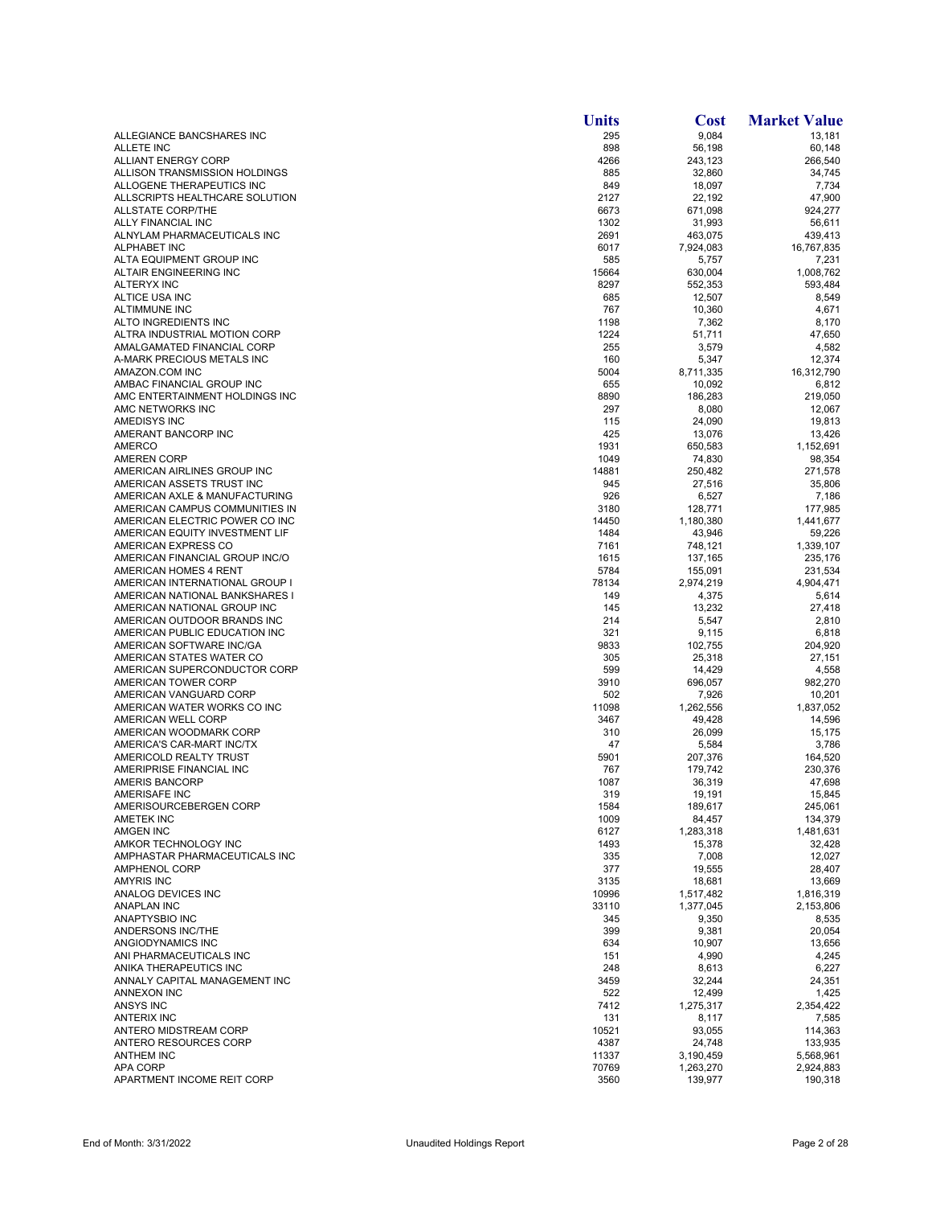|                                                                  | <b>Units</b>  | <b>Cost</b>        | <b>Market Value</b> |
|------------------------------------------------------------------|---------------|--------------------|---------------------|
| ALLEGIANCE BANCSHARES INC                                        | 295           | 9,084              | 13,181              |
| <b>ALLETE INC</b>                                                | 898           | 56,198             | 60,148              |
| ALLIANT ENERGY CORP<br>ALLISON TRANSMISSION HOLDINGS             | 4266<br>885   | 243,123<br>32,860  | 266,540<br>34,745   |
| ALLOGENE THERAPEUTICS INC                                        | 849           | 18,097             | 7,734               |
| ALLSCRIPTS HEALTHCARE SOLUTION                                   | 2127          | 22,192             | 47,900              |
| <b>ALLSTATE CORP/THE</b>                                         | 6673          | 671,098            | 924.277             |
| ALLY FINANCIAL INC                                               | 1302          | 31,993             | 56,611              |
| ALNYLAM PHARMACEUTICALS INC                                      | 2691          | 463,075            | 439,413             |
| ALPHABET INC<br>ALTA EQUIPMENT GROUP INC                         | 6017<br>585   | 7,924,083          | 16,767,835<br>7,231 |
| ALTAIR ENGINEERING INC                                           | 15664         | 5,757<br>630,004   | 1,008,762           |
| <b>ALTERYX INC</b>                                               | 8297          | 552,353            | 593,484             |
| ALTICE USA INC                                                   | 685           | 12,507             | 8,549               |
| <b>ALTIMMUNE INC</b>                                             | 767           | 10,360             | 4,671               |
| ALTO INGREDIENTS INC                                             | 1198          | 7,362              | 8,170               |
| ALTRA INDUSTRIAL MOTION CORP                                     | 1224          | 51,711             | 47,650              |
| AMALGAMATED FINANCIAL CORP<br>A-MARK PRECIOUS METALS INC         | 255<br>160    | 3,579              | 4,582<br>12,374     |
| AMAZON.COM INC                                                   | 5004          | 5,347<br>8,711,335 | 16,312,790          |
| AMBAC FINANCIAL GROUP INC                                        | 655           | 10,092             | 6,812               |
| AMC ENTERTAINMENT HOLDINGS INC                                   | 8890          | 186,283            | 219,050             |
| AMC NETWORKS INC                                                 | 297           | 8,080              | 12,067              |
| AMEDISYS INC                                                     | 115           | 24,090             | 19,813              |
| AMERANT BANCORP INC                                              | 425           | 13,076             | 13,426              |
| <b>AMERCO</b>                                                    | 1931          | 650,583            | 1,152,691           |
| <b>AMEREN CORP</b>                                               | 1049          | 74,830             | 98,354              |
| AMERICAN AIRLINES GROUP INC<br>AMERICAN ASSETS TRUST INC         | 14881<br>945  | 250,482<br>27,516  | 271,578<br>35,806   |
| AMERICAN AXLE & MANUFACTURING                                    | 926           | 6,527              | 7,186               |
| AMERICAN CAMPUS COMMUNITIES IN                                   | 3180          | 128,771            | 177,985             |
| AMERICAN ELECTRIC POWER CO INC                                   | 14450         | 1,180,380          | 1,441,677           |
| AMERICAN EQUITY INVESTMENT LIF                                   | 1484          | 43,946             | 59,226              |
| AMERICAN EXPRESS CO                                              | 7161          | 748,121            | 1,339,107           |
| AMERICAN FINANCIAL GROUP INC/O                                   | 1615          | 137,165            | 235,176             |
| AMERICAN HOMES 4 RENT                                            | 5784          | 155,091            | 231,534             |
| AMERICAN INTERNATIONAL GROUP I<br>AMERICAN NATIONAL BANKSHARES I | 78134<br>149  | 2,974,219<br>4,375 | 4,904,471<br>5,614  |
| AMERICAN NATIONAL GROUP INC                                      | 145           | 13,232             | 27,418              |
| AMERICAN OUTDOOR BRANDS INC                                      | 214           | 5,547              | 2,810               |
| AMERICAN PUBLIC EDUCATION INC                                    | 321           | 9,115              | 6,818               |
| AMERICAN SOFTWARE INC/GA                                         | 9833          | 102,755            | 204,920             |
| AMERICAN STATES WATER CO                                         | 305           | 25,318             | 27,151              |
| AMERICAN SUPERCONDUCTOR CORP                                     | 599           | 14,429             | 4,558               |
| AMERICAN TOWER CORP                                              | 3910<br>502   | 696,057            | 982,270             |
| AMERICAN VANGUARD CORP<br>AMERICAN WATER WORKS CO INC            | 11098         | 7,926<br>1,262,556 | 10,201<br>1,837,052 |
| AMERICAN WELL CORP                                               | 3467          | 49,428             | 14,596              |
| AMERICAN WOODMARK CORP                                           | 310           | 26,099             | 15,175              |
| AMERICA'S CAR-MART INC/TX                                        | 47            | 5,584              | 3,786               |
| AMERICOLD REALTY TRUST                                           | 5901          | 207,376            | 164,520             |
| AMERIPRISE FINANCIAL INC                                         | 767           | 179,742            | 230,376             |
| <b>AMERIS BANCORP</b>                                            | 1087          | 36,319             | 47,698              |
| AMERISAFE INC                                                    | 319           | 19,191             | 15,845              |
| AMERISOURCEBERGEN CORP<br><b>AMETEK INC</b>                      | 1584<br>1009  | 189,617<br>84,457  | 245,061<br>134,379  |
| <b>AMGEN INC</b>                                                 | 6127          | 1,283,318          | 1,481,631           |
| AMKOR TECHNOLOGY INC                                             | 1493          | 15,378             | 32,428              |
| AMPHASTAR PHARMACEUTICALS INC                                    | 335           | 7,008              | 12,027              |
| <b>AMPHENOL CORP</b>                                             | 377           | 19,555             | 28,407              |
| <b>AMYRIS INC</b>                                                | 3135          | 18,681             | 13,669              |
| ANALOG DEVICES INC                                               | 10996         | 1,517,482          | 1,816,319           |
| <b>ANAPLAN INC</b>                                               | 33110         | 1,377,045          | 2,153,806           |
| ANAPTYSBIO INC<br><b>ANDERSONS INC/THE</b>                       | 345<br>399    | 9,350<br>9,381     | 8,535<br>20,054     |
| ANGIODYNAMICS INC                                                | 634           | 10,907             | 13,656              |
| ANI PHARMACEUTICALS INC                                          | 151           | 4,990              | 4,245               |
| ANIKA THERAPEUTICS INC                                           | 248           | 8,613              | 6,227               |
| ANNALY CAPITAL MANAGEMENT INC                                    | 3459          | 32,244             | 24,351              |
| ANNEXON INC                                                      | 522           | 12,499             | 1,425               |
| ANSYS INC                                                        | 7412          | 1,275,317          | 2,354,422           |
| <b>ANTERIX INC</b>                                               | 131           | 8,117              | 7,585               |
| ANTERO MIDSTREAM CORP<br>ANTERO RESOURCES CORP                   | 10521<br>4387 | 93,055<br>24,748   | 114,363<br>133,935  |
| <b>ANTHEM INC</b>                                                | 11337         | 3,190,459          | 5,568,961           |
| <b>APA CORP</b>                                                  | 70769         | 1,263,270          | 2,924,883           |
| APARTMENT INCOME REIT CORP                                       | 3560          | 139,977            | 190,318             |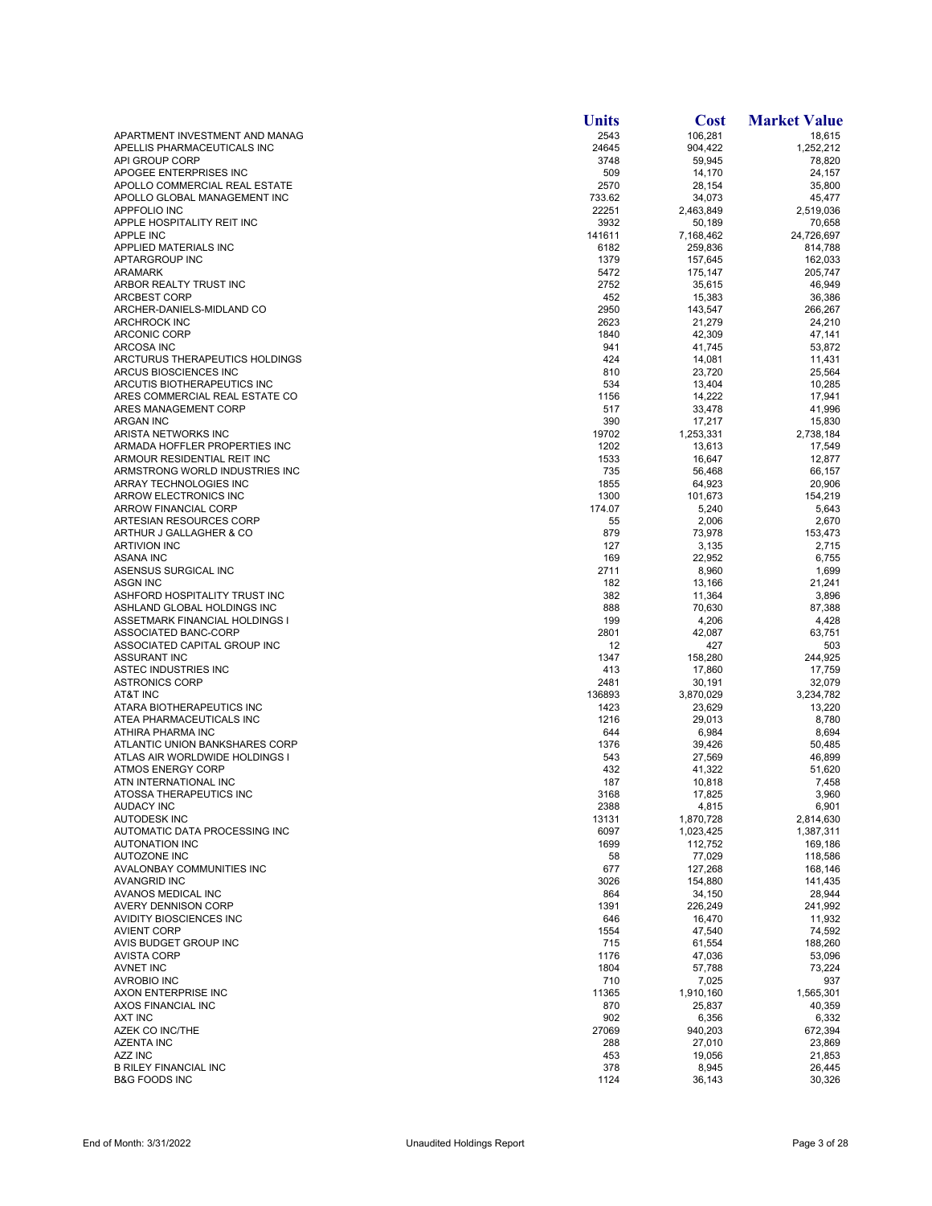|                                                              | <b>Units</b>    | Cost                | <b>Market Value</b> |
|--------------------------------------------------------------|-----------------|---------------------|---------------------|
| APARTMENT INVESTMENT AND MANAG                               | 2543            | 106,281             | 18,615              |
| APELLIS PHARMACEUTICALS INC                                  | 24645           | 904,422             | 1,252,212           |
| API GROUP CORP                                               | 3748            | 59,945              | 78,820              |
| APOGEE ENTERPRISES INC                                       | 509             | 14,170              | 24,157              |
| APOLLO COMMERCIAL REAL ESTATE                                | 2570            | 28,154              | 35,800              |
| APOLLO GLOBAL MANAGEMENT INC<br><b>APPFOLIO INC</b>          | 733.62<br>22251 | 34,073<br>2,463,849 | 45,477<br>2,519,036 |
| APPLE HOSPITALITY REIT INC                                   | 3932            | 50,189              | 70,658              |
| <b>APPLE INC</b>                                             | 141611          | 7,168,462           | 24,726,697          |
| APPLIED MATERIALS INC                                        | 6182            | 259,836             | 814,788             |
| APTARGROUP INC                                               | 1379            | 157,645             | 162,033             |
| <b>ARAMARK</b>                                               | 5472            | 175,147             | 205,747             |
| ARBOR REALTY TRUST INC                                       | 2752            | 35,615              | 46,949              |
| <b>ARCBEST CORP</b>                                          | 452             | 15,383              | 36,386              |
| ARCHER-DANIELS-MIDLAND CO<br><b>ARCHROCK INC</b>             | 2950            | 143,547             | 266,267             |
| <b>ARCONIC CORP</b>                                          | 2623<br>1840    | 21,279<br>42,309    | 24,210<br>47,141    |
| <b>ARCOSA INC</b>                                            | 941             | 41,745              | 53,872              |
| ARCTURUS THERAPEUTICS HOLDINGS                               | 424             | 14,081              | 11,431              |
| ARCUS BIOSCIENCES INC                                        | 810             | 23,720              | 25,564              |
| ARCUTIS BIOTHERAPEUTICS INC                                  | 534             | 13,404              | 10,285              |
| ARES COMMERCIAL REAL ESTATE CO                               | 1156            | 14,222              | 17,941              |
| ARES MANAGEMENT CORP                                         | 517             | 33,478              | 41,996              |
| <b>ARGAN INC</b>                                             | 390             | 17,217              | 15,830              |
| ARISTA NETWORKS INC                                          | 19702           | 1,253,331           | 2,738,184           |
| ARMADA HOFFLER PROPERTIES INC<br>ARMOUR RESIDENTIAL REIT INC | 1202<br>1533    | 13,613              | 17,549<br>12,877    |
| ARMSTRONG WORLD INDUSTRIES INC                               | 735             | 16,647<br>56,468    | 66,157              |
| ARRAY TECHNOLOGIES INC                                       | 1855            | 64,923              | 20,906              |
| ARROW ELECTRONICS INC                                        | 1300            | 101,673             | 154,219             |
| <b>ARROW FINANCIAL CORP</b>                                  | 174.07          | 5,240               | 5,643               |
| ARTESIAN RESOURCES CORP                                      | 55              | 2,006               | 2,670               |
| ARTHUR J GALLAGHER & CO                                      | 879             | 73,978              | 153,473             |
| <b>ARTIVION INC</b>                                          | 127             | 3,135               | 2,715               |
| <b>ASANA INC</b>                                             | 169             | 22,952              | 6,755               |
| ASENSUS SURGICAL INC                                         | 2711            | 8,960               | 1,699               |
| <b>ASGN INC</b><br>ASHFORD HOSPITALITY TRUST INC             | 182<br>382      | 13,166<br>11,364    | 21,241<br>3,896     |
| ASHLAND GLOBAL HOLDINGS INC                                  | 888             | 70,630              | 87,388              |
| ASSETMARK FINANCIAL HOLDINGS I                               | 199             | 4,206               | 4,428               |
| ASSOCIATED BANC-CORP                                         | 2801            | 42,087              | 63,751              |
| ASSOCIATED CAPITAL GROUP INC                                 | 12              | 427                 | 503                 |
| ASSURANT INC                                                 | 1347            | 158,280             | 244,925             |
| ASTEC INDUSTRIES INC                                         | 413             | 17,860              | 17,759              |
| <b>ASTRONICS CORP</b>                                        | 2481            | 30,191              | 32,079              |
| AT&T INC<br>ATARA BIOTHERAPEUTICS INC                        | 136893<br>1423  | 3,870,029<br>23,629 | 3,234,782<br>13,220 |
| ATEA PHARMACEUTICALS INC                                     | 1216            | 29,013              | 8,780               |
| ATHIRA PHARMA INC                                            | 644             | 6,984               | 8,694               |
| ATLANTIC UNION BANKSHARES CORP                               | 1376            | 39,426              | 50,485              |
| ATLAS AIR WORLDWIDE HOLDINGS I                               | 543             | 27,569              | 46,899              |
| <b>ATMOS ENERGY CORP</b>                                     | 432             | 41,322              | 51,620              |
| ATN INTERNATIONAL INC                                        | 187             | 10,818              | 7,458               |
| ATOSSA THERAPEUTICS INC                                      | 3168            | 17,825              | 3,960               |
| <b>AUDACY INC</b><br><b>AUTODESK INC</b>                     | 2388<br>13131   | 4,815<br>1,870,728  | 6,901<br>2,814,630  |
| AUTOMATIC DATA PROCESSING INC                                | 6097            | 1,023,425           | 1,387,311           |
| AUTONATION INC                                               | 1699            | 112,752             | 169,186             |
| AUTOZONE INC                                                 | 58              | 77,029              | 118,586             |
| AVALONBAY COMMUNITIES INC                                    | 677             | 127,268             | 168,146             |
| <b>AVANGRID INC</b>                                          | 3026            | 154,880             | 141,435             |
| AVANOS MEDICAL INC                                           | 864             | 34,150              | 28,944              |
| AVERY DENNISON CORP                                          | 1391            | 226,249             | 241,992             |
| AVIDITY BIOSCIENCES INC                                      | 646             | 16,470              | 11,932              |
| <b>AVIENT CORP</b><br>AVIS BUDGET GROUP INC                  | 1554<br>715     | 47,540<br>61,554    | 74,592<br>188,260   |
| <b>AVISTA CORP</b>                                           | 1176            | 47,036              | 53,096              |
| <b>AVNET INC</b>                                             | 1804            | 57,788              | 73,224              |
| <b>AVROBIO INC</b>                                           | 710             | 7,025               | 937                 |
| AXON ENTERPRISE INC                                          | 11365           | 1,910,160           | 1,565,301           |
| AXOS FINANCIAL INC                                           | 870             | 25,837              | 40,359              |
| AXT INC                                                      | 902             | 6,356               | 6,332               |
| AZEK CO INC/THE                                              | 27069           | 940,203             | 672,394             |
| <b>AZENTA INC</b>                                            | 288             | 27,010              | 23,869              |
| AZZ INC<br><b>B RILEY FINANCIAL INC</b>                      | 453<br>378      | 19,056<br>8,945     | 21,853<br>26,445    |
| <b>B&amp;G FOODS INC</b>                                     | 1124            | 36,143              | 30,326              |
|                                                              |                 |                     |                     |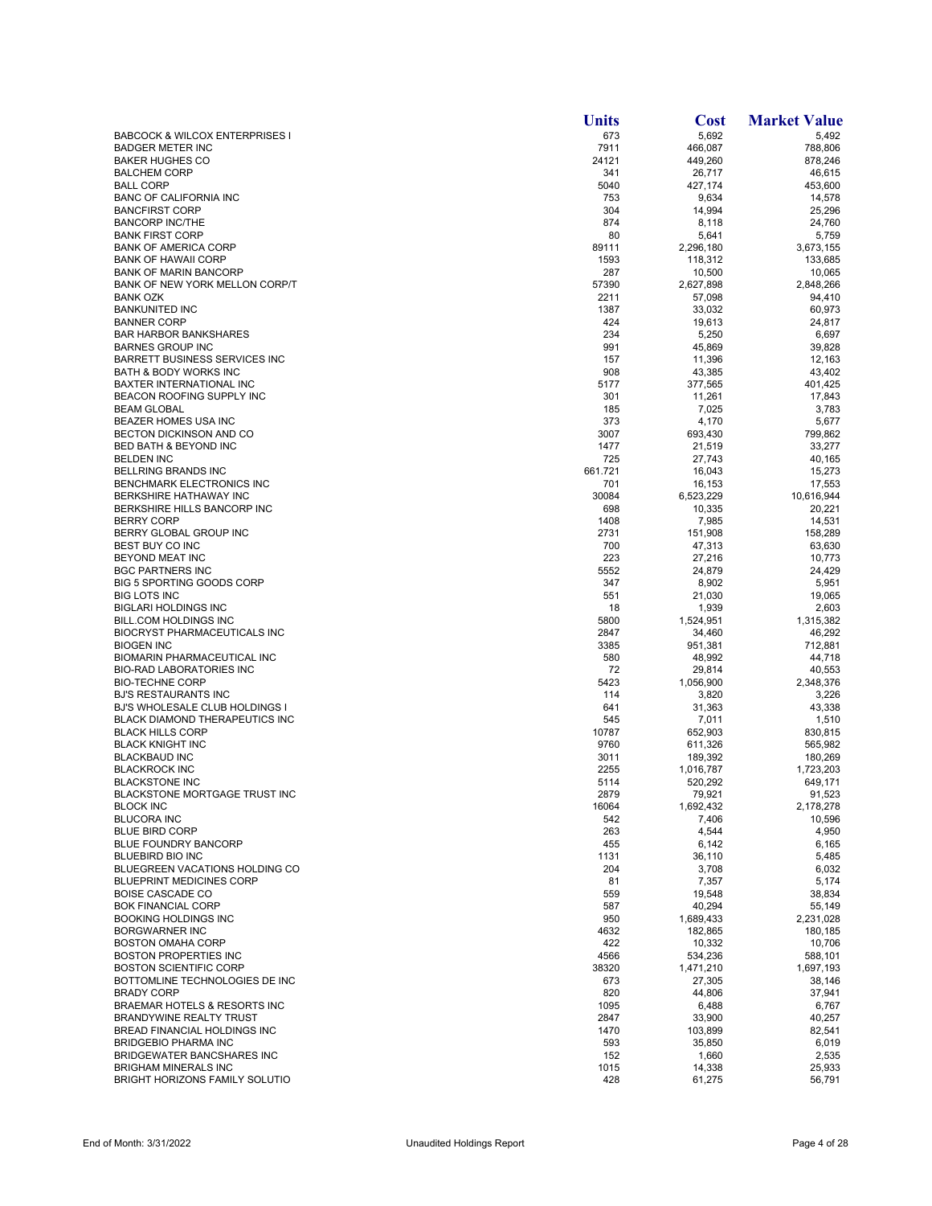|                                                                  | <b>Units</b> | Cost                | <b>Market Value</b> |
|------------------------------------------------------------------|--------------|---------------------|---------------------|
| <b>BABCOCK &amp; WILCOX ENTERPRISES I</b>                        | 673          | 5,692               | 5,492               |
| <b>BADGER METER INC</b>                                          | 7911         | 466,087             | 788,806             |
| <b>BAKER HUGHES CO</b><br><b>BALCHEM CORP</b>                    | 24121<br>341 | 449,260             | 878,246             |
| <b>BALL CORP</b>                                                 | 5040         | 26,717<br>427,174   | 46,615<br>453,600   |
| <b>BANC OF CALIFORNIA INC</b>                                    | 753          | 9,634               | 14,578              |
| <b>BANCFIRST CORP</b>                                            | 304          | 14,994              | 25.296              |
| <b>BANCORP INC/THE</b>                                           | 874          | 8,118               | 24,760              |
| <b>BANK FIRST CORP</b>                                           | 80           | 5,641               | 5,759               |
| <b>BANK OF AMERICA CORP</b>                                      | 89111        | 2,296,180           | 3,673,155           |
| <b>BANK OF HAWAII CORP</b><br><b>BANK OF MARIN BANCORP</b>       | 1593<br>287  | 118,312<br>10,500   | 133,685<br>10,065   |
| BANK OF NEW YORK MELLON CORP/T                                   | 57390        | 2,627,898           | 2,848,266           |
| <b>BANK OZK</b>                                                  | 2211         | 57,098              | 94,410              |
| <b>BANKUNITED INC</b>                                            | 1387         | 33,032              | 60,973              |
| <b>BANNER CORP</b>                                               | 424          | 19,613              | 24,817              |
| <b>BAR HARBOR BANKSHARES</b>                                     | 234          | 5,250               | 6,697               |
| <b>BARNES GROUP INC</b><br><b>BARRETT BUSINESS SERVICES INC</b>  | 991<br>157   | 45,869<br>11,396    | 39,828<br>12,163    |
| <b>BATH &amp; BODY WORKS INC</b>                                 | 908          | 43,385              | 43,402              |
| <b>BAXTER INTERNATIONAL INC</b>                                  | 5177         | 377,565             | 401,425             |
| BEACON ROOFING SUPPLY INC                                        | 301          | 11,261              | 17,843              |
| <b>BEAM GLOBAL</b>                                               | 185          | 7,025               | 3,783               |
| BEAZER HOMES USA INC                                             | 373          | 4,170               | 5,677               |
| BECTON DICKINSON AND CO                                          | 3007         | 693,430             | 799.862             |
| BED BATH & BEYOND INC<br><b>BELDEN INC</b>                       | 1477<br>725  | 21,519<br>27,743    | 33,277<br>40,165    |
| <b>BELLRING BRANDS INC</b>                                       | 661.721      | 16,043              | 15,273              |
| <b>BENCHMARK ELECTRONICS INC</b>                                 | 701          | 16,153              | 17,553              |
| <b>BERKSHIRE HATHAWAY INC</b>                                    | 30084        | 6,523,229           | 10,616,944          |
| BERKSHIRE HILLS BANCORP INC                                      | 698          | 10,335              | 20,221              |
| <b>BERRY CORP</b>                                                | 1408         | 7,985               | 14,531              |
| BERRY GLOBAL GROUP INC<br>BEST BUY CO INC                        | 2731<br>700  | 151,908<br>47,313   | 158,289<br>63,630   |
| BEYOND MEAT INC                                                  | 223          | 27,216              | 10,773              |
| <b>BGC PARTNERS INC</b>                                          | 5552         | 24,879              | 24,429              |
| <b>BIG 5 SPORTING GOODS CORP</b>                                 | 347          | 8,902               | 5,951               |
| <b>BIG LOTS INC</b>                                              | 551          | 21,030              | 19,065              |
| <b>BIGLARI HOLDINGS INC</b>                                      | 18           | 1,939               | 2,603               |
| <b>BILL.COM HOLDINGS INC</b>                                     | 5800         | 1,524,951           | 1,315,382           |
| <b>BIOCRYST PHARMACEUTICALS INC</b><br><b>BIOGEN INC</b>         | 2847<br>3385 | 34,460<br>951,381   | 46,292<br>712,881   |
| BIOMARIN PHARMACEUTICAL INC                                      | 580          | 48,992              | 44,718              |
| <b>BIO-RAD LABORATORIES INC</b>                                  | 72           | 29,814              | 40,553              |
| <b>BIO-TECHNE CORP</b>                                           | 5423         | 1,056,900           | 2,348,376           |
| <b>BJ'S RESTAURANTS INC</b>                                      | 114          | 3,820               | 3,226               |
| <b>BJ'S WHOLESALE CLUB HOLDINGS I</b>                            | 641          | 31,363              | 43,338              |
| <b>BLACK DIAMOND THERAPEUTICS INC</b><br><b>BLACK HILLS CORP</b> | 545<br>10787 | 7,011<br>652,903    | 1,510<br>830,815    |
| <b>BLACK KNIGHT INC</b>                                          | 9760         | 611,326             | 565.982             |
| <b>BLACKBAUD INC</b>                                             | 3011         | 189,392             | 180,269             |
| <b>BLACKROCK INC</b>                                             | 2255         | 1,016,787           | 1,723,203           |
| <b>BLACKSTONE INC</b>                                            | 5114         | 520,292             | 649,171             |
| BLACKSTONE MORTGAGE TRUST INC                                    | 2879         | 79,921              | 91,523              |
| <b>BLOCK INC</b><br><b>BLUCORA INC</b>                           | 16064<br>542 | 1,692,432<br>7,406  | 2,178,278<br>10,596 |
| <b>BLUE BIRD CORP</b>                                            | 263          | 4,544               | 4,950               |
| BLUE FOUNDRY BANCORP                                             | 455          | 6,142               | 6,165               |
| <b>BLUEBIRD BIO INC</b>                                          | 1131         | 36,110              | 5,485               |
| BLUEGREEN VACATIONS HOLDING CO                                   | 204          | 3,708               | 6,032               |
| <b>BLUEPRINT MEDICINES CORP</b>                                  | 81           | 7,357               | 5,174               |
| <b>BOISE CASCADE CO</b>                                          | 559          | 19,548              | 38,834              |
| <b>BOK FINANCIAL CORP</b><br><b>BOOKING HOLDINGS INC</b>         | 587<br>950   | 40,294<br>1,689,433 | 55,149<br>2,231,028 |
| <b>BORGWARNER INC</b>                                            | 4632         | 182,865             | 180,185             |
| <b>BOSTON OMAHA CORP</b>                                         | 422          | 10,332              | 10,706              |
| <b>BOSTON PROPERTIES INC</b>                                     | 4566         | 534,236             | 588,101             |
| <b>BOSTON SCIENTIFIC CORP</b>                                    | 38320        | 1,471,210           | 1,697,193           |
| BOTTOMLINE TECHNOLOGIES DE INC                                   | 673          | 27,305              | 38,146              |
| <b>BRADY CORP</b>                                                | 820          | 44,806              | 37,941              |
| BRAEMAR HOTELS & RESORTS INC<br>BRANDYWINE REALTY TRUST          | 1095<br>2847 | 6,488<br>33,900     | 6,767<br>40,257     |
| BREAD FINANCIAL HOLDINGS INC                                     | 1470         | 103,899             | 82,541              |
| <b>BRIDGEBIO PHARMA INC</b>                                      | 593          | 35,850              | 6,019               |
| <b>BRIDGEWATER BANCSHARES INC</b>                                | 152          | 1,660               | 2,535               |
| <b>BRIGHAM MINERALS INC</b>                                      | 1015         | 14,338              | 25,933              |
| BRIGHT HORIZONS FAMILY SOLUTIO                                   | 428          | 61,275              | 56,791              |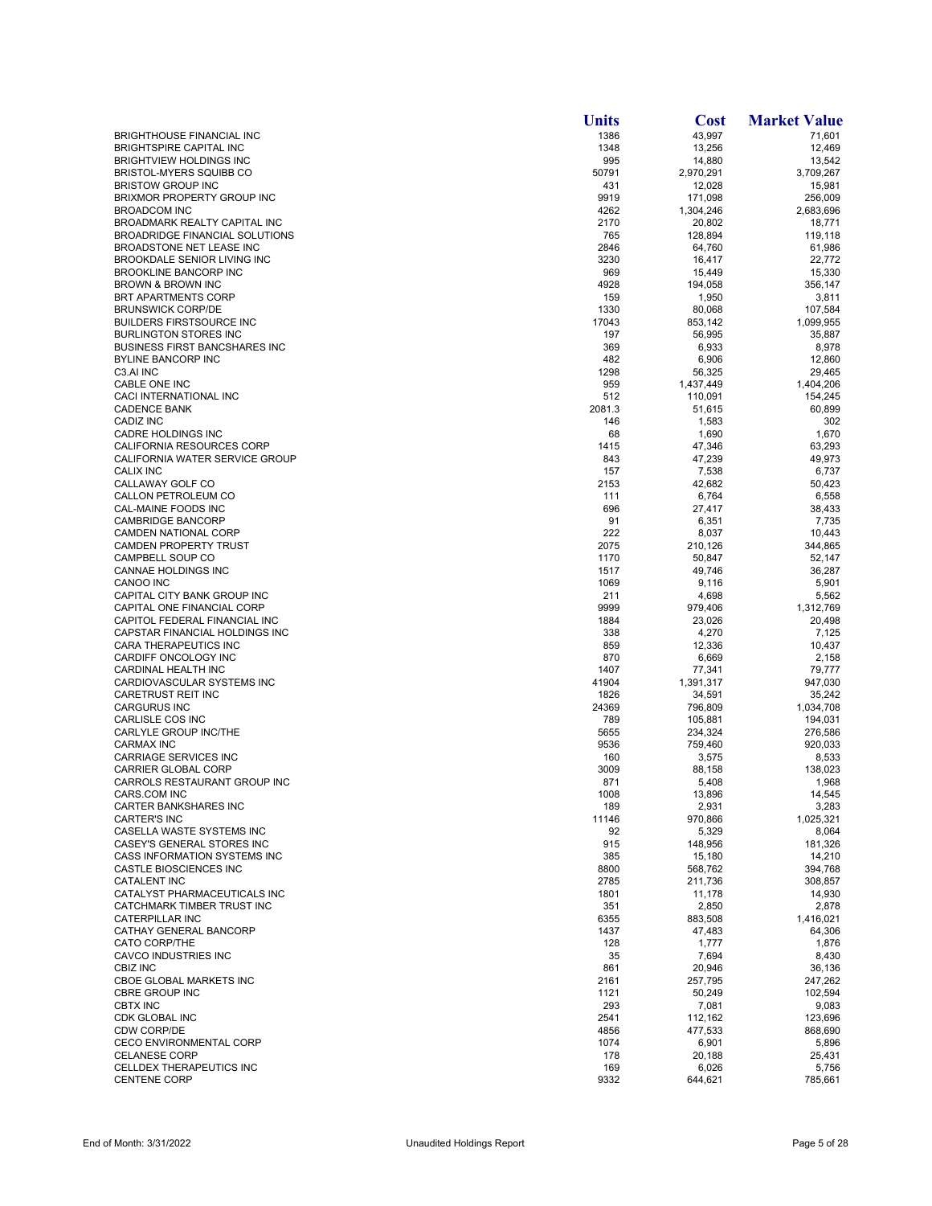|                                                                    | <b>Units</b> | Cost                | <b>Market Value</b> |
|--------------------------------------------------------------------|--------------|---------------------|---------------------|
| <b>BRIGHTHOUSE FINANCIAL INC</b>                                   | 1386         | 43,997              | 71,601              |
| <b>BRIGHTSPIRE CAPITAL INC</b>                                     | 1348         | 13,256              | 12,469              |
| <b>BRIGHTVIEW HOLDINGS INC</b>                                     | 995          | 14,880              | 13,542              |
| <b>BRISTOL-MYERS SQUIBB CO</b><br><b>BRISTOW GROUP INC</b>         | 50791<br>431 | 2,970,291<br>12,028 | 3,709,267<br>15,981 |
| BRIXMOR PROPERTY GROUP INC                                         | 9919         | 171,098             | 256,009             |
| <b>BROADCOM INC</b>                                                | 4262         | 1,304,246           | 2,683,696           |
| <b>BROADMARK REALTY CAPITAL INC</b>                                | 2170         | 20,802              | 18,771              |
| <b>BROADRIDGE FINANCIAL SOLUTIONS</b>                              | 765          | 128,894             | 119,118             |
| BROADSTONE NET LEASE INC                                           | 2846         | 64,760              | 61,986              |
| <b>BROOKDALE SENIOR LIVING INC</b><br><b>BROOKLINE BANCORP INC</b> | 3230<br>969  | 16,417<br>15,449    | 22,772<br>15,330    |
| <b>BROWN &amp; BROWN INC</b>                                       | 4928         | 194,058             | 356,147             |
| BRT APARTMENTS CORP                                                | 159          | 1,950               | 3,811               |
| <b>BRUNSWICK CORP/DE</b>                                           | 1330         | 80,068              | 107,584             |
| <b>BUILDERS FIRSTSOURCE INC</b>                                    | 17043        | 853,142             | 1,099,955           |
| <b>BURLINGTON STORES INC</b>                                       | 197          | 56,995              | 35,887              |
| <b>BUSINESS FIRST BANCSHARES INC</b><br><b>BYLINE BANCORP INC</b>  | 369<br>482   | 6,933<br>6,906      | 8,978<br>12,860     |
| C3.AI INC                                                          | 1298         | 56,325              | 29,465              |
| CABLE ONE INC                                                      | 959          | 1,437,449           | 1,404,206           |
| CACI INTERNATIONAL INC                                             | 512          | 110,091             | 154,245             |
| <b>CADENCE BANK</b>                                                | 2081.3       | 51,615              | 60,899              |
| CADIZ INC                                                          | 146          | 1,583               | 302                 |
| <b>CADRE HOLDINGS INC</b>                                          | 68           | 1,690               | 1,670               |
| CALIFORNIA RESOURCES CORP<br>CALIFORNIA WATER SERVICE GROUP        | 1415<br>843  | 47,346<br>47,239    | 63,293<br>49,973    |
| <b>CALIX INC</b>                                                   | 157          | 7,538               | 6,737               |
| CALLAWAY GOLF CO                                                   | 2153         | 42,682              | 50,423              |
| CALLON PETROLEUM CO                                                | 111          | 6,764               | 6,558               |
| CAL-MAINE FOODS INC                                                | 696          | 27,417              | 38,433              |
| <b>CAMBRIDGE BANCORP</b>                                           | 91           | 6,351               | 7,735               |
| <b>CAMDEN NATIONAL CORP</b><br>CAMDEN PROPERTY TRUST               | 222<br>2075  | 8,037               | 10,443              |
| CAMPBELL SOUP CO                                                   | 1170         | 210,126<br>50,847   | 344,865<br>52,147   |
| CANNAE HOLDINGS INC                                                | 1517         | 49,746              | 36,287              |
| <b>CANOO INC</b>                                                   | 1069         | 9,116               | 5,901               |
| CAPITAL CITY BANK GROUP INC                                        | 211          | 4,698               | 5,562               |
| CAPITAL ONE FINANCIAL CORP                                         | 9999         | 979,406             | 1,312,769           |
| CAPITOL FEDERAL FINANCIAL INC                                      | 1884         | 23,026              | 20,498              |
| CAPSTAR FINANCIAL HOLDINGS INC<br>CARA THERAPEUTICS INC            | 338<br>859   | 4,270<br>12,336     | 7,125<br>10,437     |
| CARDIFF ONCOLOGY INC                                               | 870          | 6,669               | 2,158               |
| CARDINAL HEALTH INC                                                | 1407         | 77,341              | 79,777              |
| CARDIOVASCULAR SYSTEMS INC                                         | 41904        | 1,391,317           | 947,030             |
| CARETRUST REIT INC                                                 | 1826         | 34,591              | 35,242              |
| <b>CARGURUS INC</b>                                                | 24369        | 796,809             | 1,034,708           |
| CARLISLE COS INC<br>CARLYLE GROUP INC/THE                          | 789<br>5655  | 105,881<br>234.324  | 194,031<br>276.586  |
| <b>CARMAX INC</b>                                                  | 9536         | 759,460             | 920,033             |
| CARRIAGE SERVICES INC                                              | 160          | 3,575               | 8,533               |
| <b>CARRIER GLOBAL CORP</b>                                         | 3009         | 88,158              | 138,023             |
| CARROLS RESTAURANT GROUP INC                                       | 871          | 5,408               | 1,968               |
| CARS.COM INC                                                       | 1008         | 13,896              | 14,545              |
| CARTER BANKSHARES INC                                              | 189          | 2,931               | 3,283               |
| <b>CARTER'S INC</b><br>CASELLA WASTE SYSTEMS INC                   | 11146<br>92  | 970,866<br>5,329    | 1,025,321<br>8,064  |
| CASEY'S GENERAL STORES INC                                         | 915          | 148,956             | 181,326             |
| <b>CASS INFORMATION SYSTEMS INC</b>                                | 385          | 15,180              | 14,210              |
| CASTLE BIOSCIENCES INC                                             | 8800         | 568,762             | 394,768             |
| <b>CATALENT INC</b>                                                | 2785         | 211,736             | 308,857             |
| CATALYST PHARMACEUTICALS INC                                       | 1801         | 11,178              | 14,930              |
| CATCHMARK TIMBER TRUST INC                                         | 351          | 2,850               | 2,878               |
| CATERPILLAR INC<br>CATHAY GENERAL BANCORP                          | 6355<br>1437 | 883,508<br>47,483   | 1,416,021<br>64,306 |
| <b>CATO CORP/THE</b>                                               | 128          | 1,777               | 1,876               |
| CAVCO INDUSTRIES INC                                               | 35           | 7,694               | 8,430               |
| CBIZ INC                                                           | 861          | 20,946              | 36,136              |
| CBOE GLOBAL MARKETS INC                                            | 2161         | 257,795             | 247,262             |
| <b>CBRE GROUP INC</b>                                              | 1121         | 50,249              | 102,594             |
| <b>CBTX INC</b>                                                    | 293          | 7,081               | 9,083               |
| CDK GLOBAL INC<br><b>CDW CORP/DE</b>                               | 2541<br>4856 | 112,162<br>477,533  | 123,696<br>868,690  |
| <b>CECO ENVIRONMENTAL CORP</b>                                     | 1074         | 6,901               | 5,896               |
| <b>CELANESE CORP</b>                                               | 178          | 20,188              | 25,431              |
| CELLDEX THERAPEUTICS INC                                           | 169          | 6,026               | 5,756               |
| <b>CENTENE CORP</b>                                                | 9332         | 644,621             | 785,661             |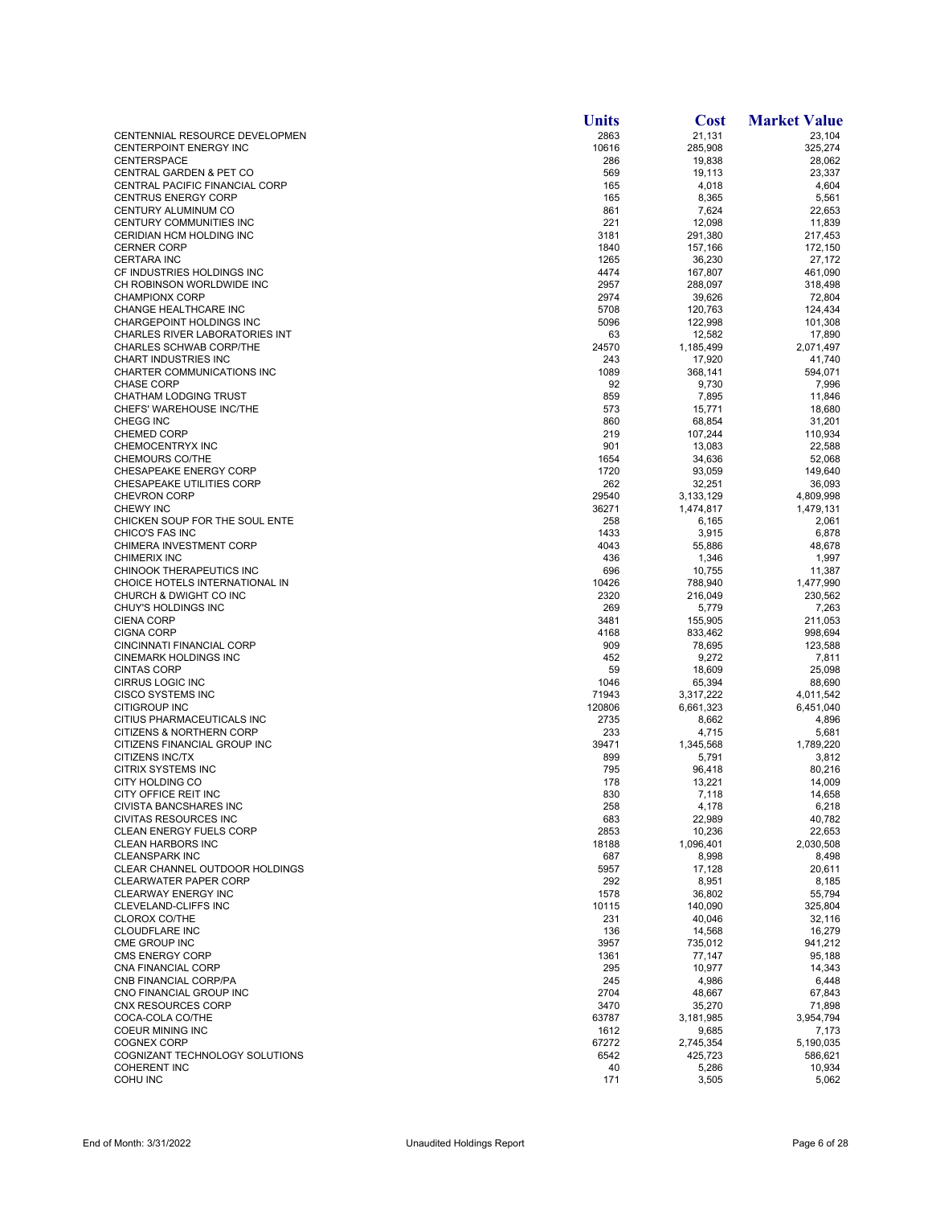|                                                            | <b>Units</b>   | <b>Cost</b>         | <b>Market Value</b>  |
|------------------------------------------------------------|----------------|---------------------|----------------------|
| CENTENNIAL RESOURCE DEVELOPMEN                             | 2863           | 21.131              | 23,104               |
| CENTERPOINT ENERGY INC                                     | 10616          | 285,908             | 325,274              |
| <b>CENTERSPACE</b>                                         | 286            | 19,838              | 28,062               |
| CENTRAL GARDEN & PET CO                                    | 569            | 19,113              | 23,337               |
| CENTRAL PACIFIC FINANCIAL CORP                             | 165            | 4,018               | 4,604                |
| <b>CENTRUS ENERGY CORP</b><br>CENTURY ALUMINUM CO          | 165<br>861     | 8,365               | 5,561<br>22,653      |
| CENTURY COMMUNITIES INC                                    | 221            | 7,624<br>12,098     | 11,839               |
| CERIDIAN HCM HOLDING INC                                   | 3181           | 291,380             | 217,453              |
| <b>CERNER CORP</b>                                         | 1840           | 157,166             | 172,150              |
| <b>CERTARA INC</b>                                         | 1265           | 36,230              | 27,172               |
| CF INDUSTRIES HOLDINGS INC                                 | 4474           | 167,807             | 461,090              |
| CH ROBINSON WORLDWIDE INC                                  | 2957           | 288,097             | 318,498              |
| <b>CHAMPIONX CORP</b>                                      | 2974           | 39,626              | 72,804               |
| CHANGE HEALTHCARE INC                                      | 5708           | 120,763             | 124,434              |
| CHARGEPOINT HOLDINGS INC<br>CHARLES RIVER LABORATORIES INT | 5096<br>63     | 122,998             | 101,308              |
| CHARLES SCHWAB CORP/THE                                    | 24570          | 12,582<br>1,185,499 | 17,890<br>2,071,497  |
| <b>CHART INDUSTRIES INC</b>                                | 243            | 17,920              | 41,740               |
| CHARTER COMMUNICATIONS INC                                 | 1089           | 368,141             | 594,071              |
| <b>CHASE CORP</b>                                          | 92             | 9,730               | 7,996                |
| <b>CHATHAM LODGING TRUST</b>                               | 859            | 7,895               | 11,846               |
| CHEFS' WAREHOUSE INC/THE                                   | 573            | 15,771              | 18,680               |
| CHEGG INC                                                  | 860            | 68,854              | 31,201               |
| <b>CHEMED CORP</b>                                         | 219            | 107,244             | 110,934              |
| <b>CHEMOCENTRYX INC</b>                                    | 901            | 13,083              | 22,588               |
| <b>CHEMOURS CO/THE</b><br>CHESAPEAKE ENERGY CORP           | 1654<br>1720   | 34,636<br>93,059    | 52,068<br>149,640    |
| CHESAPEAKE UTILITIES CORP                                  | 262            | 32,251              | 36,093               |
| <b>CHEVRON CORP</b>                                        | 29540          | 3,133,129           | 4,809,998            |
| <b>CHEWY INC</b>                                           | 36271          | 1,474,817           | 1,479,131            |
| CHICKEN SOUP FOR THE SOUL ENTE                             | 258            | 6,165               | 2,061                |
| CHICO'S FAS INC                                            | 1433           | 3,915               | 6,878                |
| CHIMERA INVESTMENT CORP                                    | 4043           | 55,886              | 48,678               |
| <b>CHIMERIX INC</b>                                        | 436            | 1,346               | 1,997                |
| CHINOOK THERAPEUTICS INC                                   | 696            | 10,755              | 11,387               |
| CHOICE HOTELS INTERNATIONAL IN<br>CHURCH & DWIGHT CO INC   | 10426<br>2320  | 788,940             | 1,477,990<br>230,562 |
| CHUY'S HOLDINGS INC                                        | 269            | 216,049<br>5,779    | 7,263                |
| <b>CIENA CORP</b>                                          | 3481           | 155,905             | 211,053              |
| <b>CIGNA CORP</b>                                          | 4168           | 833,462             | 998,694              |
| CINCINNATI FINANCIAL CORP                                  | 909            | 78,695              | 123,588              |
| <b>CINEMARK HOLDINGS INC</b>                               | 452            | 9,272               | 7,811                |
| <b>CINTAS CORP</b>                                         | 59             | 18,609              | 25,098               |
| <b>CIRRUS LOGIC INC</b>                                    | 1046           | 65,394              | 88,690               |
| <b>CISCO SYSTEMS INC</b>                                   | 71943          | 3,317,222           | 4,011,542            |
| CITIGROUP INC<br>CITIUS PHARMACEUTICALS INC                | 120806<br>2735 | 6,661,323<br>8,662  | 6,451,040<br>4,896   |
| CITIZENS & NORTHERN CORP                                   | 233            | 4,715               | 5,681                |
| CITIZENS FINANCIAL GROUP INC                               | 39471          | 1,345,568           | 1,789,220            |
| CITIZENS INC/TX                                            | 899            | 5,791               | 3,812                |
| <b>CITRIX SYSTEMS INC</b>                                  | 795            | 96,418              | 80.216               |
| CITY HOLDING CO                                            | 178            | 13,221              | 14,009               |
| CITY OFFICE REIT INC                                       | 830            | 7,118               | 14,658               |
| <b>CIVISTA BANCSHARES INC</b>                              | 258            | 4,178               | 6,218                |
| <b>CIVITAS RESOURCES INC</b>                               | 683            | 22,989              | 40,782               |
| <b>CLEAN ENERGY FUELS CORP</b><br><b>CLEAN HARBORS INC</b> | 2853<br>18188  | 10,236<br>1,096,401 | 22,653<br>2,030,508  |
| <b>CLEANSPARK INC</b>                                      | 687            | 8,998               | 8,498                |
| CLEAR CHANNEL OUTDOOR HOLDINGS                             | 5957           | 17,128              | 20,611               |
| <b>CLEARWATER PAPER CORP</b>                               | 292            | 8,951               | 8,185                |
| <b>CLEARWAY ENERGY INC</b>                                 | 1578           | 36,802              | 55,794               |
| CLEVELAND-CLIFFS INC                                       | 10115          | 140,090             | 325,804              |
| <b>CLOROX CO/THE</b>                                       | 231            | 40,046              | 32,116               |
| <b>CLOUDFLARE INC</b>                                      | 136            | 14,568              | 16,279               |
| CME GROUP INC                                              | 3957           | 735,012             | 941,212              |
| <b>CMS ENERGY CORP</b><br>CNA FINANCIAL CORP               | 1361<br>295    | 77,147<br>10,977    | 95,188<br>14,343     |
| CNB FINANCIAL CORP/PA                                      | 245            | 4,986               | 6,448                |
| CNO FINANCIAL GROUP INC                                    | 2704           | 48,667              | 67,843               |
| CNX RESOURCES CORP                                         | 3470           | 35,270              | 71,898               |
| COCA-COLA CO/THE                                           | 63787          | 3,181,985           | 3,954,794            |
| <b>COEUR MINING INC</b>                                    | 1612           | 9,685               | 7,173                |
| <b>COGNEX CORP</b>                                         | 67272          | 2,745,354           | 5,190,035            |
| COGNIZANT TECHNOLOGY SOLUTIONS                             | 6542           | 425,723             | 586,621              |
| <b>COHERENT INC</b><br><b>COHU INC</b>                     | 40             | 5,286               | 10,934               |
|                                                            | 171            | 3,505               | 5,062                |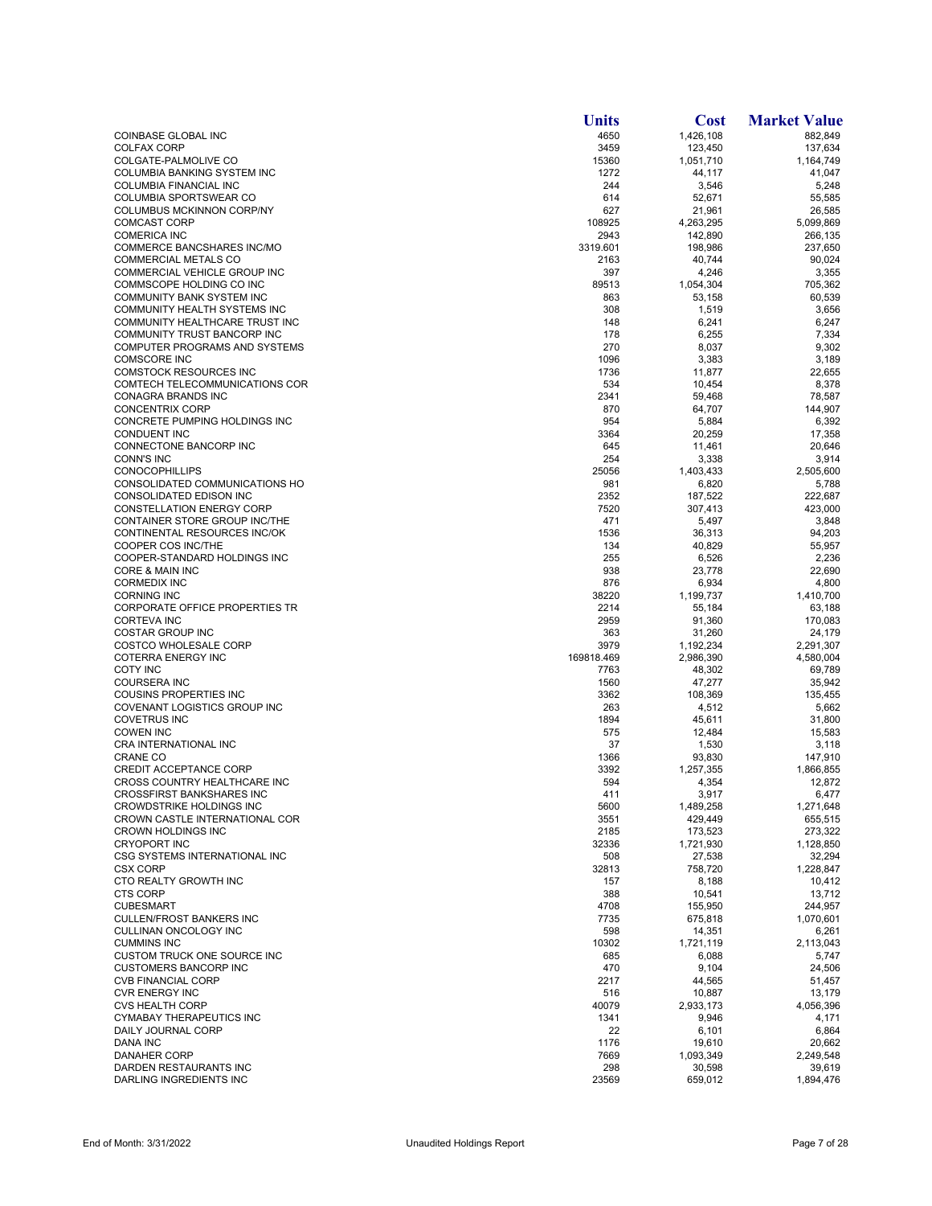|                                                          | <b>Units</b> | <b>Cost</b>       | <b>Market Value</b> |
|----------------------------------------------------------|--------------|-------------------|---------------------|
| COINBASE GLOBAL INC                                      | 4650         | 1,426,108         | 882,849             |
| <b>COLFAX CORP</b>                                       | 3459         | 123,450           | 137,634             |
| COLGATE-PALMOLIVE CO                                     | 15360        | 1,051,710         | 1,164,749           |
| COLUMBIA BANKING SYSTEM INC                              | 1272         | 44,117            | 41,047              |
| COLUMBIA FINANCIAL INC                                   | 244          | 3,546             | 5,248               |
| COLUMBIA SPORTSWEAR CO<br>COLUMBUS MCKINNON CORP/NY      | 614<br>627   | 52,671<br>21,961  | 55,585<br>26,585    |
| <b>COMCAST CORP</b>                                      | 108925       | 4,263,295         | 5,099,869           |
| <b>COMERICA INC</b>                                      | 2943         | 142,890           | 266,135             |
| COMMERCE BANCSHARES INC/MO                               | 3319.601     | 198,986           | 237,650             |
| <b>COMMERCIAL METALS CO</b>                              | 2163         | 40,744            | 90,024              |
| COMMERCIAL VEHICLE GROUP INC                             | 397          | 4,246             | 3,355               |
| COMMSCOPE HOLDING CO INC                                 | 89513        | 1,054,304         | 705,362             |
| COMMUNITY BANK SYSTEM INC                                | 863          | 53,158            | 60,539              |
| COMMUNITY HEALTH SYSTEMS INC                             | 308          | 1,519             | 3,656               |
| COMMUNITY HEALTHCARE TRUST INC                           | 148          | 6,241             | 6,247               |
| COMMUNITY TRUST BANCORP INC                              | 178          | 6,255             | 7,334               |
| COMPUTER PROGRAMS AND SYSTEMS                            | 270          | 8,037             | 9,302               |
| <b>COMSCORE INC</b><br><b>COMSTOCK RESOURCES INC</b>     | 1096<br>1736 | 3,383             | 3,189<br>22,655     |
| COMTECH TELECOMMUNICATIONS COR                           | 534          | 11,877<br>10,454  | 8,378               |
| CONAGRA BRANDS INC                                       | 2341         | 59,468            | 78,587              |
| <b>CONCENTRIX CORP</b>                                   | 870          | 64,707            | 144,907             |
| CONCRETE PUMPING HOLDINGS INC                            | 954          | 5,884             | 6,392               |
| <b>CONDUENT INC</b>                                      | 3364         | 20,259            | 17,358              |
| CONNECTONE BANCORP INC                                   | 645          | 11,461            | 20,646              |
| <b>CONN'S INC</b>                                        | 254          | 3,338             | 3,914               |
| <b>CONOCOPHILLIPS</b>                                    | 25056        | 1,403,433         | 2.505.600           |
| CONSOLIDATED COMMUNICATIONS HO                           | 981          | 6,820             | 5,788               |
| CONSOLIDATED EDISON INC                                  | 2352         | 187,522           | 222,687             |
| <b>CONSTELLATION ENERGY CORP</b>                         | 7520         | 307,413           | 423,000             |
| CONTAINER STORE GROUP INC/THE                            | 471          | 5,497             | 3,848               |
| CONTINENTAL RESOURCES INC/OK<br>COOPER COS INC/THE       | 1536         | 36,313            | 94,203              |
| COOPER-STANDARD HOLDINGS INC                             | 134<br>255   | 40,829            | 55,957              |
| CORE & MAIN INC                                          | 938          | 6,526<br>23,778   | 2,236<br>22,690     |
| <b>CORMEDIX INC</b>                                      | 876          | 6,934             | 4,800               |
| <b>CORNING INC</b>                                       | 38220        | 1,199,737         | 1,410,700           |
| CORPORATE OFFICE PROPERTIES TR                           | 2214         | 55,184            | 63,188              |
| <b>CORTEVA INC</b>                                       | 2959         | 91,360            | 170,083             |
| <b>COSTAR GROUP INC</b>                                  | 363          | 31,260            | 24,179              |
| <b>COSTCO WHOLESALE CORP</b>                             | 3979         | 1,192,234         | 2,291,307           |
| <b>COTERRA ENERGY INC</b>                                | 169818.469   | 2,986,390         | 4,580,004           |
| <b>COTY INC</b>                                          | 7763         | 48,302            | 69,789              |
| <b>COURSERA INC</b>                                      | 1560         | 47,277            | 35,942              |
| <b>COUSINS PROPERTIES INC</b>                            | 3362         | 108,369           | 135,455             |
| COVENANT LOGISTICS GROUP INC                             | 263          | 4,512             | 5,662               |
| <b>COVETRUS INC</b><br><b>COWEN INC</b>                  | 1894         | 45,611            | 31.800              |
| CRA INTERNATIONAL INC                                    | 575<br>37    | 12,484<br>1,530   | 15,583<br>3,118     |
| <b>CRANE CO</b>                                          | 1366         | 93,830            | 147,910             |
| CREDIT ACCEPTANCE CORP                                   | 3392         | 1,257,355         | 1,866,855           |
| CROSS COUNTRY HEALTHCARE INC                             | 594          | 4,354             | 12,872              |
| <b>CROSSFIRST BANKSHARES INC</b>                         | 411          | 3,917             | 6,477               |
| CROWDSTRIKE HOLDINGS INC                                 | 5600         | 1,489,258         | 1,271,648           |
| CROWN CASTLE INTERNATIONAL COR                           | 3551         | 429,449           | 655,515             |
| CROWN HOLDINGS INC                                       | 2185         | 173,523           | 273,322             |
| <b>CRYOPORT INC</b>                                      | 32336        | 1,721,930         | 1,128,850           |
| CSG SYSTEMS INTERNATIONAL INC                            | 508          | 27,538            | 32,294              |
| <b>CSX CORP</b>                                          | 32813        | 758,720           | 1,228,847           |
| CTO REALTY GROWTH INC                                    | 157          | 8,188             | 10,412              |
| <b>CTS CORP</b>                                          | 388          | 10,541            | 13.712              |
| <b>CUBESMART</b>                                         | 4708         | 155,950           | 244,957             |
| <b>CULLEN/FROST BANKERS INC</b><br>CULLINAN ONCOLOGY INC | 7735<br>598  | 675,818<br>14,351 | 1,070,601<br>6,261  |
| <b>CUMMINS INC</b>                                       | 10302        | 1,721,119         | 2,113,043           |
| CUSTOM TRUCK ONE SOURCE INC                              | 685          | 6,088             | 5,747               |
| <b>CUSTOMERS BANCORP INC</b>                             | 470          | 9,104             | 24,506              |
| <b>CVB FINANCIAL CORP</b>                                | 2217         | 44,565            | 51,457              |
| <b>CVR ENERGY INC</b>                                    | 516          | 10,887            | 13,179              |
| <b>CVS HEALTH CORP</b>                                   | 40079        | 2,933,173         | 4,056,396           |
| CYMABAY THERAPEUTICS INC                                 | 1341         | 9,946             | 4,171               |
| DAILY JOURNAL CORP                                       | 22           | 6,101             | 6,864               |
| <b>DANA INC</b>                                          | 1176         | 19,610            | 20,662              |
| <b>DANAHER CORP</b>                                      | 7669         | 1,093,349         | 2,249,548           |
| DARDEN RESTAURANTS INC                                   | 298          | 30,598            | 39,619              |
| DARLING INGREDIENTS INC                                  | 23569        | 659,012           | 1,894,476           |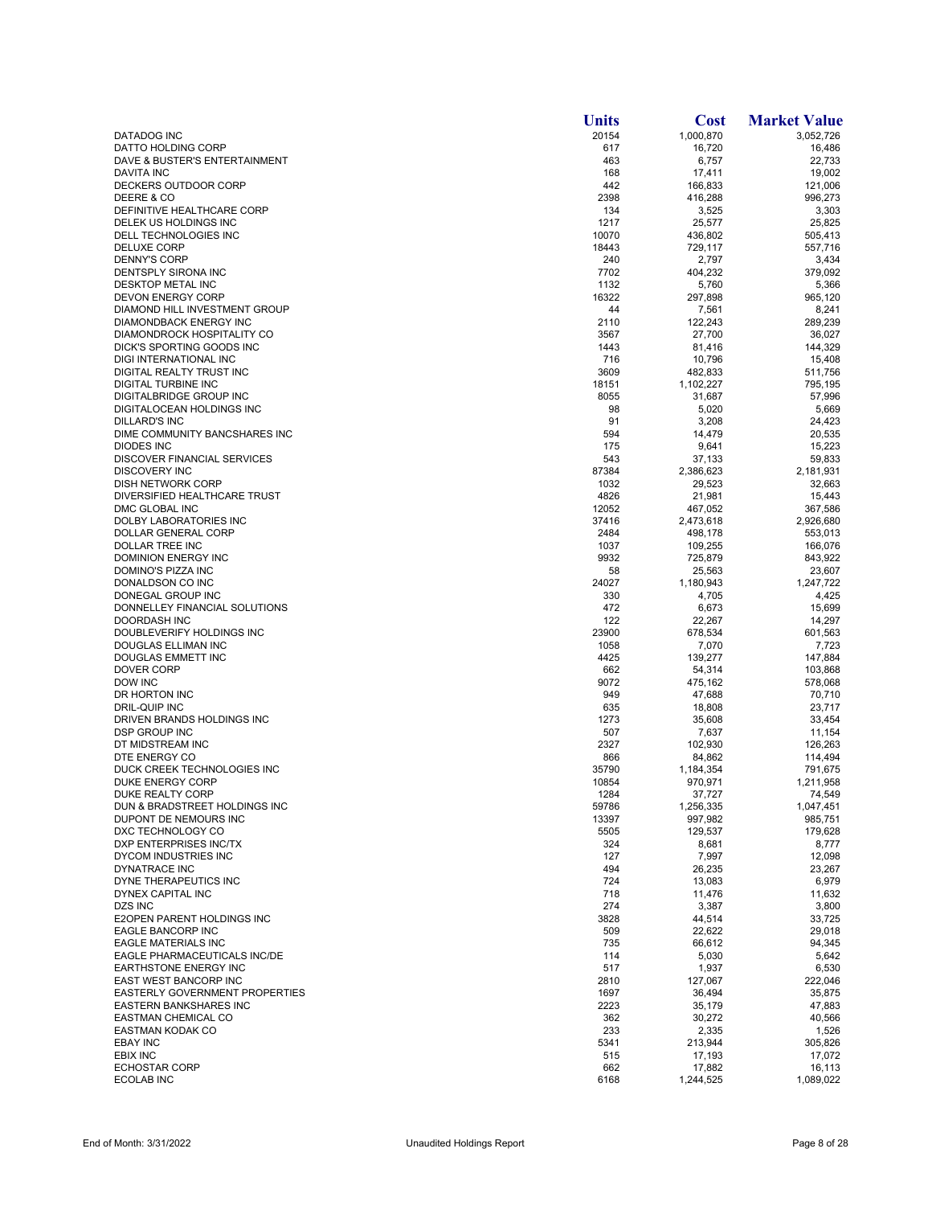|                                                     | <b>Units</b>  | <b>Cost</b>         | <b>Market Value</b> |
|-----------------------------------------------------|---------------|---------------------|---------------------|
| DATADOG INC                                         | 20154         | 1,000,870           | 3,052,726           |
| DATTO HOLDING CORP                                  | 617           | 16,720              | 16,486              |
| DAVE & BUSTER'S ENTERTAINMENT<br>DAVITA INC         | 463<br>168    | 6,757<br>17,411     | 22,733<br>19,002    |
| DECKERS OUTDOOR CORP                                | 442           | 166,833             | 121,006             |
| DEERE & CO                                          | 2398          | 416,288             | 996,273             |
| DEFINITIVE HEALTHCARE CORP                          | 134           | 3,525               | 3,303               |
| DELEK US HOLDINGS INC                               | 1217          | 25,577              | 25,825              |
| DELL TECHNOLOGIES INC                               | 10070         | 436,802             | 505,413             |
| <b>DELUXE CORP</b><br><b>DENNY'S CORP</b>           | 18443<br>240  | 729,117<br>2,797    | 557,716<br>3,434    |
| DENTSPLY SIRONA INC                                 | 7702          | 404,232             | 379,092             |
| <b>DESKTOP METAL INC</b>                            | 1132          | 5,760               | 5,366               |
| <b>DEVON ENERGY CORP</b>                            | 16322         | 297.898             | 965,120             |
| <b>DIAMOND HILL INVESTMENT GROUP</b>                | 44            | 7,561               | 8,241               |
| DIAMONDBACK ENERGY INC                              | 2110          | 122,243             | 289,239             |
| DIAMONDROCK HOSPITALITY CO                          | 3567          | 27,700              | 36,027              |
| DICK'S SPORTING GOODS INC<br>DIGI INTERNATIONAL INC | 1443<br>716   | 81,416<br>10,796    | 144,329<br>15,408   |
| DIGITAL REALTY TRUST INC                            | 3609          | 482,833             | 511,756             |
| DIGITAL TURBINE INC                                 | 18151         | 1,102,227           | 795,195             |
| DIGITALBRIDGE GROUP INC                             | 8055          | 31,687              | 57,996              |
| DIGITALOCEAN HOLDINGS INC                           | 98            | 5,020               | 5,669               |
| <b>DILLARD'S INC</b>                                | 91            | 3,208               | 24,423              |
| DIME COMMUNITY BANCSHARES INC                       | 594           | 14,479              | 20,535              |
| DIODES INC                                          | 175           | 9,641               | 15,223              |
| DISCOVER FINANCIAL SERVICES<br><b>DISCOVERY INC</b> | 543           | 37,133              | 59,833              |
| DISH NETWORK CORP                                   | 87384<br>1032 | 2,386,623<br>29,523 | 2,181,931<br>32,663 |
| DIVERSIFIED HEALTHCARE TRUST                        | 4826          | 21,981              | 15,443              |
| DMC GLOBAL INC                                      | 12052         | 467,052             | 367,586             |
| DOLBY LABORATORIES INC                              | 37416         | 2,473,618           | 2,926,680           |
| DOLLAR GENERAL CORP                                 | 2484          | 498,178             | 553,013             |
| DOLLAR TREE INC                                     | 1037          | 109,255             | 166,076             |
| DOMINION ENERGY INC                                 | 9932          | 725,879             | 843,922             |
| DOMINO'S PIZZA INC                                  | 58            | 25,563              | 23,607              |
| DONALDSON CO INC<br>DONEGAL GROUP INC               | 24027<br>330  | 1,180,943<br>4,705  | 1,247,722<br>4,425  |
| DONNELLEY FINANCIAL SOLUTIONS                       | 472           | 6,673               | 15,699              |
| DOORDASH INC                                        | 122           | 22,267              | 14,297              |
| DOUBLEVERIFY HOLDINGS INC                           | 23900         | 678,534             | 601,563             |
| DOUGLAS ELLIMAN INC                                 | 1058          | 7,070               | 7,723               |
| DOUGLAS EMMETT INC                                  | 4425          | 139,277             | 147,884             |
| <b>DOVER CORP</b>                                   | 662           | 54,314              | 103,868             |
| DOW INC<br>DR HORTON INC                            | 9072<br>949   | 475,162<br>47,688   | 578,068<br>70,710   |
| DRIL-QUIP INC                                       | 635           | 18,808              | 23,717              |
| DRIVEN BRANDS HOLDINGS INC                          | 1273          | 35,608              | 33,454              |
| DSP GROUP INC                                       | 507           | 7,637               | 11,154              |
| DT MIDSTREAM INC                                    | 2327          | 102,930             | 126,263             |
| DTE ENERGY CO                                       | 866           | 84,862              | 114,494             |
| DUCK CREEK TECHNOLOGIES INC                         | 35790         | 1,184,354           | 791,675             |
| DUKE ENERGY CORP                                    | 10854         | 970,971             | 1,211,958           |
| DUKE REALTY CORP<br>DUN & BRADSTREET HOLDINGS INC   | 1284<br>59786 | 37,727<br>1,256,335 | 74,549<br>1,047,451 |
| DUPONT DE NEMOURS INC                               | 13397         | 997,982             | 985,751             |
| DXC TECHNOLOGY CO                                   | 5505          | 129,537             | 179,628             |
| DXP ENTERPRISES INC/TX                              | 324           | 8,681               | 8,777               |
| DYCOM INDUSTRIES INC                                | 127           | 7,997               | 12,098              |
| DYNATRACE INC                                       | 494           | 26,235              | 23,267              |
| DYNE THERAPEUTICS INC                               | 724           | 13,083              | 6,979               |
| <b>DYNEX CAPITAL INC</b>                            | 718           | 11,476              | 11,632              |
| DZS INC<br>E2OPEN PARENT HOLDINGS INC               | 274<br>3828   | 3,387<br>44,514     | 3,800<br>33,725     |
| EAGLE BANCORP INC                                   | 509           | 22,622              | 29,018              |
| <b>EAGLE MATERIALS INC</b>                          | 735           | 66,612              | 94,345              |
| EAGLE PHARMACEUTICALS INC/DE                        | 114           | 5,030               | 5,642               |
| <b>EARTHSTONE ENERGY INC</b>                        | 517           | 1,937               | 6,530               |
| EAST WEST BANCORP INC                               | 2810          | 127,067             | 222,046             |
| EASTERLY GOVERNMENT PROPERTIES                      | 1697          | 36,494              | 35,875              |
| <b>EASTERN BANKSHARES INC</b>                       | 2223          | 35,179              | 47,883              |
| EASTMAN CHEMICAL CO<br><b>EASTMAN KODAK CO</b>      | 362<br>233    | 30,272              | 40,566              |
| <b>EBAY INC</b>                                     | 5341          | 2,335<br>213,944    | 1,526<br>305,826    |
| EBIX INC                                            | 515           | 17,193              | 17,072              |
| <b>ECHOSTAR CORP</b>                                | 662           | 17,882              | 16,113              |
| <b>ECOLAB INC</b>                                   | 6168          | 1,244,525           | 1,089,022           |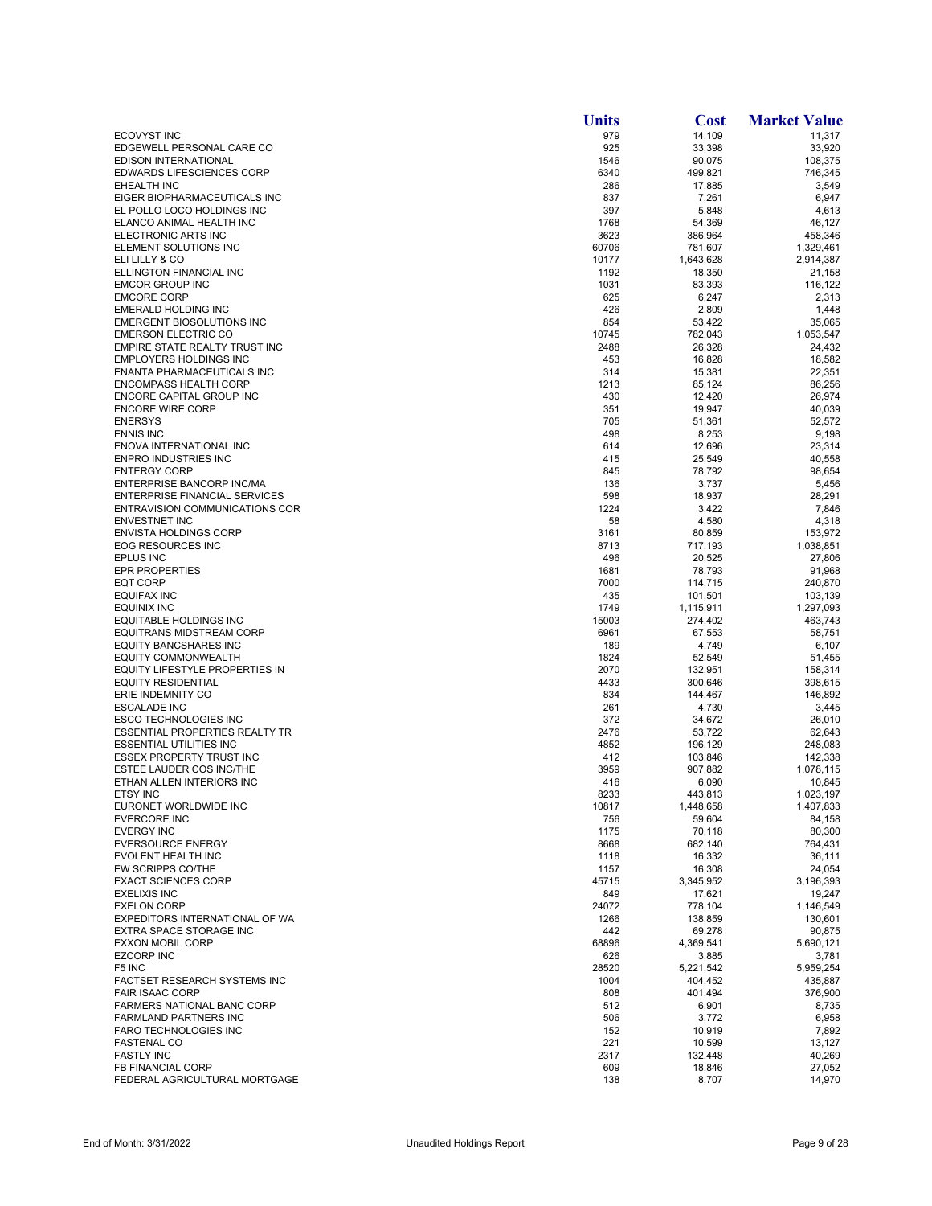|                                                                | <b>Units</b> | <b>Cost</b>        | <b>Market Value</b> |
|----------------------------------------------------------------|--------------|--------------------|---------------------|
| <b>ECOVYST INC</b>                                             | 979          | 14,109             | 11,317              |
| EDGEWELL PERSONAL CARE CO                                      | 925          | 33,398             | 33,920              |
| <b>EDISON INTERNATIONAL</b>                                    | 1546         | 90,075             | 108,375             |
| <b>EDWARDS LIFESCIENCES CORP</b>                               | 6340         | 499,821            | 746,345             |
| EHEALTH INC                                                    | 286          | 17,885             | 3,549               |
| EIGER BIOPHARMACEUTICALS INC<br>EL POLLO LOCO HOLDINGS INC     | 837<br>397   | 7,261<br>5,848     | 6,947<br>4,613      |
| ELANCO ANIMAL HEALTH INC                                       | 1768         | 54,369             | 46,127              |
| ELECTRONIC ARTS INC                                            | 3623         | 386,964            | 458,346             |
| ELEMENT SOLUTIONS INC                                          | 60706        | 781,607            | 1,329,461           |
| ELI LILLY & CO                                                 | 10177        | 1,643,628          | 2,914,387           |
| ELLINGTON FINANCIAL INC                                        | 1192         | 18,350             | 21,158              |
| <b>EMCOR GROUP INC</b>                                         | 1031         | 83,393             | 116,122             |
| <b>EMCORE CORP</b>                                             | 625          | 6,247              | 2,313               |
| <b>EMERALD HOLDING INC</b><br><b>EMERGENT BIOSOLUTIONS INC</b> | 426          | 2,809              | 1,448               |
| <b>EMERSON ELECTRIC CO</b>                                     | 854<br>10745 | 53,422<br>782,043  | 35,065<br>1,053,547 |
| EMPIRE STATE REALTY TRUST INC                                  | 2488         | 26,328             | 24,432              |
| <b>EMPLOYERS HOLDINGS INC</b>                                  | 453          | 16,828             | 18,582              |
| ENANTA PHARMACEUTICALS INC                                     | 314          | 15,381             | 22,351              |
| <b>ENCOMPASS HEALTH CORP</b>                                   | 1213         | 85,124             | 86,256              |
| ENCORE CAPITAL GROUP INC                                       | 430          | 12,420             | 26,974              |
| <b>ENCORE WIRE CORP</b>                                        | 351          | 19,947             | 40,039              |
| <b>ENERSYS</b>                                                 | 705          | 51,361             | 52,572              |
| <b>ENNIS INC</b>                                               | 498          | 8,253              | 9,198               |
| ENOVA INTERNATIONAL INC<br><b>ENPRO INDUSTRIES INC</b>         | 614<br>415   | 12,696             | 23,314<br>40,558    |
| <b>ENTERGY CORP</b>                                            | 845          | 25,549<br>78,792   | 98,654              |
| <b>ENTERPRISE BANCORP INC/MA</b>                               | 136          | 3,737              | 5,456               |
| <b>ENTERPRISE FINANCIAL SERVICES</b>                           | 598          | 18,937             | 28,291              |
| ENTRAVISION COMMUNICATIONS COR                                 | 1224         | 3,422              | 7,846               |
| <b>ENVESTNET INC</b>                                           | 58           | 4,580              | 4,318               |
| <b>ENVISTA HOLDINGS CORP</b>                                   | 3161         | 80,859             | 153,972             |
| <b>EOG RESOURCES INC</b>                                       | 8713         | 717,193            | 1,038,851           |
| <b>EPLUS INC</b>                                               | 496          | 20,525             | 27,806              |
| <b>EPR PROPERTIES</b><br><b>EQT CORP</b>                       | 1681<br>7000 | 78,793<br>114,715  | 91,968<br>240,870   |
| <b>EQUIFAX INC</b>                                             | 435          | 101,501            | 103,139             |
| EQUINIX INC                                                    | 1749         | 1,115,911          | 1,297,093           |
| <b>EQUITABLE HOLDINGS INC</b>                                  | 15003        | 274,402            | 463,743             |
| EQUITRANS MIDSTREAM CORP                                       | 6961         | 67,553             | 58,751              |
| <b>EQUITY BANCSHARES INC</b>                                   | 189          | 4,749              | 6,107               |
| <b>EQUITY COMMONWEALTH</b>                                     | 1824         | 52,549             | 51,455              |
| EQUITY LIFESTYLE PROPERTIES IN                                 | 2070         | 132,951            | 158,314             |
| <b>EQUITY RESIDENTIAL</b><br>ERIE INDEMNITY CO                 | 4433<br>834  | 300,646            | 398,615             |
| <b>ESCALADE INC</b>                                            | 261          | 144,467<br>4,730   | 146,892<br>3,445    |
| <b>ESCO TECHNOLOGIES INC</b>                                   | 372          | 34,672             | 26,010              |
| <b>ESSENTIAL PROPERTIES REALTY TR</b>                          | 2476         | 53,722             | 62,643              |
| <b>ESSENTIAL UTILITIES INC</b>                                 | 4852         | 196,129            | 248,083             |
| <b>ESSEX PROPERTY TRUST INC</b>                                | 412          | 103,846            | 142,338             |
| ESTEE LAUDER COS INC/THE                                       | 3959         | 907,882            | 1,078,115           |
| ETHAN ALLEN INTERIORS INC                                      | 416          | 6,090              | 10,845              |
| ETSY INC                                                       | 8233         | 443.813            | 1,023,197           |
| EURONET WORLDWIDE INC<br><b>EVERCORE INC</b>                   | 10817<br>756 | 1,448,658          | 1,407,833           |
| <b>EVERGY INC</b>                                              | 1175         | 59,604<br>70,118   | 84,158<br>80,300    |
| <b>EVERSOURCE ENERGY</b>                                       | 8668         | 682,140            | 764,431             |
| EVOLENT HEALTH INC                                             | 1118         | 16,332             | 36,111              |
| EW SCRIPPS CO/THE                                              | 1157         | 16,308             | 24,054              |
| <b>EXACT SCIENCES CORP</b>                                     | 45715        | 3,345,952          | 3,196,393           |
| <b>EXELIXIS INC</b>                                            | 849          | 17,621             | 19,247              |
| <b>EXELON CORP</b>                                             | 24072        | 778,104            | 1,146,549           |
| EXPEDITORS INTERNATIONAL OF WA                                 | 1266         | 138,859            | 130,601             |
| EXTRA SPACE STORAGE INC<br><b>EXXON MOBIL CORP</b>             | 442<br>68896 | 69,278             | 90,875              |
| <b>EZCORP INC</b>                                              | 626          | 4,369,541<br>3,885 | 5,690,121<br>3,781  |
| F5 INC                                                         | 28520        | 5,221,542          | 5,959,254           |
| FACTSET RESEARCH SYSTEMS INC                                   | 1004         | 404,452            | 435,887             |
| <b>FAIR ISAAC CORP</b>                                         | 808          | 401.494            | 376,900             |
| FARMERS NATIONAL BANC CORP                                     | 512          | 6,901              | 8,735               |
| <b>FARMLAND PARTNERS INC</b>                                   | 506          | 3,772              | 6,958               |
| FARO TECHNOLOGIES INC                                          | 152          | 10,919             | 7,892               |
| <b>FASTENAL CO</b>                                             | 221          | 10,599             | 13,127              |
| <b>FASTLY INC</b>                                              | 2317         | 132,448            | 40,269              |
| FB FINANCIAL CORP<br>FEDERAL AGRICULTURAL MORTGAGE             | 609<br>138   | 18,846<br>8,707    | 27,052<br>14,970    |
|                                                                |              |                    |                     |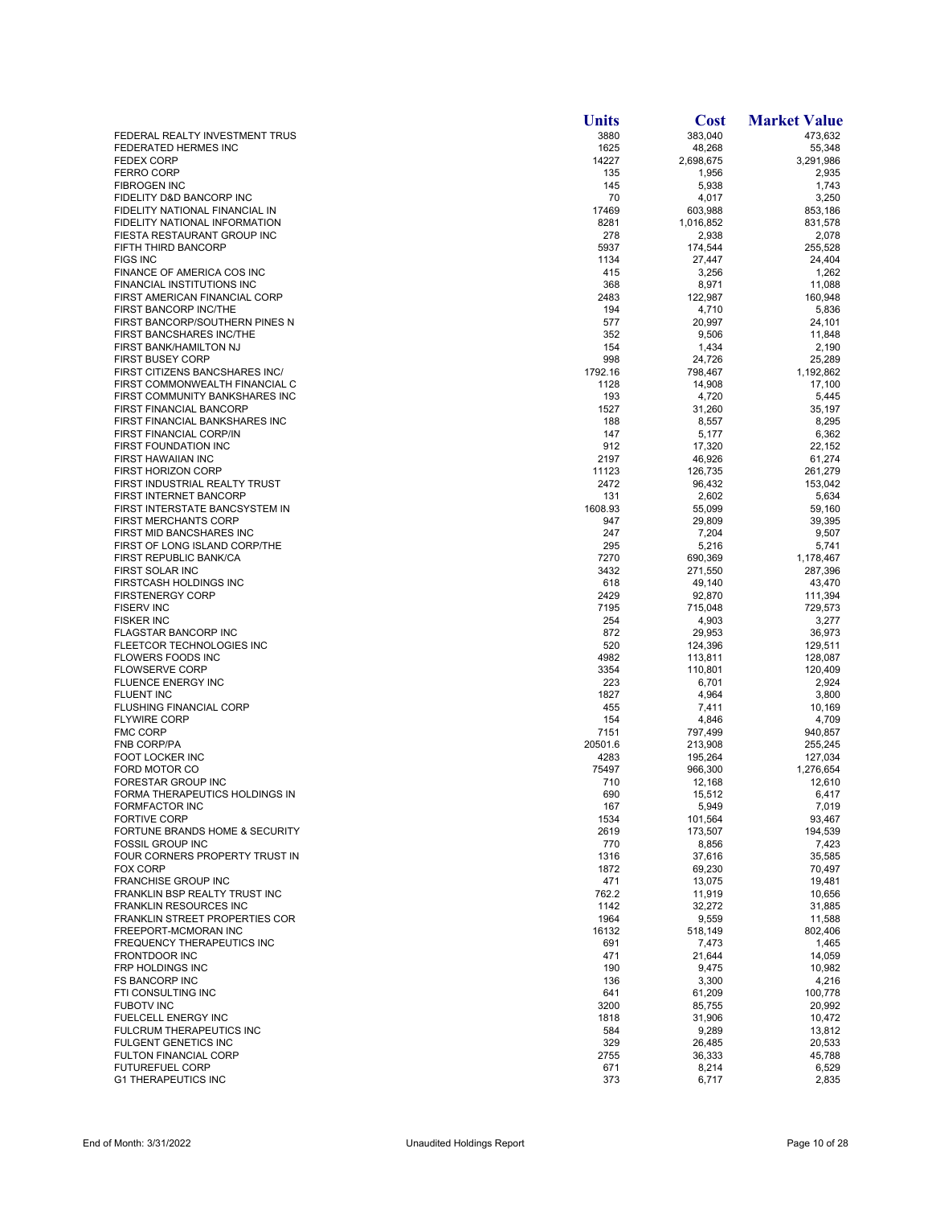|                                                                  | <b>Units</b>   | <b>Cost</b>        | <b>Market Value</b> |
|------------------------------------------------------------------|----------------|--------------------|---------------------|
| FEDERAL REALTY INVESTMENT TRUS                                   | 3880           | 383,040            | 473,632             |
| FEDERATED HERMES INC                                             | 1625           | 48,268             | 55,348              |
| <b>FEDEX CORP</b><br><b>FERRO CORP</b>                           | 14227<br>135   | 2,698,675<br>1,956 | 3,291,986<br>2,935  |
| <b>FIBROGEN INC</b>                                              | 145            | 5,938              | 1,743               |
| FIDELITY D&D BANCORP INC                                         | 70             | 4,017              | 3,250               |
| FIDELITY NATIONAL FINANCIAL IN                                   | 17469          | 603,988            | 853.186             |
| FIDELITY NATIONAL INFORMATION                                    | 8281           | 1,016,852          | 831,578             |
| FIESTA RESTAURANT GROUP INC                                      | 278            | 2,938              | 2,078               |
| <b>FIFTH THIRD BANCORP</b>                                       | 5937           | 174,544            | 255,528             |
| <b>FIGS INC</b><br>FINANCE OF AMERICA COS INC                    | 1134<br>415    | 27,447<br>3,256    | 24,404<br>1,262     |
| FINANCIAL INSTITUTIONS INC                                       | 368            | 8,971              | 11,088              |
| FIRST AMERICAN FINANCIAL CORP                                    | 2483           | 122,987            | 160,948             |
| FIRST BANCORP INC/THE                                            | 194            | 4,710              | 5,836               |
| FIRST BANCORP/SOUTHERN PINES N                                   | 577            | 20,997             | 24.101              |
| FIRST BANCSHARES INC/THE                                         | 352            | 9,506              | 11,848              |
| FIRST BANK/HAMILTON NJ                                           | 154            | 1,434              | 2,190               |
| <b>FIRST BUSEY CORP</b><br>FIRST CITIZENS BANCSHARES INC/        | 998<br>1792.16 | 24,726<br>798,467  | 25,289<br>1,192,862 |
| FIRST COMMONWEALTH FINANCIAL C                                   | 1128           | 14,908             | 17,100              |
| FIRST COMMUNITY BANKSHARES INC                                   | 193            | 4,720              | 5,445               |
| FIRST FINANCIAL BANCORP                                          | 1527           | 31,260             | 35,197              |
| FIRST FINANCIAL BANKSHARES INC                                   | 188            | 8,557              | 8,295               |
| <b>FIRST FINANCIAL CORP/IN</b>                                   | 147            | 5,177              | 6,362               |
| FIRST FOUNDATION INC                                             | 912            | 17,320             | 22.152              |
| FIRST HAWAIIAN INC                                               | 2197           | 46,926             | 61,274              |
| <b>FIRST HORIZON CORP</b>                                        | 11123          | 126,735            | 261,279             |
| FIRST INDUSTRIAL REALTY TRUST<br>FIRST INTERNET BANCORP          | 2472<br>131    | 96,432<br>2,602    | 153,042<br>5,634    |
| FIRST INTERSTATE BANCSYSTEM IN                                   | 1608.93        | 55,099             | 59,160              |
| <b>FIRST MERCHANTS CORP</b>                                      | 947            | 29,809             | 39,395              |
| <b>FIRST MID BANCSHARES INC</b>                                  | 247            | 7,204              | 9,507               |
| FIRST OF LONG ISLAND CORP/THE                                    | 295            | 5,216              | 5,741               |
| FIRST REPUBLIC BANK/CA                                           | 7270           | 690,369            | 1,178,467           |
| FIRST SOLAR INC                                                  | 3432           | 271,550            | 287,396             |
| FIRSTCASH HOLDINGS INC                                           | 618            | 49,140             | 43,470              |
| <b>FIRSTENERGY CORP</b>                                          | 2429           | 92,870             | 111,394             |
| <b>FISERV INC</b><br><b>FISKER INC</b>                           | 7195<br>254    | 715,048<br>4,903   | 729,573<br>3,277    |
| <b>FLAGSTAR BANCORP INC</b>                                      | 872            | 29,953             | 36,973              |
| FLEETCOR TECHNOLOGIES INC                                        | 520            | 124,396            | 129,511             |
| <b>FLOWERS FOODS INC</b>                                         | 4982           | 113,811            | 128,087             |
| <b>FLOWSERVE CORP</b>                                            | 3354           | 110,801            | 120,409             |
| FLUENCE ENERGY INC                                               | 223            | 6,701              | 2,924               |
| FLUENT INC                                                       | 1827           | 4,964              | 3,800               |
| <b>FLUSHING FINANCIAL CORP</b>                                   | 455            | 7,411              | 10,169              |
| <b>FLYWIRE CORP</b><br><b>FMC CORP</b>                           | 154<br>7151    | 4,846<br>797,499   | 4,709<br>940,857    |
| <b>FNB CORP/PA</b>                                               | 20501.6        | 213,908            | 255,245             |
| FOOT LOCKER INC                                                  | 4283           | 195,264            | 127,034             |
| FORD MOTOR CO                                                    | 75497          | 966,300            | 1,276,654           |
| FORESTAR GROUP INC                                               | 710            | 12,168             | 12,610              |
| FORMA THERAPEUTICS HOLDINGS IN                                   | 690            | 15,512             | 6,417               |
| <b>FORMFACTOR INC</b>                                            | 167            | 5,949              | 7,019               |
| <b>FORTIVE CORP</b><br><b>FORTUNE BRANDS HOME &amp; SECURITY</b> | 1534           | 101,564            | 93,467              |
| <b>FOSSIL GROUP INC</b>                                          | 2619<br>770    | 173,507<br>8,856   | 194,539<br>7,423    |
| FOUR CORNERS PROPERTY TRUST IN                                   | 1316           | 37,616             | 35,585              |
| <b>FOX CORP</b>                                                  | 1872           | 69,230             | 70,497              |
| FRANCHISE GROUP INC                                              | 471            | 13,075             | 19,481              |
| FRANKLIN BSP REALTY TRUST INC                                    | 762.2          | 11,919             | 10,656              |
| <b>FRANKLIN RESOURCES INC</b>                                    | 1142           | 32,272             | 31,885              |
| <b>FRANKLIN STREET PROPERTIES COR</b>                            | 1964           | 9,559              | 11,588              |
| FREEPORT-MCMORAN INC                                             | 16132          | 518,149            | 802,406             |
| FREQUENCY THERAPEUTICS INC<br><b>FRONTDOOR INC</b>               | 691<br>471     | 7,473<br>21,644    | 1,465<br>14,059     |
| FRP HOLDINGS INC                                                 | 190            | 9,475              | 10,982              |
| <b>FS BANCORP INC</b>                                            | 136            | 3,300              | 4,216               |
| FTI CONSULTING INC                                               | 641            | 61,209             | 100,778             |
| <b>FUBOTV INC</b>                                                | 3200           | 85,755             | 20,992              |
| FUELCELL ENERGY INC                                              | 1818           | 31,906             | 10,472              |
| FULCRUM THERAPEUTICS INC                                         | 584            | 9,289              | 13,812              |
| <b>FULGENT GENETICS INC</b>                                      | 329            | 26,485             | 20,533              |
| <b>FULTON FINANCIAL CORP</b>                                     | 2755           | 36,333             | 45,788              |
| <b>FUTUREFUEL CORP</b><br><b>G1 THERAPEUTICS INC</b>             | 671<br>373     | 8,214<br>6,717     | 6,529<br>2,835      |
|                                                                  |                |                    |                     |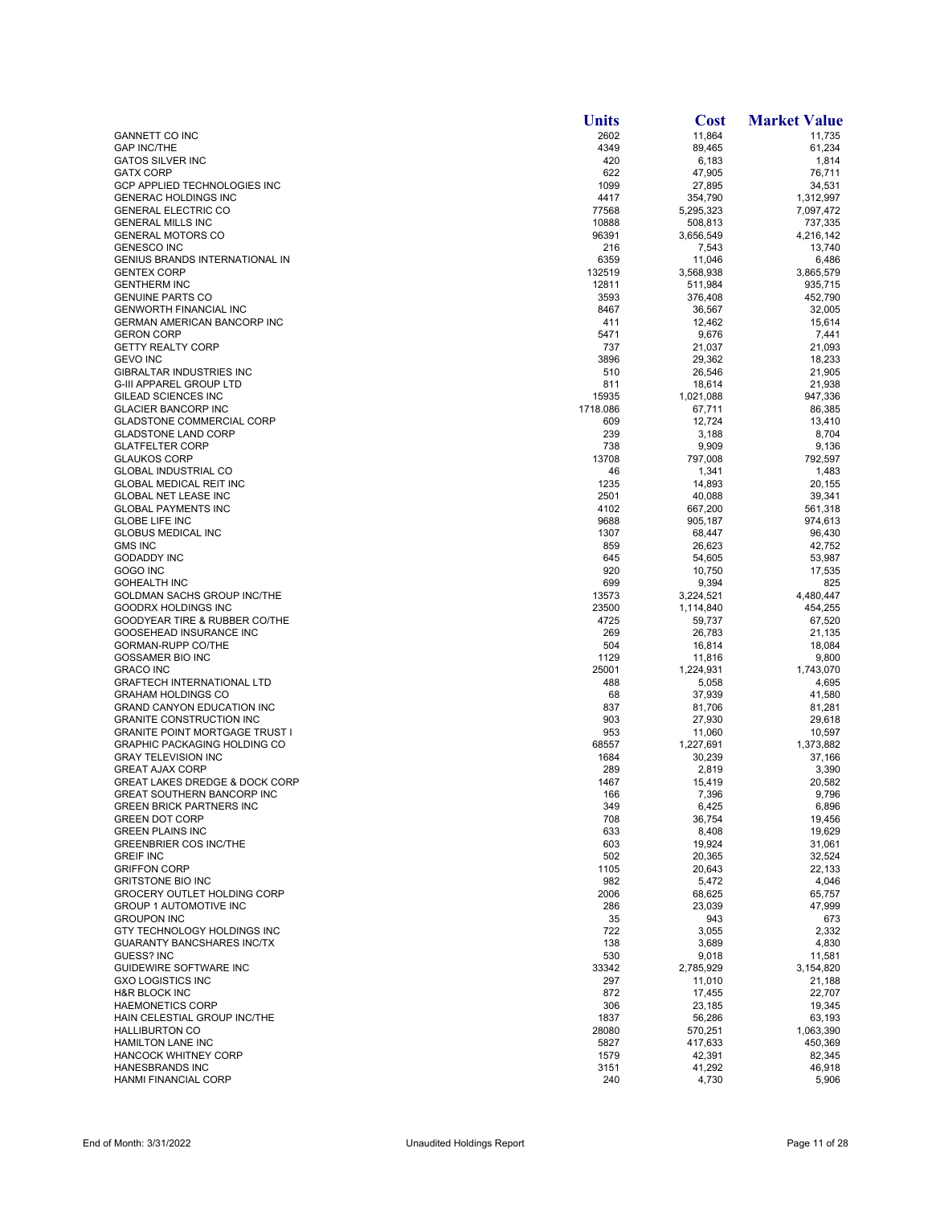|                                                                | <b>Units</b>  | Cost                 | <b>Market Value</b>    |
|----------------------------------------------------------------|---------------|----------------------|------------------------|
| <b>GANNETT CO INC</b>                                          | 2602          | 11,864               | 11,735                 |
| <b>GAP INC/THE</b>                                             | 4349          | 89,465               | 61,234                 |
| <b>GATOS SILVER INC</b>                                        | 420           | 6,183                | 1,814                  |
| <b>GATX CORP</b>                                               | 622           | 47,905               | 76,711                 |
| GCP APPLIED TECHNOLOGIES INC                                   | 1099          | 27,895               | 34,531                 |
| <b>GENERAC HOLDINGS INC</b><br><b>GENERAL ELECTRIC CO</b>      | 4417<br>77568 | 354,790<br>5,295,323 | 1,312,997<br>7,097,472 |
| <b>GENERAL MILLS INC</b>                                       | 10888         | 508,813              | 737,335                |
| <b>GENERAL MOTORS CO</b>                                       | 96391         | 3,656,549            | 4,216,142              |
| <b>GENESCO INC</b>                                             | 216           | 7,543                | 13,740                 |
| <b>GENIUS BRANDS INTERNATIONAL IN</b>                          | 6359          | 11,046               | 6,486                  |
| <b>GENTEX CORP</b>                                             | 132519        | 3,568,938            | 3,865,579              |
| <b>GENTHERM INC</b>                                            | 12811         | 511,984              | 935,715                |
| <b>GENUINE PARTS CO</b>                                        | 3593          | 376,408              | 452,790                |
| <b>GENWORTH FINANCIAL INC</b>                                  | 8467          | 36,567               | 32,005                 |
| GERMAN AMERICAN BANCORP INC                                    | 411           | 12,462               | 15,614                 |
| <b>GERON CORP</b><br><b>GETTY REALTY CORP</b>                  | 5471<br>737   | 9,676                | 7,441                  |
| <b>GEVO INC</b>                                                | 3896          | 21,037<br>29,362     | 21,093<br>18,233       |
| GIBRALTAR INDUSTRIES INC                                       | 510           | 26,546               | 21,905                 |
| <b>G-III APPAREL GROUP LTD</b>                                 | 811           | 18,614               | 21,938                 |
| GILEAD SCIENCES INC                                            | 15935         | 1,021,088            | 947,336                |
| <b>GLACIER BANCORP INC</b>                                     | 1718.086      | 67,711               | 86,385                 |
| <b>GLADSTONE COMMERCIAL CORP</b>                               | 609           | 12,724               | 13,410                 |
| <b>GLADSTONE LAND CORP</b>                                     | 239           | 3,188                | 8,704                  |
| <b>GLATFELTER CORP</b>                                         | 738           | 9,909                | 9,136                  |
| <b>GLAUKOS CORP</b>                                            | 13708         | 797,008              | 792,597                |
| <b>GLOBAL INDUSTRIAL CO</b>                                    | 46            | 1,341                | 1,483                  |
| <b>GLOBAL MEDICAL REIT INC</b>                                 | 1235          | 14,893               | 20,155                 |
| <b>GLOBAL NET LEASE INC</b>                                    | 2501          | 40,088               | 39,341                 |
| <b>GLOBAL PAYMENTS INC</b>                                     | 4102          | 667,200              | 561,318                |
| <b>GLOBE LIFE INC</b><br><b>GLOBUS MEDICAL INC</b>             | 9688<br>1307  | 905,187<br>68,447    | 974.613<br>96,430      |
| <b>GMS INC</b>                                                 | 859           | 26,623               | 42,752                 |
| <b>GODADDY INC</b>                                             | 645           | 54,605               | 53,987                 |
| GOGO INC                                                       | 920           | 10,750               | 17,535                 |
| <b>GOHEALTH INC</b>                                            | 699           | 9,394                | 825                    |
| GOLDMAN SACHS GROUP INC/THE                                    | 13573         | 3,224,521            | 4,480,447              |
| GOODRX HOLDINGS INC                                            | 23500         | 1,114,840            | 454,255                |
| GOODYEAR TIRE & RUBBER CO/THE                                  | 4725          | 59,737               | 67,520                 |
| GOOSEHEAD INSURANCE INC                                        | 269           | 26,783               | 21,135                 |
| GORMAN-RUPP CO/THE                                             | 504           | 16,814               | 18,084                 |
| GOSSAMER BIO INC                                               | 1129          | 11,816               | 9,800                  |
| <b>GRACO INC</b>                                               | 25001         | 1,224,931            | 1,743,070              |
| <b>GRAFTECH INTERNATIONAL LTD</b><br><b>GRAHAM HOLDINGS CO</b> | 488<br>68     | 5,058<br>37,939      | 4,695<br>41,580        |
| <b>GRAND CANYON EDUCATION INC</b>                              | 837           | 81,706               | 81,281                 |
| <b>GRANITE CONSTRUCTION INC</b>                                | 903           | 27,930               | 29.618                 |
| <b>GRANITE POINT MORTGAGE TRUST I</b>                          | 953           | 11,060               | 10,597                 |
| <b>GRAPHIC PACKAGING HOLDING CO</b>                            | 68557         | 1,227,691            | 1,373,882              |
| <b>GRAY TELEVISION INC</b>                                     | 1684          | 30,239               | 37,166                 |
| <b>GREAT AJAX CORP</b>                                         | 289           | 2,819                | 3,390                  |
| <b>GREAT LAKES DREDGE &amp; DOCK CORP</b>                      | 1467          | 15.419               | 20,582                 |
| <b>GREAT SOUTHERN BANCORP INC</b>                              | 166           | 7,396                | 9,796                  |
| <b>GREEN BRICK PARTNERS INC</b>                                | 349           | 6,425                | 6,896                  |
| <b>GREEN DOT CORP</b>                                          | 708           | 36,754               | 19,456                 |
| <b>GREEN PLAINS INC</b><br><b>GREENBRIER COS INC/THE</b>       | 633<br>603    | 8,408<br>19,924      | 19.629                 |
| <b>GREIF INC</b>                                               | 502           | 20,365               | 31,061<br>32,524       |
| <b>GRIFFON CORP</b>                                            | 1105          | 20,643               | 22,133                 |
| <b>GRITSTONE BIO INC</b>                                       | 982           | 5,472                | 4,046                  |
| <b>GROCERY OUTLET HOLDING CORP</b>                             | 2006          | 68,625               | 65,757                 |
| <b>GROUP 1 AUTOMOTIVE INC</b>                                  | 286           | 23,039               | 47,999                 |
| <b>GROUPON INC</b>                                             | 35            | 943                  | 673                    |
| GTY TECHNOLOGY HOLDINGS INC                                    | 722           | 3,055                | 2,332                  |
| <b>GUARANTY BANCSHARES INC/TX</b>                              | 138           | 3,689                | 4,830                  |
| GUESS? INC                                                     | 530           | 9,018                | 11,581                 |
| GUIDEWIRE SOFTWARE INC                                         | 33342         | 2,785,929            | 3,154,820              |
| <b>GXO LOGISTICS INC</b>                                       | 297           | 11,010               | 21,188                 |
| <b>H&amp;R BLOCK INC</b>                                       | 872           | 17,455               | 22,707                 |
| <b>HAEMONETICS CORP</b>                                        | 306           | 23,185               | 19,345                 |
| HAIN CELESTIAL GROUP INC/THE                                   | 1837          | 56,286               | 63,193                 |
| <b>HALLIBURTON CO</b><br><b>HAMILTON LANE INC</b>              | 28080<br>5827 | 570,251<br>417,633   | 1,063,390<br>450,369   |
| <b>HANCOCK WHITNEY CORP</b>                                    | 1579          | 42,391               | 82,345                 |
| <b>HANESBRANDS INC</b>                                         | 3151          | 41,292               | 46,918                 |
| <b>HANMI FINANCIAL CORP</b>                                    | 240           | 4,730                | 5,906                  |
|                                                                |               |                      |                        |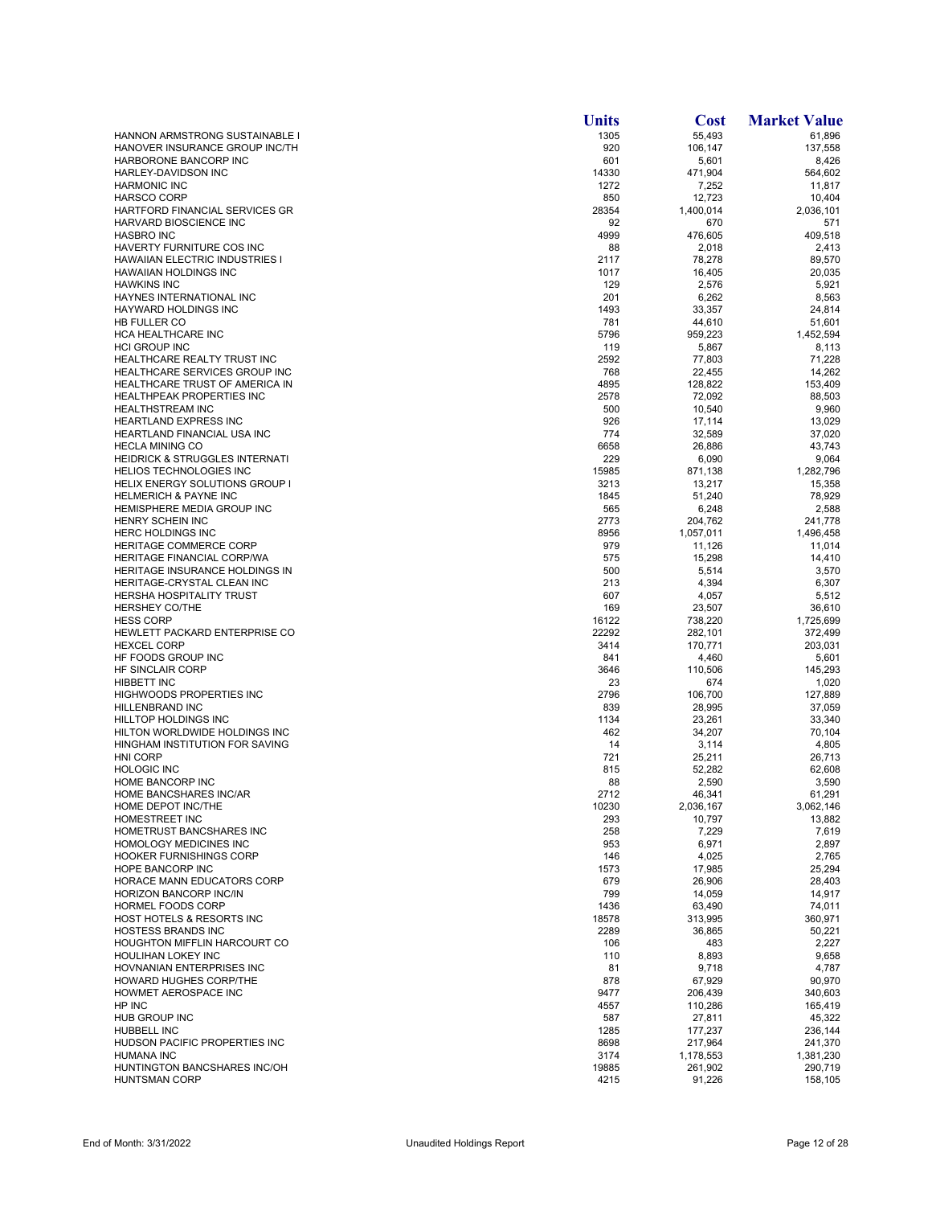|                                                                         | <b>Units</b>  | <b>Cost</b>          | <b>Market Value</b>  |
|-------------------------------------------------------------------------|---------------|----------------------|----------------------|
| HANNON ARMSTRONG SUSTAINABLE I                                          | 1305          | 55,493               | 61,896               |
| HANOVER INSURANCE GROUP INC/TH                                          | 920           | 106,147              | 137,558              |
| HARBORONE BANCORP INC<br>HARLEY-DAVIDSON INC                            | 601<br>14330  | 5,601                | 8,426                |
| <b>HARMONIC INC</b>                                                     | 1272          | 471,904<br>7,252     | 564,602<br>11,817    |
| <b>HARSCO CORP</b>                                                      | 850           | 12,723               | 10,404               |
| HARTFORD FINANCIAL SERVICES GR                                          | 28354         | 1,400,014            | 2,036,101            |
| HARVARD BIOSCIENCE INC                                                  | 92            | 670                  | 571                  |
| <b>HASBRO INC</b>                                                       | 4999          | 476,605              | 409,518              |
| HAVERTY FURNITURE COS INC                                               | 88            | 2,018                | 2,413                |
| HAWAIIAN ELECTRIC INDUSTRIES I<br><b>HAWAIIAN HOLDINGS INC</b>          | 2117<br>1017  | 78,278<br>16,405     | 89,570<br>20,035     |
| <b>HAWKINS INC</b>                                                      | 129           | 2,576                | 5,921                |
| HAYNES INTERNATIONAL INC                                                | 201           | 6,262                | 8,563                |
| HAYWARD HOLDINGS INC                                                    | 1493          | 33,357               | 24,814               |
| HB FULLER CO                                                            | 781           | 44,610               | 51,601               |
| HCA HEALTHCARE INC                                                      | 5796          | 959,223              | 1,452,594            |
| <b>HCI GROUP INC</b><br>HEALTHCARE REALTY TRUST INC                     | 119<br>2592   | 5,867                | 8,113                |
| <b>HEALTHCARE SERVICES GROUP INC</b>                                    | 768           | 77,803<br>22,455     | 71,228<br>14,262     |
| HEALTHCARE TRUST OF AMERICA IN                                          | 4895          | 128,822              | 153,409              |
| HEALTHPEAK PROPERTIES INC                                               | 2578          | 72,092               | 88,503               |
| <b>HEALTHSTREAM INC</b>                                                 | 500           | 10,540               | 9,960                |
| <b>HEARTLAND EXPRESS INC</b>                                            | 926           | 17,114               | 13,029               |
| HEARTLAND FINANCIAL USA INC                                             | 774           | 32,589               | 37,020               |
| <b>HECLA MINING CO</b>                                                  | 6658          | 26,886               | 43,743               |
| <b>HEIDRICK &amp; STRUGGLES INTERNATI</b>                               | 229           | 6,090                | 9,064                |
| <b>HELIOS TECHNOLOGIES INC</b><br><b>HELIX ENERGY SOLUTIONS GROUP I</b> | 15985<br>3213 | 871,138<br>13,217    | 1,282,796<br>15,358  |
| <b>HELMERICH &amp; PAYNE INC</b>                                        | 1845          | 51,240               | 78,929               |
| HEMISPHERE MEDIA GROUP INC                                              | 565           | 6,248                | 2,588                |
| HENRY SCHEIN INC                                                        | 2773          | 204,762              | 241,778              |
| <b>HERC HOLDINGS INC</b>                                                | 8956          | 1,057,011            | 1,496,458            |
| HERITAGE COMMERCE CORP                                                  | 979           | 11,126               | 11,014               |
| HERITAGE FINANCIAL CORP/WA                                              | 575           | 15,298               | 14,410               |
| HERITAGE INSURANCE HOLDINGS IN                                          | 500           | 5,514                | 3,570                |
| HERITAGE-CRYSTAL CLEAN INC                                              | 213           | 4,394                | 6,307                |
| <b>HERSHA HOSPITALITY TRUST</b><br><b>HERSHEY CO/THE</b>                | 607<br>169    | 4,057<br>23,507      | 5,512<br>36,610      |
| <b>HESS CORP</b>                                                        | 16122         | 738,220              | 1,725,699            |
| HEWLETT PACKARD ENTERPRISE CO                                           | 22292         | 282,101              | 372,499              |
| <b>HEXCEL CORP</b>                                                      | 3414          | 170,771              | 203,031              |
| HF FOODS GROUP INC                                                      | 841           | 4,460                | 5,601                |
| HF SINCLAIR CORP                                                        | 3646          | 110,506              | 145,293              |
| <b>HIBBETT INC</b>                                                      | 23            | 674                  | 1,020                |
| HIGHWOODS PROPERTIES INC<br><b>HILLENBRAND INC</b>                      | 2796<br>839   | 106,700<br>28,995    | 127,889<br>37,059    |
| <b>HILLTOP HOLDINGS INC</b>                                             | 1134          | 23,261               | 33,340               |
| HILTON WORLDWIDE HOLDINGS INC                                           | 462           | 34,207               | 70,104               |
| HINGHAM INSTITUTION FOR SAVING                                          | 14            | 3,114                | 4,805                |
| <b>HNI CORP</b>                                                         | 721           | 25,211               | 26,713               |
| <b>HOLOGIC INC</b>                                                      | 815           | 52,282               | 62,608               |
| HOME BANCORP INC                                                        | 88            | 2,590                | 3,590                |
| <b>HOME BANCSHARES INC/AR</b>                                           | 2712          | 46,341               | 61,291               |
| HOME DEPOT INC/THE<br>HOMESTREET INC                                    | 10230<br>293  | 2,036,167<br>10,797  | 3,062,146<br>13,882  |
| HOMETRUST BANCSHARES INC                                                | 258           | 7,229                | 7,619                |
| HOMOLOGY MEDICINES INC                                                  | 953           | 6,971                | 2,897                |
| <b>HOOKER FURNISHINGS CORP</b>                                          | 146           | 4,025                | 2,765                |
| HOPE BANCORP INC                                                        | 1573          | 17,985               | 25,294               |
| HORACE MANN EDUCATORS CORP                                              | 679           | 26,906               | 28,403               |
| HORIZON BANCORP INC/IN                                                  | 799           | 14,059               | 14,917               |
| HORMEL FOODS CORP                                                       | 1436          | 63,490               | 74,011               |
| HOST HOTELS & RESORTS INC<br><b>HOSTESS BRANDS INC</b>                  | 18578<br>2289 | 313,995<br>36,865    | 360,971<br>50,221    |
| <b>HOUGHTON MIFFLIN HARCOURT CO</b>                                     | 106           | 483                  | 2,227                |
| HOULIHAN LOKEY INC                                                      | 110           | 8,893                | 9,658                |
| HOVNANIAN ENTERPRISES INC                                               | 81            | 9,718                | 4,787                |
| HOWARD HUGHES CORP/THE                                                  | 878           | 67,929               | 90,970               |
| HOWMET AEROSPACE INC                                                    | 9477          | 206,439              | 340,603              |
| HP INC                                                                  | 4557          | 110,286              | 165,419              |
| HUB GROUP INC                                                           | 587           | 27,811               | 45,322               |
| HUBBELL INC<br>HUDSON PACIFIC PROPERTIES INC                            | 1285<br>8698  | 177,237              | 236,144              |
| <b>HUMANA INC</b>                                                       | 3174          | 217,964<br>1,178,553 | 241,370<br>1,381,230 |
| HUNTINGTON BANCSHARES INC/OH                                            | 19885         | 261,902              | 290,719              |
| <b>HUNTSMAN CORP</b>                                                    | 4215          | 91,226               | 158,105              |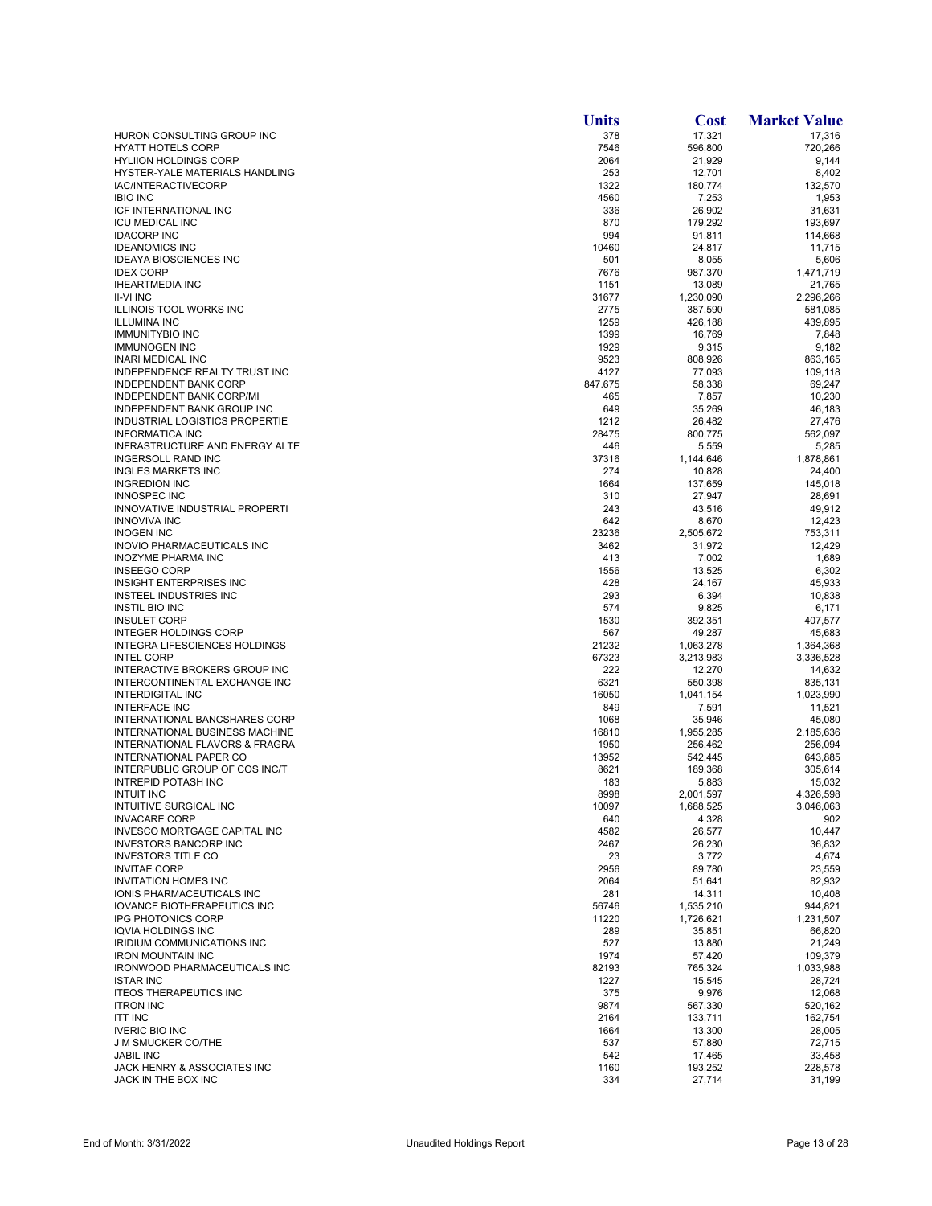|                                                          | <b>Units</b>  | <b>Cost</b>          | <b>Market Value</b>  |
|----------------------------------------------------------|---------------|----------------------|----------------------|
| HURON CONSULTING GROUP INC                               | 378           | 17,321               | 17,316               |
| <b>HYATT HOTELS CORP</b>                                 | 7546          | 596,800              | 720,266              |
| <b>HYLIION HOLDINGS CORP</b>                             | 2064          | 21,929               | 9,144                |
| HYSTER-YALE MATERIALS HANDLING                           | 253           | 12,701               | 8,402                |
| IAC/INTERACTIVECORP                                      | 1322          | 180,774              | 132,570              |
| <b>IBIO INC</b>                                          | 4560          | 7,253                | 1,953                |
| ICF INTERNATIONAL INC<br><b>ICU MEDICAL INC</b>          | 336<br>870    | 26,902<br>179,292    | 31.631<br>193,697    |
| <b>IDACORP INC</b>                                       | 994           | 91,811               | 114,668              |
| <b>IDEANOMICS INC</b>                                    | 10460         | 24,817               | 11,715               |
| <b>IDEAYA BIOSCIENCES INC</b>                            | 501           | 8,055                | 5,606                |
| <b>IDEX CORP</b>                                         | 7676          | 987,370              | 1,471,719            |
| <b>IHEARTMEDIA INC</b>                                   | 1151          | 13,089               | 21,765               |
| <b>II-VI INC</b>                                         | 31677         | 1,230,090            | 2,296,266            |
| ILLINOIS TOOL WORKS INC                                  | 2775          | 387,590              | 581,085              |
| <b>ILLUMINA INC</b>                                      | 1259          | 426,188              | 439,895              |
| <b>IMMUNITYBIO INC</b>                                   | 1399          | 16,769               | 7,848                |
| <b>IMMUNOGEN INC</b>                                     | 1929          | 9,315                | 9,182                |
| <b>INARI MEDICAL INC</b>                                 | 9523          | 808,926              | 863,165              |
| INDEPENDENCE REALTY TRUST INC                            | 4127          | 77,093               | 109,118              |
| <b>INDEPENDENT BANK CORP</b>                             | 847.675       | 58,338               | 69,247               |
| <b>INDEPENDENT BANK CORP/MI</b>                          | 465           | 7,857                | 10,230               |
| <b>INDEPENDENT BANK GROUP INC</b>                        | 649           | 35,269               | 46,183               |
| INDUSTRIAL LOGISTICS PROPERTIE<br><b>INFORMATICA INC</b> | 1212<br>28475 | 26,482<br>800,775    | 27,476<br>562,097    |
| INFRASTRUCTURE AND ENERGY ALTE                           | 446           | 5,559                | 5,285                |
| INGERSOLL RAND INC                                       | 37316         | 1,144,646            | 1,878,861            |
| <b>INGLES MARKETS INC</b>                                | 274           | 10,828               | 24,400               |
| <b>INGREDION INC</b>                                     | 1664          | 137,659              | 145,018              |
| <b>INNOSPEC INC</b>                                      | 310           | 27,947               | 28,691               |
| INNOVATIVE INDUSTRIAL PROPERTI                           | 243           | 43,516               | 49,912               |
| <b>INNOVIVA INC</b>                                      | 642           | 8,670                | 12,423               |
| <b>INOGEN INC</b>                                        | 23236         | 2,505,672            | 753,311              |
| INOVIO PHARMACEUTICALS INC                               | 3462          | 31,972               | 12,429               |
| <b>INOZYME PHARMA INC</b>                                | 413           | 7,002                | 1,689                |
| <b>INSEEGO CORP</b>                                      | 1556          | 13,525               | 6,302                |
| INSIGHT ENTERPRISES INC                                  | 428           | 24,167               | 45,933               |
| INSTEEL INDUSTRIES INC                                   | 293           | 6,394                | 10,838               |
| <b>INSTIL BIO INC</b>                                    | 574           | 9,825                | 6,171                |
| <b>INSULET CORP</b>                                      | 1530          | 392,351              | 407,577              |
| <b>INTEGER HOLDINGS CORP</b>                             | 567           | 49,287               | 45,683               |
| INTEGRA LIFESCIENCES HOLDINGS                            | 21232         | 1,063,278            | 1,364,368            |
| <b>INTEL CORP</b>                                        | 67323         | 3,213,983            | 3,336,528            |
| INTERACTIVE BROKERS GROUP INC                            | 222<br>6321   | 12,270               | 14,632               |
| INTERCONTINENTAL EXCHANGE INC<br>INTERDIGITAL INC        | 16050         | 550,398<br>1,041,154 | 835,131<br>1,023,990 |
| <b>INTERFACE INC</b>                                     | 849           | 7,591                | 11,521               |
| INTERNATIONAL BANCSHARES CORP                            | 1068          | 35,946               | 45.080               |
| INTERNATIONAL BUSINESS MACHINE                           | 16810         | 1,955,285            | 2,185,636            |
| INTERNATIONAL FLAVORS & FRAGRA                           | 1950          | 256,462              | 256,094              |
| <b>INTERNATIONAL PAPER CO</b>                            | 13952         | 542,445              | 643,885              |
| INTERPUBLIC GROUP OF COS INC/T                           | 8621          | 189,368              | 305,614              |
| <b>INTREPID POTASH INC</b>                               | 183           | 5,883                | 15,032               |
| <b>INTUIT INC</b>                                        | 8998          | 2.001.597            | 4.326.598            |
| INTUITIVE SURGICAL INC                                   | 10097         | 1,688,525            | 3,046,063            |
| <b>INVACARE CORP</b>                                     | 640           | 4,328                | 902                  |
| INVESCO MORTGAGE CAPITAL INC                             | 4582          | 26,577               | 10,447               |
| <b>INVESTORS BANCORP INC</b>                             | 2467          | 26,230               | 36,832               |
| <b>INVESTORS TITLE CO</b>                                | 23            | 3,772                | 4,674                |
| <b>INVITAE CORP</b>                                      | 2956          | 89,780               | 23,559               |
| <b>INVITATION HOMES INC</b>                              | 2064          | 51,641               | 82,932               |
| <b>IONIS PHARMACEUTICALS INC</b>                         | 281<br>56746  | 14,311               | 10,408               |
| <b>IOVANCE BIOTHERAPEUTICS INC</b>                       | 11220         | 1,535,210            | 944,821              |
| <b>IPG PHOTONICS CORP</b><br><b>IQVIA HOLDINGS INC</b>   | 289           | 1,726,621<br>35,851  | 1,231,507<br>66,820  |
| IRIDIUM COMMUNICATIONS INC                               | 527           | 13,880               | 21,249               |
| <b>IRON MOUNTAIN INC</b>                                 | 1974          | 57,420               | 109,379              |
| <b>IRONWOOD PHARMACEUTICALS INC</b>                      | 82193         | 765,324              | 1,033,988            |
| <b>ISTAR INC</b>                                         | 1227          | 15,545               | 28,724               |
| <b>ITEOS THERAPEUTICS INC</b>                            | 375           | 9,976                | 12,068               |
| <b>ITRON INC</b>                                         | 9874          | 567,330              | 520,162              |
| <b>ITT INC</b>                                           | 2164          | 133,711              | 162,754              |
| <b>IVERIC BIO INC</b>                                    | 1664          | 13,300               | 28,005               |
| <b>J M SMUCKER CO/THE</b>                                | 537           | 57,880               | 72,715               |
| <b>JABIL INC</b>                                         | 542           | 17,465               | 33,458               |
| JACK HENRY & ASSOCIATES INC                              | 1160          | 193,252              | 228,578              |
| JACK IN THE BOX INC                                      | 334           | 27,714               | 31,199               |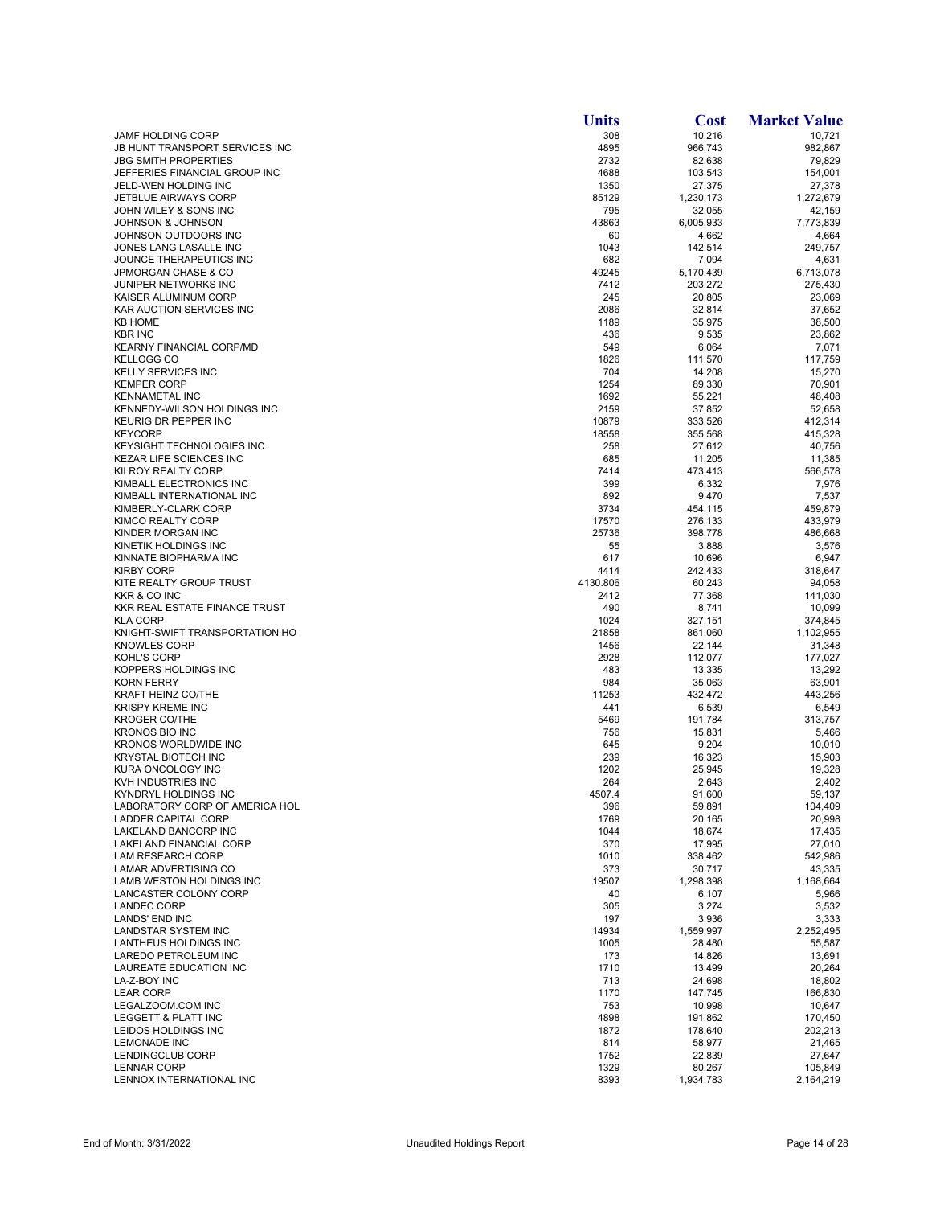|                                                              | <b>Units</b>  | <b>Cost</b>         | <b>Market Value</b>  |
|--------------------------------------------------------------|---------------|---------------------|----------------------|
| <b>JAMF HOLDING CORP</b>                                     | 308           | 10,216              | 10,721               |
| JB HUNT TRANSPORT SERVICES INC                               | 4895          | 966,743             | 982,867              |
| <b>JBG SMITH PROPERTIES</b>                                  | 2732          | 82,638              | 79,829               |
| JEFFERIES FINANCIAL GROUP INC<br>JELD-WEN HOLDING INC        | 4688<br>1350  | 103,543             | 154,001<br>27,378    |
| <b>JETBLUE AIRWAYS CORP</b>                                  | 85129         | 27,375<br>1,230,173 | 1,272,679            |
| JOHN WILEY & SONS INC                                        | 795           | 32,055              | 42,159               |
| JOHNSON & JOHNSON                                            | 43863         | 6,005,933           | 7,773,839            |
| JOHNSON OUTDOORS INC                                         | 60            | 4,662               | 4,664                |
| JONES LANG LASALLE INC                                       | 1043          | 142,514             | 249,757              |
| JOUNCE THERAPEUTICS INC                                      | 682           | 7,094               | 4,631                |
| <b>JPMORGAN CHASE &amp; CO</b>                               | 49245         | 5,170,439           | 6,713,078            |
| JUNIPER NETWORKS INC<br>KAISER ALUMINUM CORP                 | 7412<br>245   | 203,272<br>20,805   | 275,430<br>23,069    |
| KAR AUCTION SERVICES INC                                     | 2086          | 32,814              | 37,652               |
| <b>KB HOME</b>                                               | 1189          | 35,975              | 38,500               |
| <b>KBR INC</b>                                               | 436           | 9,535               | 23,862               |
| <b>KEARNY FINANCIAL CORP/MD</b>                              | 549           | 6,064               | 7,071                |
| <b>KELLOGG CO</b>                                            | 1826          | 111,570             | 117,759              |
| <b>KELLY SERVICES INC</b>                                    | 704           | 14,208              | 15,270               |
| <b>KEMPER CORP</b>                                           | 1254          | 89,330              | 70,901               |
| <b>KENNAMETAL INC</b><br>KENNEDY-WILSON HOLDINGS INC         | 1692<br>2159  | 55,221<br>37,852    | 48,408<br>52,658     |
| KEURIG DR PEPPER INC                                         | 10879         | 333,526             | 412,314              |
| <b>KEYCORP</b>                                               | 18558         | 355,568             | 415,328              |
| <b>KEYSIGHT TECHNOLOGIES INC</b>                             | 258           | 27,612              | 40,756               |
| <b>KEZAR LIFE SCIENCES INC</b>                               | 685           | 11,205              | 11,385               |
| <b>KILROY REALTY CORP</b>                                    | 7414          | 473,413             | 566,578              |
| KIMBALL ELECTRONICS INC                                      | 399           | 6,332               | 7,976                |
| KIMBALL INTERNATIONAL INC                                    | 892           | 9,470               | 7,537                |
| KIMBERLY-CLARK CORP<br>KIMCO REALTY CORP                     | 3734<br>17570 | 454,115             | 459,879              |
| KINDER MORGAN INC                                            | 25736         | 276,133<br>398,778  | 433,979<br>486,668   |
| KINETIK HOLDINGS INC                                         | 55            | 3,888               | 3,576                |
| KINNATE BIOPHARMA INC                                        | 617           | 10,696              | 6,947                |
| <b>KIRBY CORP</b>                                            | 4414          | 242,433             | 318,647              |
| KITE REALTY GROUP TRUST                                      | 4130.806      | 60,243              | 94,058               |
| KKR & CO INC                                                 | 2412          | 77,368              | 141,030              |
| KKR REAL ESTATE FINANCE TRUST                                | 490           | 8,741               | 10,099               |
| <b>KLA CORP</b><br>KNIGHT-SWIFT TRANSPORTATION HO            | 1024<br>21858 | 327,151<br>861,060  | 374,845<br>1,102,955 |
| <b>KNOWLES CORP</b>                                          | 1456          | 22,144              | 31,348               |
| KOHL'S CORP                                                  | 2928          | 112,077             | 177,027              |
| KOPPERS HOLDINGS INC                                         | 483           | 13,335              | 13,292               |
| <b>KORN FERRY</b>                                            | 984           | 35,063              | 63,901               |
| <b>KRAFT HEINZ CO/THE</b>                                    | 11253         | 432,472             | 443,256              |
| <b>KRISPY KREME INC</b><br><b>KROGER CO/THE</b>              | 441           | 6,539               | 6,549                |
| <b>KRONOS BIO INC</b>                                        | 5469<br>756   | 191,784<br>15,831   | 313,757<br>5,466     |
| KRONOS WORLDWIDE INC                                         | 645           | 9,204               | 10,010               |
| <b>KRYSTAL BIOTECH INC</b>                                   | 239           | 16,323              | 15,903               |
| KURA ONCOLOGY INC                                            | 1202          | 25,945              | 19,328               |
| KVH INDUSTRIES INC                                           | 264           | 2,643               | 2,402                |
| KYNDRYL HOLDINGS INC                                         | 4507.4        | 91,600              | 59,137               |
| LABORATORY CORP OF AMERICA HOL<br><b>LADDER CAPITAL CORP</b> | 396<br>1769   | 59,891<br>20,165    | 104,409<br>20,998    |
| LAKELAND BANCORP INC                                         | 1044          | 18,674              | 17,435               |
| LAKELAND FINANCIAL CORP                                      | 370           | 17,995              | 27,010               |
| LAM RESEARCH CORP                                            | 1010          | 338,462             | 542,986              |
| LAMAR ADVERTISING CO                                         | 373           | 30,717              | 43,335               |
| LAMB WESTON HOLDINGS INC                                     | 19507         | 1,298,398           | 1,168,664            |
| <b>LANCASTER COLONY CORP</b>                                 | 40            | 6,107               | 5,966                |
| <b>LANDEC CORP</b><br><b>LANDS' END INC</b>                  | 305           | 3,274               | 3,532                |
| <b>LANDSTAR SYSTEM INC</b>                                   | 197<br>14934  | 3,936<br>1,559,997  | 3,333<br>2,252,495   |
| LANTHEUS HOLDINGS INC                                        | 1005          | 28,480              | 55,587               |
| LAREDO PETROLEUM INC                                         | 173           | 14,826              | 13,691               |
| LAUREATE EDUCATION INC                                       | 1710          | 13,499              | 20,264               |
| LA-Z-BOY INC                                                 | 713           | 24,698              | 18,802               |
| <b>LEAR CORP</b>                                             | 1170          | 147,745             | 166,830              |
| LEGALZOOM.COM INC<br>LEGGETT & PLATT INC                     | 753<br>4898   | 10,998              | 10,647<br>170,450    |
| LEIDOS HOLDINGS INC                                          | 1872          | 191,862<br>178,640  | 202,213              |
| <b>LEMONADE INC</b>                                          | 814           | 58,977              | 21,465               |
| LENDINGCLUB CORP                                             | 1752          | 22,839              | 27,647               |
| <b>LENNAR CORP</b>                                           | 1329          | 80,267              | 105,849              |
| LENNOX INTERNATIONAL INC                                     | 8393          | 1,934,783           | 2,164,219            |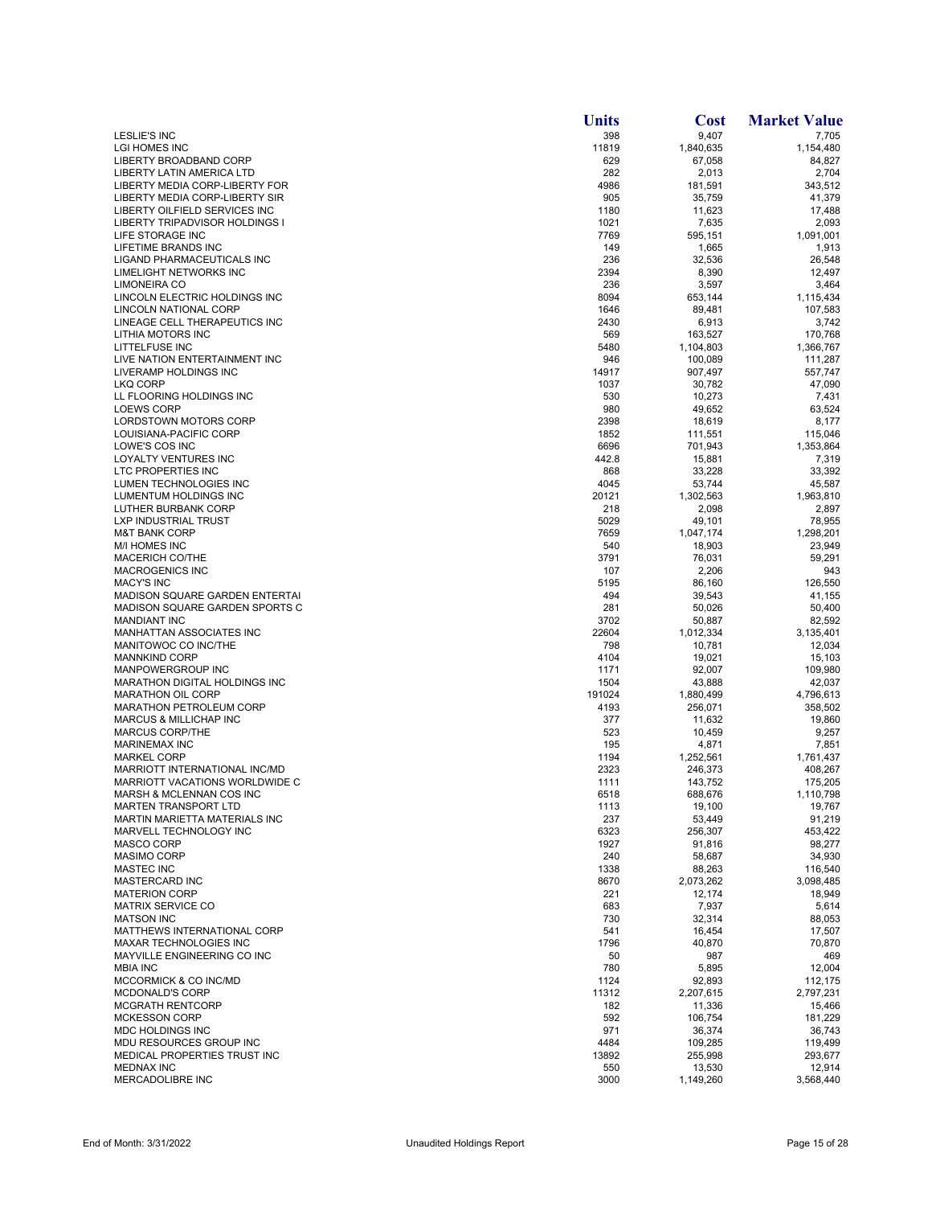|                                                                 | <b>Units</b> | <b>Cost</b>          | <b>Market Value</b>  |
|-----------------------------------------------------------------|--------------|----------------------|----------------------|
| LESLIE'S INC                                                    | 398          | 9,407                | 7,705                |
| <b>LGI HOMES INC</b>                                            | 11819        | 1,840,635            | 1,154,480            |
| LIBERTY BROADBAND CORP                                          | 629          | 67,058               | 84,827               |
| LIBERTY LATIN AMERICA LTD                                       | 282          | 2,013                | 2,704                |
| LIBERTY MEDIA CORP-LIBERTY FOR                                  | 4986         | 181,591              | 343,512              |
| LIBERTY MEDIA CORP-LIBERTY SIR<br>LIBERTY OILFIELD SERVICES INC | 905<br>1180  | 35,759<br>11,623     | 41,379<br>17,488     |
| LIBERTY TRIPADVISOR HOLDINGS I                                  | 1021         | 7,635                | 2,093                |
| LIFE STORAGE INC                                                | 7769         | 595,151              | 1,091,001            |
| LIFETIME BRANDS INC                                             | 149          | 1,665                | 1,913                |
| LIGAND PHARMACEUTICALS INC                                      | 236          | 32,536               | 26,548               |
| LIMELIGHT NETWORKS INC                                          | 2394         | 8,390                | 12,497               |
| LIMONEIRA CO                                                    | 236          | 3,597                | 3,464                |
| LINCOLN ELECTRIC HOLDINGS INC                                   | 8094         | 653,144              | 1,115,434            |
| LINCOLN NATIONAL CORP<br>LINEAGE CELL THERAPEUTICS INC          | 1646<br>2430 | 89,481<br>6,913      | 107,583<br>3,742     |
| LITHIA MOTORS INC                                               | 569          | 163,527              | 170,768              |
| LITTELFUSE INC                                                  | 5480         | 1,104,803            | 1,366,767            |
| LIVE NATION ENTERTAINMENT INC                                   | 946          | 100,089              | 111,287              |
| LIVERAMP HOLDINGS INC                                           | 14917        | 907,497              | 557,747              |
| LKQ CORP                                                        | 1037         | 30,782               | 47,090               |
| LL FLOORING HOLDINGS INC                                        | 530          | 10,273               | 7,431                |
| <b>LOEWS CORP</b>                                               | 980          | 49,652               | 63,524               |
| LORDSTOWN MOTORS CORP<br>LOUISIANA-PACIFIC CORP                 | 2398<br>1852 | 18,619<br>111,551    | 8,177<br>115,046     |
| LOWE'S COS INC                                                  | 6696         | 701,943              | 1,353,864            |
| <b>LOYALTY VENTURES INC</b>                                     | 442.8        | 15,881               | 7,319                |
| <b>LTC PROPERTIES INC</b>                                       | 868          | 33,228               | 33,392               |
| LUMEN TECHNOLOGIES INC                                          | 4045         | 53,744               | 45,587               |
| LUMENTUM HOLDINGS INC                                           | 20121        | 1,302,563            | 1,963,810            |
| LUTHER BURBANK CORP                                             | 218          | 2,098                | 2,897                |
| LXP INDUSTRIAL TRUST                                            | 5029         | 49,101               | 78,955               |
| <b>M&amp;T BANK CORP</b><br><b>M/I HOMES INC</b>                | 7659<br>540  | 1,047,174            | 1,298,201<br>23.949  |
| <b>MACERICH CO/THE</b>                                          | 3791         | 18,903<br>76,031     | 59,291               |
| <b>MACROGENICS INC</b>                                          | 107          | 2,206                | 943                  |
| <b>MACY'S INC</b>                                               | 5195         | 86,160               | 126,550              |
| <b>MADISON SQUARE GARDEN ENTERTAI</b>                           | 494          | 39,543               | 41,155               |
| <b>MADISON SQUARE GARDEN SPORTS C</b>                           | 281          | 50,026               | 50,400               |
| <b>MANDIANT INC</b>                                             | 3702         | 50,887               | 82,592               |
| MANHATTAN ASSOCIATES INC                                        | 22604        | 1,012,334            | 3,135,401            |
| MANITOWOC CO INC/THE<br><b>MANNKIND CORP</b>                    | 798<br>4104  | 10,781<br>19,021     | 12,034<br>15,103     |
| MANPOWERGROUP INC                                               | 1171         | 92,007               | 109,980              |
| MARATHON DIGITAL HOLDINGS INC                                   | 1504         | 43,888               | 42,037               |
| <b>MARATHON OIL CORP</b>                                        | 191024       | 1,880,499            | 4,796,613            |
| <b>MARATHON PETROLEUM CORP</b>                                  | 4193         | 256,071              | 358,502              |
| <b>MARCUS &amp; MILLICHAP INC</b>                               | 377          | 11,632               | 19,860               |
| <b>MARCUS CORP/THE</b>                                          | 523          | 10,459               | 9,257                |
| <b>MARINEMAX INC</b>                                            | 195          | 4,871                | 7,851                |
| <b>MARKEL CORP</b><br>MARRIOTT INTERNATIONAL INC/MD             | 1194<br>2323 | 1,252,561<br>246,373 | 1,761,437<br>408,267 |
| MARRIOTT VACATIONS WORLDWIDE C                                  | 1111         | 143,752              | 175,205              |
| MARSH & MCLENNAN COS INC                                        | 6518         | 688.676              | 1,110,798            |
| <b>MARTEN TRANSPORT LTD</b>                                     | 1113         | 19,100               | 19,767               |
| <b>MARTIN MARIETTA MATERIALS INC</b>                            | 237          | 53,449               | 91,219               |
| MARVELL TECHNOLOGY INC                                          | 6323         | 256,307              | 453,422              |
| <b>MASCO CORP</b>                                               | 1927         | 91,816               | 98,277               |
| <b>MASIMO CORP</b><br>MASTEC INC                                | 240<br>1338  | 58,687<br>88,263     | 34,930<br>116,540    |
| MASTERCARD INC                                                  | 8670         | 2,073,262            | 3,098,485            |
| <b>MATERION CORP</b>                                            | 221          | 12,174               | 18,949               |
| <b>MATRIX SERVICE CO</b>                                        | 683          | 7,937                | 5,614                |
| <b>MATSON INC</b>                                               | 730          | 32,314               | 88,053               |
| MATTHEWS INTERNATIONAL CORP                                     | 541          | 16,454               | 17,507               |
| MAXAR TECHNOLOGIES INC                                          | 1796         | 40,870               | 70,870               |
| MAYVILLE ENGINEERING CO INC<br><b>MBIA INC</b>                  | 50           | 987                  | 469                  |
| MCCORMICK & CO INC/MD                                           | 780<br>1124  | 5,895<br>92,893      | 12,004<br>112,175    |
| <b>MCDONALD'S CORP</b>                                          | 11312        | 2,207,615            | 2,797,231            |
| <b>MCGRATH RENTCORP</b>                                         | 182          | 11,336               | 15,466               |
| <b>MCKESSON CORP</b>                                            | 592          | 106,754              | 181,229              |
| MDC HOLDINGS INC                                                | 971          | 36,374               | 36,743               |
| MDU RESOURCES GROUP INC                                         | 4484         | 109,285              | 119,499              |
| MEDICAL PROPERTIES TRUST INC                                    | 13892        | 255,998              | 293,677              |
| <b>MEDNAX INC</b>                                               | 550          | 13,530               | 12,914               |
| MERCADOLIBRE INC                                                | 3000         | 1,149,260            | 3,568,440            |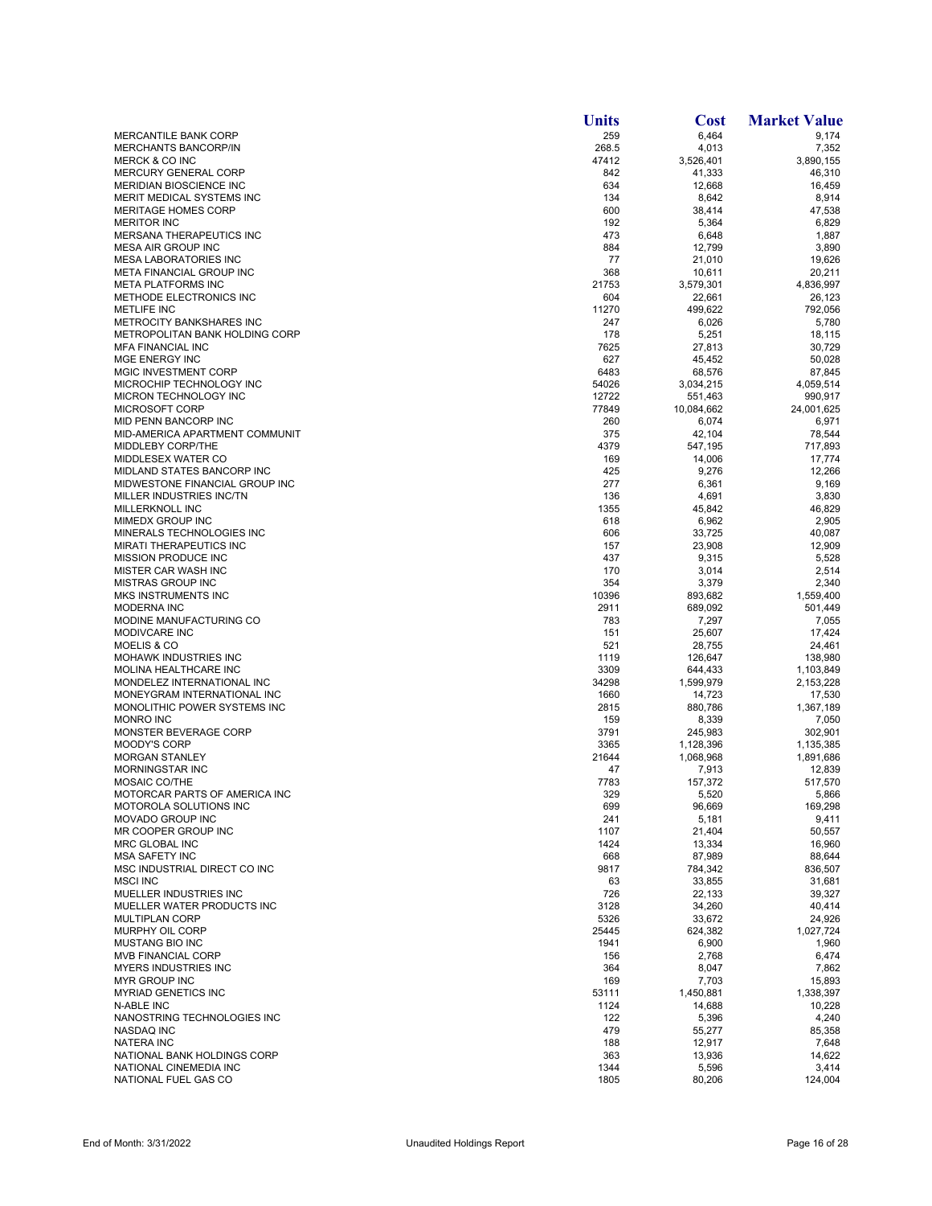|                                                                 | <b>Units</b>  | <b>Cost</b>         | <b>Market Value</b> |
|-----------------------------------------------------------------|---------------|---------------------|---------------------|
| MERCANTILE BANK CORP                                            | 259           | 6,464               | 9,174               |
| <b>MERCHANTS BANCORP/IN</b>                                     | 268.5         | 4,013               | 7,352               |
| <b>MERCK &amp; CO INC</b><br><b>MERCURY GENERAL CORP</b>        | 47412<br>842  | 3,526,401<br>41,333 | 3,890,155<br>46,310 |
| <b>MERIDIAN BIOSCIENCE INC</b>                                  | 634           | 12,668              | 16,459              |
| MERIT MEDICAL SYSTEMS INC                                       | 134           | 8,642               | 8,914               |
| <b>MERITAGE HOMES CORP</b>                                      | 600           | 38,414              | 47,538              |
| <b>MERITOR INC</b>                                              | 192           | 5,364               | 6,829               |
| <b>MERSANA THERAPEUTICS INC</b>                                 | 473           | 6,648               | 1,887               |
| <b>MESA AIR GROUP INC</b>                                       | 884           | 12,799              | 3,890               |
| <b>MESA LABORATORIES INC</b><br><b>META FINANCIAL GROUP INC</b> | 77<br>368     | 21,010<br>10,611    | 19,626<br>20,211    |
| <b>META PLATFORMS INC</b>                                       | 21753         | 3,579,301           | 4,836,997           |
| METHODE ELECTRONICS INC                                         | 604           | 22,661              | 26,123              |
| <b>METLIFE INC</b>                                              | 11270         | 499,622             | 792,056             |
| <b>METROCITY BANKSHARES INC</b>                                 | 247           | 6,026               | 5,780               |
| METROPOLITAN BANK HOLDING CORP                                  | 178           | 5,251               | 18,115              |
| <b>MFA FINANCIAL INC</b><br>MGE ENERGY INC                      | 7625<br>627   | 27,813              | 30,729<br>50,028    |
| <b>MGIC INVESTMENT CORP</b>                                     | 6483          | 45,452<br>68,576    | 87,845              |
| MICROCHIP TECHNOLOGY INC                                        | 54026         | 3,034,215           | 4,059,514           |
| MICRON TECHNOLOGY INC                                           | 12722         | 551,463             | 990,917             |
| MICROSOFT CORP                                                  | 77849         | 10,084,662          | 24,001,625          |
| MID PENN BANCORP INC                                            | 260           | 6,074               | 6,971               |
| MID-AMERICA APARTMENT COMMUNIT                                  | 375           | 42,104              | 78,544              |
| MIDDLEBY CORP/THE                                               | 4379          | 547,195             | 717,893             |
| MIDDLESEX WATER CO                                              | 169           | 14,006              | 17,774              |
| MIDLAND STATES BANCORP INC<br>MIDWESTONE FINANCIAL GROUP INC    | 425<br>277    | 9,276<br>6,361      | 12,266<br>9,169     |
| MILLER INDUSTRIES INC/TN                                        | 136           | 4,691               | 3,830               |
| <b>MILLERKNOLL INC</b>                                          | 1355          | 45,842              | 46,829              |
| MIMEDX GROUP INC                                                | 618           | 6,962               | 2,905               |
| MINERALS TECHNOLOGIES INC                                       | 606           | 33,725              | 40,087              |
| MIRATI THERAPEUTICS INC                                         | 157           | 23,908              | 12,909              |
| MISSION PRODUCE INC                                             | 437           | 9,315               | 5,528               |
| MISTER CAR WASH INC                                             | 170           | 3,014               | 2,514               |
| <b>MISTRAS GROUP INC</b><br><b>MKS INSTRUMENTS INC</b>          | 354<br>10396  | 3,379<br>893,682    | 2,340<br>1,559,400  |
| <b>MODERNA INC</b>                                              | 2911          | 689,092             | 501,449             |
| MODINE MANUFACTURING CO                                         | 783           | 7,297               | 7,055               |
| <b>MODIVCARE INC</b>                                            | 151           | 25,607              | 17,424              |
| MOELIS & CO                                                     | 521           | 28,755              | 24,461              |
| <b>MOHAWK INDUSTRIES INC</b>                                    | 1119          | 126,647             | 138,980             |
| MOLINA HEALTHCARE INC                                           | 3309          | 644,433             | 1,103,849           |
| MONDELEZ INTERNATIONAL INC<br>MONEYGRAM INTERNATIONAL INC       | 34298<br>1660 | 1,599,979<br>14,723 | 2,153,228<br>17,530 |
| MONOLITHIC POWER SYSTEMS INC                                    | 2815          | 880.786             | 1,367,189           |
| <b>MONRO INC</b>                                                | 159           | 8,339               | 7,050               |
| MONSTER BEVERAGE CORP                                           | 3791          | 245,983             | 302,901             |
| <b>MOODY'S CORP</b>                                             | 3365          | 1,128,396           | 1,135,385           |
| <b>MORGAN STANLEY</b>                                           | 21644         | 1,068,968           | 1,891,686           |
| <b>MORNINGSTAR INC</b>                                          | 47            | 7,913               | 12,839              |
| MOSAIC CO/THE                                                   | 7783<br>329   | 157,372             | 517,570             |
| MOTORCAR PARTS OF AMERICA INC<br>MOTOROLA SOLUTIONS INC         | 699           | 5,520<br>96,669     | 5,866<br>169,298    |
| MOVADO GROUP INC                                                | 241           | 5,181               | 9,411               |
| MR COOPER GROUP INC                                             | 1107          | 21,404              | 50,557              |
| MRC GLOBAL INC                                                  | 1424          | 13,334              | 16,960              |
| <b>MSA SAFETY INC</b>                                           | 668           | 87,989              | 88,644              |
| MSC INDUSTRIAL DIRECT CO INC                                    | 9817          | 784,342             | 836,507             |
| <b>MSCI INC</b>                                                 | 63            | 33,855              | 31,681              |
| MUELLER INDUSTRIES INC<br>MUELLER WATER PRODUCTS INC            | 726           | 22,133              | 39,327              |
| <b>MULTIPLAN CORP</b>                                           | 3128<br>5326  | 34,260<br>33,672    | 40,414<br>24,926    |
| MURPHY OIL CORP                                                 | 25445         | 624,382             | 1,027,724           |
| <b>MUSTANG BIO INC</b>                                          | 1941          | 6,900               | 1,960               |
| <b>MVB FINANCIAL CORP</b>                                       | 156           | 2,768               | 6,474               |
| <b>MYERS INDUSTRIES INC</b>                                     | 364           | 8,047               | 7,862               |
| <b>MYR GROUP INC</b>                                            | 169           | 7,703               | 15,893              |
| <b>MYRIAD GENETICS INC</b>                                      | 53111         | 1,450,881           | 1,338,397           |
| N-ABLE INC<br>NANOSTRING TECHNOLOGIES INC                       | 1124<br>122   | 14,688              | 10,228              |
| NASDAQ INC                                                      | 479           | 5,396<br>55,277     | 4,240<br>85,358     |
| <b>NATERA INC</b>                                               | 188           | 12,917              | 7,648               |
| NATIONAL BANK HOLDINGS CORP                                     | 363           | 13,936              | 14,622              |
| NATIONAL CINEMEDIA INC                                          | 1344          | 5,596               | 3,414               |
| NATIONAL FUEL GAS CO                                            | 1805          | 80,206              | 124,004             |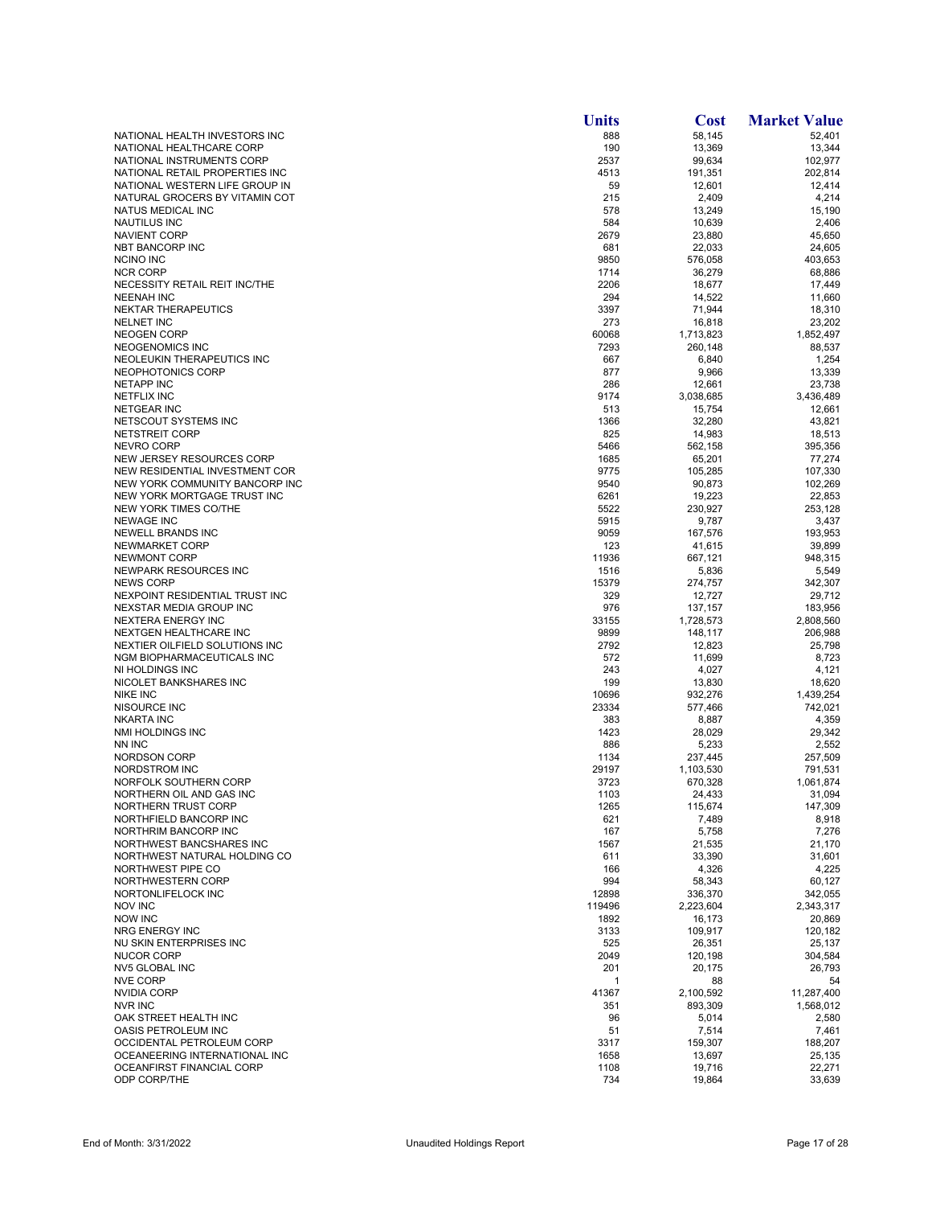|                                                             | <b>Units</b>    | <b>Cost</b>          | <b>Market Value</b>  |
|-------------------------------------------------------------|-----------------|----------------------|----------------------|
| NATIONAL HEALTH INVESTORS INC                               | 888             | 58,145               | 52,401               |
| NATIONAL HEALTHCARE CORP                                    | 190             | 13,369               | 13,344               |
| NATIONAL INSTRUMENTS CORP<br>NATIONAL RETAIL PROPERTIES INC | 2537<br>4513    | 99,634               | 102,977<br>202,814   |
| NATIONAL WESTERN LIFE GROUP IN                              | 59              | 191,351<br>12,601    | 12,414               |
| NATURAL GROCERS BY VITAMIN COT                              | 215             | 2,409                | 4,214                |
| NATUS MEDICAL INC                                           | 578             | 13,249               | 15,190               |
| <b>NAUTILUS INC</b>                                         | 584             | 10,639               | 2,406                |
| <b>NAVIENT CORP</b>                                         | 2679            | 23,880               | 45,650               |
| NBT BANCORP INC                                             | 681             | 22,033               | 24,605               |
| NCINO INC<br><b>NCR CORP</b>                                | 9850<br>1714    | 576,058<br>36,279    | 403,653<br>68,886    |
| NECESSITY RETAIL REIT INC/THE                               | 2206            | 18,677               | 17,449               |
| <b>NEENAH INC</b>                                           | 294             | 14,522               | 11,660               |
| NEKTAR THERAPEUTICS                                         | 3397            | 71,944               | 18,310               |
| <b>NELNET INC</b>                                           | 273             | 16,818               | 23,202               |
| <b>NEOGEN CORP</b>                                          | 60068           | 1,713,823            | 1,852,497            |
| NEOGENOMICS INC                                             | 7293            | 260,148              | 88,537               |
| NEOLEUKIN THERAPEUTICS INC<br>NEOPHOTONICS CORP             | 667<br>877      | 6,840<br>9,966       | 1,254<br>13,339      |
| <b>NETAPP INC</b>                                           | 286             | 12,661               | 23,738               |
| <b>NETFLIX INC</b>                                          | 9174            | 3,038,685            | 3,436,489            |
| <b>NETGEAR INC</b>                                          | 513             | 15,754               | 12,661               |
| NETSCOUT SYSTEMS INC                                        | 1366            | 32,280               | 43,821               |
| NETSTREIT CORP                                              | 825             | 14,983               | 18,513               |
| <b>NEVRO CORP</b>                                           | 5466            | 562,158              | 395,356              |
| NEW JERSEY RESOURCES CORP<br>NEW RESIDENTIAL INVESTMENT COR | 1685<br>9775    | 65,201<br>105,285    | 77,274<br>107,330    |
| NEW YORK COMMUNITY BANCORP INC                              | 9540            | 90,873               | 102,269              |
| NEW YORK MORTGAGE TRUST INC                                 | 6261            | 19,223               | 22,853               |
| NEW YORK TIMES CO/THE                                       | 5522            | 230,927              | 253,128              |
| <b>NEWAGE INC</b>                                           | 5915            | 9,787                | 3,437                |
| <b>NEWELL BRANDS INC</b>                                    | 9059            | 167,576              | 193,953              |
| NEWMARKET CORP                                              | 123             | 41,615               | 39,899               |
| NEWMONT CORP                                                | 11936           | 667,121              | 948,315              |
| NEWPARK RESOURCES INC<br><b>NEWS CORP</b>                   | 1516<br>15379   | 5,836<br>274,757     | 5,549<br>342,307     |
| NEXPOINT RESIDENTIAL TRUST INC                              | 329             | 12,727               | 29,712               |
| NEXSTAR MEDIA GROUP INC                                     | 976             | 137,157              | 183,956              |
| NEXTERA ENERGY INC                                          | 33155           | 1,728,573            | 2,808,560            |
| NEXTGEN HEALTHCARE INC                                      | 9899            | 148,117              | 206,988              |
| NEXTIER OILFIELD SOLUTIONS INC                              | 2792            | 12,823               | 25,798               |
| NGM BIOPHARMACEUTICALS INC                                  | 572             | 11,699               | 8,723                |
| NI HOLDINGS INC<br>NICOLET BANKSHARES INC                   | 243<br>199      | 4,027                | 4,121                |
| <b>NIKE INC</b>                                             | 10696           | 13,830<br>932,276    | 18,620<br>1,439,254  |
| NISOURCE INC                                                | 23334           | 577,466              | 742,021              |
| <b>NKARTA INC</b>                                           | 383             | 8,887                | 4,359                |
| <b>NMI HOLDINGS INC</b>                                     | 1423            | 28,029               | 29,342               |
| NN INC                                                      | 886             | 5,233                | 2,552                |
| <b>NORDSON CORP</b>                                         | 1134            | 237,445              | 257,509              |
| NORDSTROM INC                                               | 29197           | 1,103,530            | 791,531              |
| NORFOLK SOUTHERN CORP<br>NORTHERN OIL AND GAS INC           | 3723<br>1103    | 670,328<br>24,433    | 1,061,874<br>31,094  |
| NORTHERN TRUST CORP                                         | 1265            | 115,674              | 147,309              |
| NORTHFIELD BANCORP INC                                      | 621             | 7,489                | 8,918                |
| NORTHRIM BANCORP INC                                        | 167             | 5,758                | 7,276                |
| NORTHWEST BANCSHARES INC                                    | 1567            | 21,535               | 21,170               |
| NORTHWEST NATURAL HOLDING CO                                | 611             | 33,390               | 31,601               |
| NORTHWEST PIPE CO                                           | 166             | 4,326                | 4,225                |
| NORTHWESTERN CORP                                           | 994             | 58,343               | 60,127               |
| NORTONLIFELOCK INC<br><b>NOV INC</b>                        | 12898<br>119496 | 336,370<br>2,223,604 | 342,055<br>2,343,317 |
| <b>NOW INC</b>                                              | 1892            | 16,173               | 20,869               |
| <b>NRG ENERGY INC</b>                                       | 3133            | 109,917              | 120,182              |
| NU SKIN ENTERPRISES INC                                     | 525             | 26,351               | 25,137               |
| <b>NUCOR CORP</b>                                           | 2049            | 120,198              | 304,584              |
| NV5 GLOBAL INC                                              | 201             | 20,175               | 26,793               |
| <b>NVE CORP</b>                                             | 1               | 88                   | 54                   |
| <b>NVIDIA CORP</b>                                          | 41367           | 2,100,592            | 11,287,400           |
| <b>NVR INC</b><br>OAK STREET HEALTH INC                     | 351<br>96       | 893,309<br>5,014     | 1,568,012<br>2,580   |
| OASIS PETROLEUM INC                                         | 51              | 7,514                | 7,461                |
| OCCIDENTAL PETROLEUM CORP                                   | 3317            | 159,307              | 188,207              |
| OCEANEERING INTERNATIONAL INC                               | 1658            | 13,697               | 25,135               |
| OCEANFIRST FINANCIAL CORP                                   | 1108            | 19,716               | 22,271               |
| ODP CORP/THE                                                | 734             | 19,864               | 33,639               |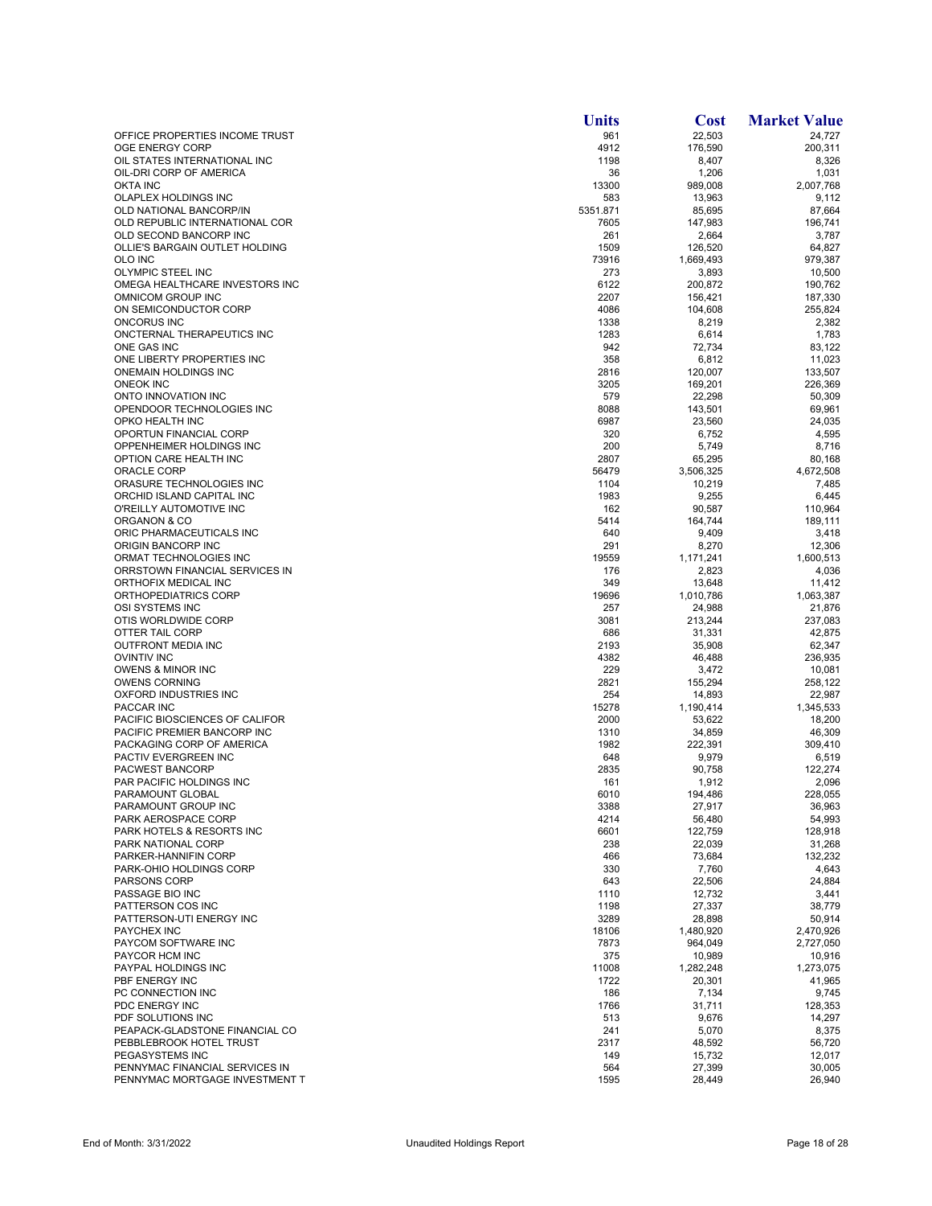|                                                         | <b>Units</b>  | <b>Cost</b>         | <b>Market Value</b> |
|---------------------------------------------------------|---------------|---------------------|---------------------|
| OFFICE PROPERTIES INCOME TRUST                          | 961           | 22,503              | 24,727              |
| OGE ENERGY CORP                                         | 4912          | 176,590             | 200,311             |
| OIL STATES INTERNATIONAL INC<br>OIL-DRI CORP OF AMERICA | 1198<br>36    | 8,407               | 8,326<br>1,031      |
| <b>OKTA INC</b>                                         | 13300         | 1,206<br>989,008    | 2,007,768           |
| OLAPLEX HOLDINGS INC                                    | 583           | 13,963              | 9,112               |
| OLD NATIONAL BANCORP/IN                                 | 5351.871      | 85,695              | 87.664              |
| OLD REPUBLIC INTERNATIONAL COR                          | 7605          | 147,983             | 196,741             |
| OLD SECOND BANCORP INC                                  | 261           | 2,664               | 3,787               |
| OLLIE'S BARGAIN OUTLET HOLDING                          | 1509          | 126,520             | 64,827              |
| OLO INC<br>OLYMPIC STEEL INC                            | 73916<br>273  | 1,669,493<br>3,893  | 979,387<br>10.500   |
| OMEGA HEALTHCARE INVESTORS INC                          | 6122          | 200,872             | 190,762             |
| OMNICOM GROUP INC                                       | 2207          | 156,421             | 187,330             |
| ON SEMICONDUCTOR CORP                                   | 4086          | 104,608             | 255,824             |
| ONCORUS INC                                             | 1338          | 8,219               | 2,382               |
| ONCTERNAL THERAPEUTICS INC                              | 1283          | 6,614               | 1,783               |
| ONE GAS INC                                             | 942           | 72,734              | 83,122              |
| ONE LIBERTY PROPERTIES INC<br>ONEMAIN HOLDINGS INC      | 358<br>2816   | 6,812<br>120,007    | 11,023<br>133,507   |
| <b>ONEOK INC</b>                                        | 3205          | 169,201             | 226,369             |
| ONTO INNOVATION INC                                     | 579           | 22,298              | 50,309              |
| OPENDOOR TECHNOLOGIES INC                               | 8088          | 143,501             | 69,961              |
| OPKO HEALTH INC                                         | 6987          | 23,560              | 24,035              |
| OPORTUN FINANCIAL CORP                                  | 320           | 6,752               | 4,595               |
| OPPENHEIMER HOLDINGS INC                                | 200           | 5,749               | 8,716               |
| OPTION CARE HEALTH INC                                  | 2807          | 65,295              | 80,168              |
| <b>ORACLE CORP</b><br>ORASURE TECHNOLOGIES INC          | 56479<br>1104 | 3,506,325           | 4,672,508           |
| ORCHID ISLAND CAPITAL INC                               | 1983          | 10,219<br>9,255     | 7,485<br>6,445      |
| O'REILLY AUTOMOTIVE INC                                 | 162           | 90,587              | 110,964             |
| ORGANON & CO                                            | 5414          | 164,744             | 189,111             |
| ORIC PHARMACEUTICALS INC                                | 640           | 9,409               | 3,418               |
| ORIGIN BANCORP INC                                      | 291           | 8,270               | 12,306              |
| ORMAT TECHNOLOGIES INC                                  | 19559         | 1,171,241           | 1,600,513           |
| ORRSTOWN FINANCIAL SERVICES IN                          | 176           | 2,823               | 4,036               |
| ORTHOFIX MEDICAL INC                                    | 349           | 13,648              | 11,412              |
| ORTHOPEDIATRICS CORP<br>OSI SYSTEMS INC                 | 19696<br>257  | 1,010,786<br>24,988 | 1,063,387<br>21,876 |
| OTIS WORLDWIDE CORP                                     | 3081          | 213,244             | 237,083             |
| OTTER TAIL CORP                                         | 686           | 31,331              | 42,875              |
| <b>OUTFRONT MEDIA INC</b>                               | 2193          | 35,908              | 62,347              |
| <b>OVINTIV INC</b>                                      | 4382          | 46,488              | 236,935             |
| <b>OWENS &amp; MINOR INC</b>                            | 229           | 3,472               | 10,081              |
| <b>OWENS CORNING</b>                                    | 2821          | 155,294             | 258,122             |
| OXFORD INDUSTRIES INC                                   | 254           | 14,893              | 22,987              |
| PACCAR INC<br>PACIFIC BIOSCIENCES OF CALIFOR            | 15278<br>2000 | 1,190,414<br>53,622 | 1,345,533<br>18,200 |
| PACIFIC PREMIER BANCORP INC                             | 1310          | 34,859              | 46,309              |
| PACKAGING CORP OF AMERICA                               | 1982          | 222,391             | 309,410             |
| PACTIV EVERGREEN INC                                    | 648           | 9,979               | 6,519               |
| PACWEST BANCORP                                         | 2835          | 90,758              | 122,274             |
| PAR PACIFIC HOLDINGS INC                                | 161           | 1,912               | 2,096               |
| PARAMOUNT GLOBAL                                        | 6010          | 194,486             | 228,055             |
| PARAMOUNT GROUP INC                                     | 3388          | 27,917              | 36,963              |
| PARK AEROSPACE CORP<br>PARK HOTELS & RESORTS INC        | 4214<br>6601  | 56,480<br>122,759   | 54,993<br>128,918   |
| PARK NATIONAL CORP                                      | 238           | 22,039              | 31,268              |
| PARKER-HANNIFIN CORP                                    | 466           | 73,684              | 132,232             |
| PARK-OHIO HOLDINGS CORP                                 | 330           | 7,760               | 4,643               |
| <b>PARSONS CORP</b>                                     | 643           | 22,506              | 24,884              |
| PASSAGE BIO INC                                         | 1110          | 12,732              | 3,441               |
| PATTERSON COS INC                                       | 1198          | 27,337              | 38,779              |
| PATTERSON-UTI ENERGY INC                                | 3289          | 28,898              | 50,914              |
| <b>PAYCHEX INC</b><br>PAYCOM SOFTWARE INC               | 18106<br>7873 | 1,480,920           | 2,470,926           |
| PAYCOR HCM INC                                          | 375           | 964,049<br>10,989   | 2,727,050<br>10,916 |
| PAYPAL HOLDINGS INC                                     | 11008         | 1,282,248           | 1,273,075           |
| PBF ENERGY INC                                          | 1722          | 20,301              | 41,965              |
| PC CONNECTION INC                                       | 186           | 7,134               | 9,745               |
| PDC ENERGY INC                                          | 1766          | 31,711              | 128,353             |
| PDF SOLUTIONS INC                                       | 513           | 9,676               | 14,297              |
| PEAPACK-GLADSTONE FINANCIAL CO                          | 241           | 5,070               | 8,375               |
| PEBBLEBROOK HOTEL TRUST                                 | 2317          | 48,592              | 56,720              |
| PEGASYSTEMS INC<br>PENNYMAC FINANCIAL SERVICES IN       | 149<br>564    | 15,732              | 12,017<br>30,005    |
| PENNYMAC MORTGAGE INVESTMENT T                          | 1595          | 27,399<br>28,449    | 26,940              |
|                                                         |               |                     |                     |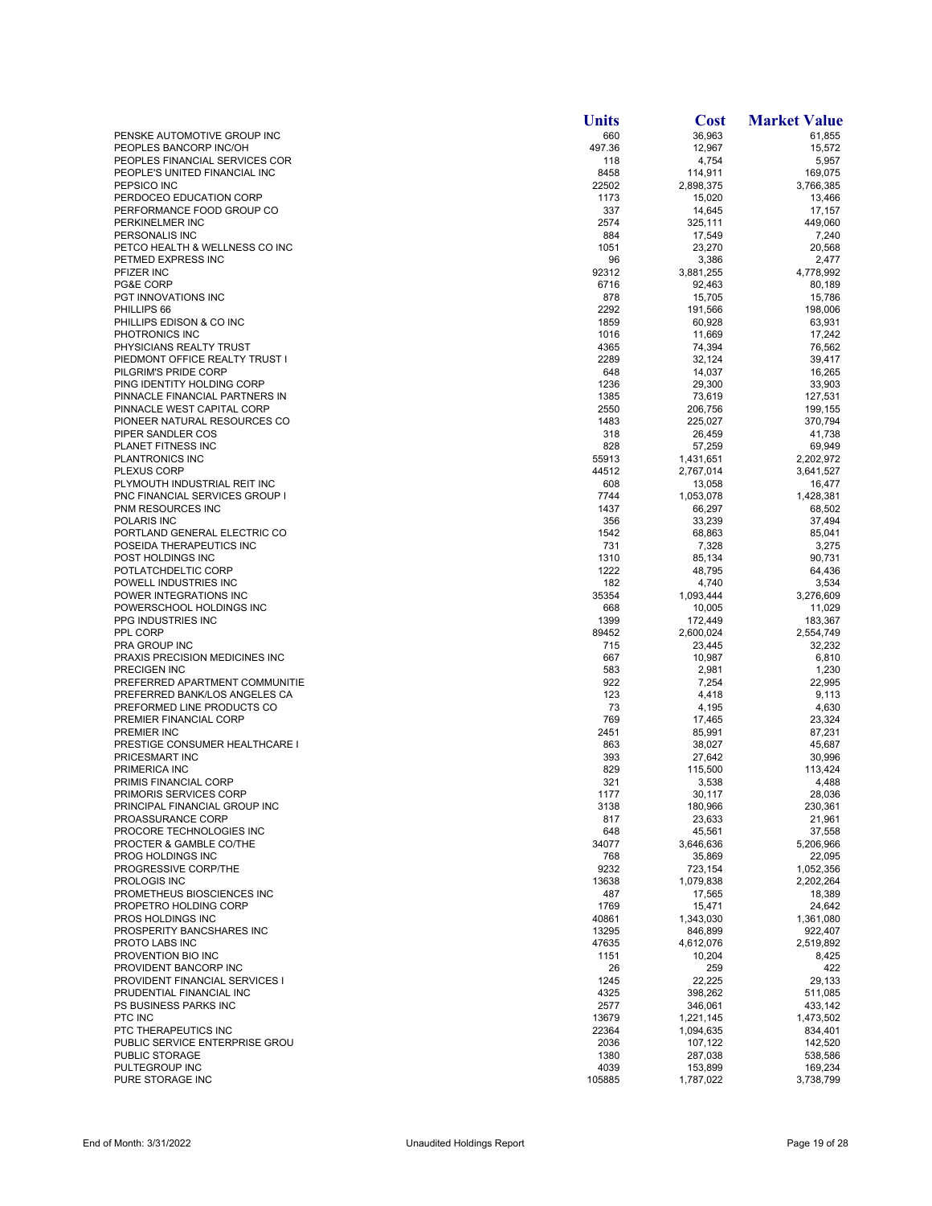|                                                      | <b>Units</b> | <b>Cost</b>            | <b>Market Value</b>    |
|------------------------------------------------------|--------------|------------------------|------------------------|
| PENSKE AUTOMOTIVE GROUP INC                          | 660          | 36,963                 | 61,855                 |
| PEOPLES BANCORP INC/OH                               | 497.36       | 12,967                 | 15,572                 |
| PEOPLES FINANCIAL SERVICES COR                       | 118          | 4,754                  | 5,957                  |
| PEOPLE'S UNITED FINANCIAL INC                        | 8458         | 114,911                | 169,075                |
| PEPSICO INC                                          | 22502        | 2,898,375              | 3,766,385              |
| PERDOCEO EDUCATION CORP<br>PERFORMANCE FOOD GROUP CO | 1173<br>337  | 15,020<br>14,645       | 13,466<br>17,157       |
| PERKINELMER INC                                      | 2574         | 325,111                | 449,060                |
| PERSONALIS INC                                       | 884          | 17,549                 | 7,240                  |
| PETCO HEALTH & WELLNESS CO INC                       | 1051         | 23,270                 | 20,568                 |
| PETMED EXPRESS INC                                   | 96           | 3,386                  | 2,477                  |
| PFIZER INC                                           | 92312        | 3,881,255              | 4,778,992              |
| PG&E CORP                                            | 6716         | 92,463                 | 80,189                 |
| PGT INNOVATIONS INC                                  | 878          | 15,705                 | 15,786                 |
| PHILLIPS 66<br>PHILLIPS EDISON & CO INC              | 2292         | 191,566                | 198,006                |
| PHOTRONICS INC                                       | 1859<br>1016 | 60,928<br>11,669       | 63,931<br>17,242       |
| PHYSICIANS REALTY TRUST                              | 4365         | 74,394                 | 76,562                 |
| PIEDMONT OFFICE REALTY TRUST I                       | 2289         | 32,124                 | 39,417                 |
| PILGRIM'S PRIDE CORP                                 | 648          | 14,037                 | 16,265                 |
| PING IDENTITY HOLDING CORP                           | 1236         | 29,300                 | 33,903                 |
| PINNACLE FINANCIAL PARTNERS IN                       | 1385         | 73,619                 | 127,531                |
| PINNACLE WEST CAPITAL CORP                           | 2550         | 206,756                | 199,155                |
| PIONEER NATURAL RESOURCES CO                         | 1483         | 225,027                | 370,794                |
| PIPER SANDLER COS                                    | 318          | 26,459                 | 41,738                 |
| PLANET FITNESS INC<br>PLANTRONICS INC                | 828<br>55913 | 57,259                 | 69,949                 |
| <b>PLEXUS CORP</b>                                   | 44512        | 1,431,651<br>2,767,014 | 2,202,972<br>3,641,527 |
| PLYMOUTH INDUSTRIAL REIT INC                         | 608          | 13,058                 | 16,477                 |
| PNC FINANCIAL SERVICES GROUP I                       | 7744         | 1,053,078              | 1,428,381              |
| PNM RESOURCES INC                                    | 1437         | 66,297                 | 68,502                 |
| POLARIS INC                                          | 356          | 33,239                 | 37,494                 |
| PORTLAND GENERAL ELECTRIC CO                         | 1542         | 68,863                 | 85,041                 |
| POSEIDA THERAPEUTICS INC                             | 731          | 7,328                  | 3,275                  |
| POST HOLDINGS INC                                    | 1310         | 85,134                 | 90,731                 |
| POTLATCHDELTIC CORP                                  | 1222         | 48,795                 | 64,436                 |
| POWELL INDUSTRIES INC<br>POWER INTEGRATIONS INC      | 182<br>35354 | 4,740<br>1,093,444     | 3,534<br>3,276,609     |
| POWERSCHOOL HOLDINGS INC                             | 668          | 10,005                 | 11,029                 |
| PPG INDUSTRIES INC                                   | 1399         | 172,449                | 183,367                |
| PPL CORP                                             | 89452        | 2,600,024              | 2,554,749              |
| PRA GROUP INC                                        | 715          | 23,445                 | 32,232                 |
| PRAXIS PRECISION MEDICINES INC                       | 667          | 10,987                 | 6,810                  |
| <b>PRECIGEN INC</b>                                  | 583          | 2,981                  | 1,230                  |
| PREFERRED APARTMENT COMMUNITIE                       | 922          | 7,254                  | 22,995                 |
| PREFERRED BANK/LOS ANGELES CA                        | 123          | 4,418                  | 9,113                  |
| PREFORMED LINE PRODUCTS CO<br>PREMIER FINANCIAL CORP | 73<br>769    | 4,195<br>17,465        | 4,630<br>23.324        |
| PREMIER INC                                          | 2451         | 85,991                 | 87,231                 |
| PRESTIGE CONSUMER HEALTHCARE I                       | 863          | 38,027                 | 45,687                 |
| PRICESMART INC                                       | 393          | 27,642                 | 30,996                 |
| PRIMERICA INC                                        | 829          | 115,500                | 113,424                |
| PRIMIS FINANCIAL CORP                                | 321          | 3,538                  | 4,488                  |
| PRIMORIS SERVICES CORP                               | 1177         | 30,117                 | 28,036                 |
| PRINCIPAL FINANCIAL GROUP INC                        | 3138         | 180,966                | 230,361                |
| PROASSURANCE CORP                                    | 817          | 23,633                 | 21,961                 |
| PROCORE TECHNOLOGIES INC<br>PROCTER & GAMBLE CO/THE  | 648<br>34077 | 45,561<br>3,646,636    | 37,558<br>5,206,966    |
| PROG HOLDINGS INC                                    | 768          | 35,869                 | 22,095                 |
| PROGRESSIVE CORP/THE                                 | 9232         | 723,154                | 1,052,356              |
| <b>PROLOGIS INC</b>                                  | 13638        | 1,079,838              | 2,202,264              |
| PROMETHEUS BIOSCIENCES INC                           | 487          | 17,565                 | 18,389                 |
| PROPETRO HOLDING CORP                                | 1769         | 15,471                 | 24,642                 |
| PROS HOLDINGS INC                                    | 40861        | 1,343,030              | 1,361,080              |
| PROSPERITY BANCSHARES INC                            | 13295        | 846,899                | 922,407                |
| PROTO LABS INC<br>PROVENTION BIO INC                 | 47635        | 4,612,076              | 2,519,892              |
| PROVIDENT BANCORP INC                                | 1151<br>26   | 10,204<br>259          | 8,425<br>422           |
| PROVIDENT FINANCIAL SERVICES I                       | 1245         | 22,225                 | 29,133                 |
| PRUDENTIAL FINANCIAL INC                             | 4325         | 398,262                | 511,085                |
| PS BUSINESS PARKS INC                                | 2577         | 346,061                | 433,142                |
| PTC INC                                              | 13679        | 1,221,145              | 1,473,502              |
| PTC THERAPEUTICS INC                                 | 22364        | 1,094,635              | 834,401                |
| PUBLIC SERVICE ENTERPRISE GROU                       | 2036         | 107,122                | 142,520                |
| PUBLIC STORAGE                                       | 1380         | 287,038                | 538,586                |
| PULTEGROUP INC                                       | 4039         | 153,899                | 169,234                |
| PURE STORAGE INC                                     | 105885       | 1,787,022              | 3,738,799              |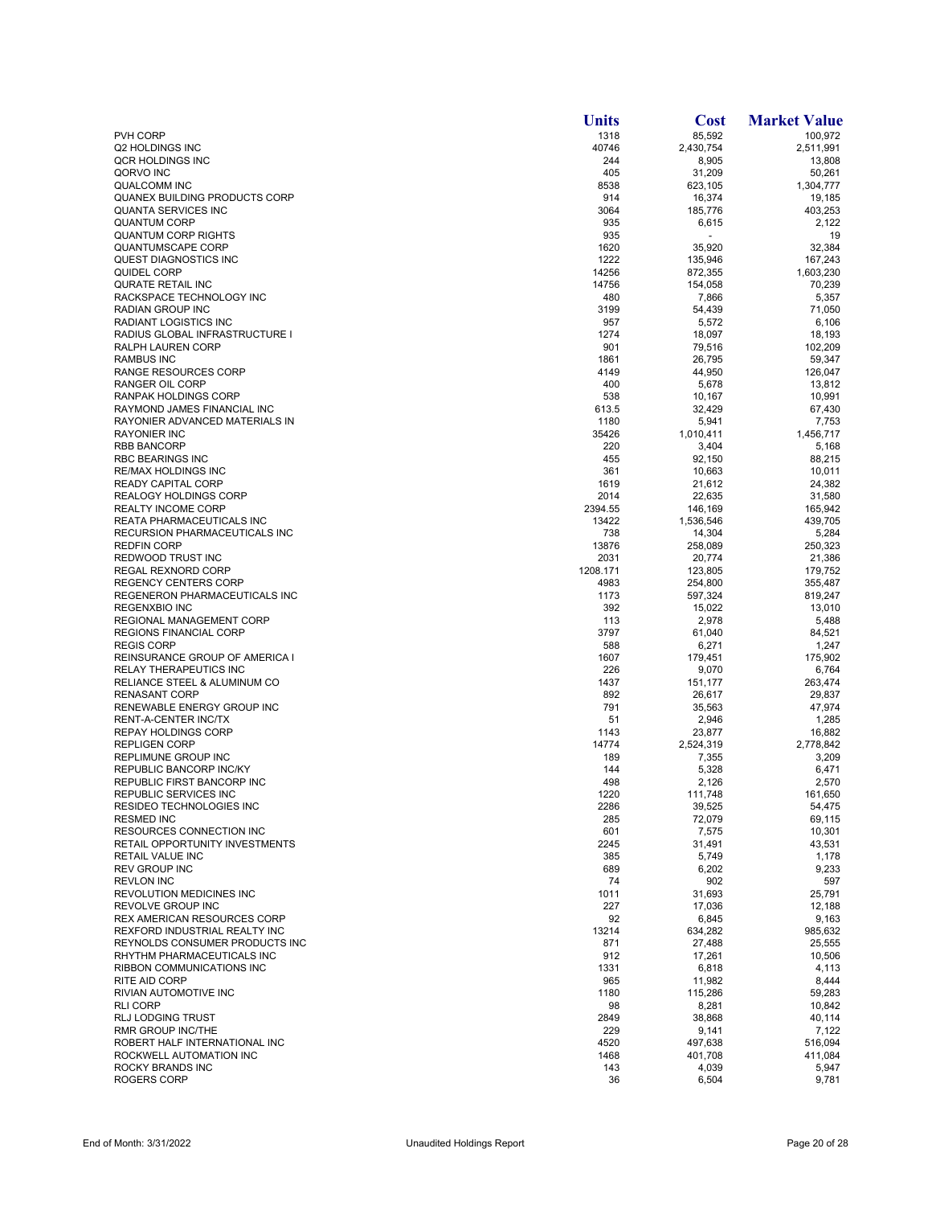|                                                                     | <b>Units</b>    | <b>Cost</b>          | <b>Market Value</b> |
|---------------------------------------------------------------------|-----------------|----------------------|---------------------|
| <b>PVH CORP</b>                                                     | 1318            | 85,592               | 100,972             |
| Q2 HOLDINGS INC                                                     | 40746           | 2,430,754            | 2,511,991           |
| QCR HOLDINGS INC                                                    | 244             | 8,905                | 13,808              |
| QORVO INC                                                           | 405             | 31,209               | 50,261              |
| <b>QUALCOMM INC</b>                                                 | 8538            | 623,105              | 1,304,777           |
| QUANEX BUILDING PRODUCTS CORP<br>QUANTA SERVICES INC                | 914<br>3064     | 16,374               | 19,185              |
| <b>QUANTUM CORP</b>                                                 | 935             | 185,776<br>6,615     | 403,253<br>2,122    |
| <b>QUANTUM CORP RIGHTS</b>                                          | 935             |                      | 19                  |
| <b>QUANTUMSCAPE CORP</b>                                            | 1620            | 35,920               | 32,384              |
| <b>QUEST DIAGNOSTICS INC</b>                                        | 1222            | 135,946              | 167,243             |
| QUIDEL CORP                                                         | 14256           | 872,355              | 1,603,230           |
| QURATE RETAIL INC                                                   | 14756           | 154,058              | 70,239              |
| RACKSPACE TECHNOLOGY INC                                            | 480             | 7,866                | 5,357               |
| RADIAN GROUP INC                                                    | 3199            | 54,439               | 71,050              |
| <b>RADIANT LOGISTICS INC.</b>                                       | 957             | 5,572                | 6,106               |
| RADIUS GLOBAL INFRASTRUCTURE I<br>RALPH LAUREN CORP                 | 1274<br>901     | 18,097<br>79,516     | 18,193<br>102,209   |
| <b>RAMBUS INC</b>                                                   | 1861            | 26,795               | 59,347              |
| <b>RANGE RESOURCES CORP</b>                                         | 4149            | 44,950               | 126,047             |
| RANGER OIL CORP                                                     | 400             | 5,678                | 13,812              |
| RANPAK HOLDINGS CORP                                                | 538             | 10,167               | 10,991              |
| RAYMOND JAMES FINANCIAL INC                                         | 613.5           | 32,429               | 67,430              |
| RAYONIER ADVANCED MATERIALS IN                                      | 1180            | 5,941                | 7,753               |
| <b>RAYONIER INC</b>                                                 | 35426           | 1,010,411            | 1.456.717           |
| <b>RBB BANCORP</b>                                                  | 220             | 3,404                | 5,168               |
| <b>RBC BEARINGS INC</b>                                             | 455             | 92,150               | 88,215              |
| <b>RE/MAX HOLDINGS INC</b>                                          | 361             | 10,663               | 10,011              |
| <b>READY CAPITAL CORP</b><br><b>REALOGY HOLDINGS CORP</b>           | 1619            | 21,612               | 24,382              |
| <b>REALTY INCOME CORP</b>                                           | 2014<br>2394.55 | 22,635               | 31,580<br>165,942   |
| <b>REATA PHARMACEUTICALS INC</b>                                    | 13422           | 146,169<br>1,536,546 | 439,705             |
| <b>RECURSION PHARMACEUTICALS INC</b>                                | 738             | 14,304               | 5,284               |
| <b>REDFIN CORP</b>                                                  | 13876           | 258,089              | 250,323             |
| REDWOOD TRUST INC                                                   | 2031            | 20,774               | 21,386              |
| REGAL REXNORD CORP                                                  | 1208.171        | 123,805              | 179,752             |
| <b>REGENCY CENTERS CORP</b>                                         | 4983            | 254,800              | 355,487             |
| REGENERON PHARMACEUTICALS INC                                       | 1173            | 597,324              | 819,247             |
| <b>REGENXBIO INC</b>                                                | 392             | 15,022               | 13,010              |
| REGIONAL MANAGEMENT CORP                                            | 113             | 2,978                | 5,488               |
| <b>REGIONS FINANCIAL CORP</b><br><b>REGIS CORP</b>                  | 3797<br>588     | 61,040<br>6,271      | 84,521<br>1,247     |
| REINSURANCE GROUP OF AMERICA I                                      | 1607            | 179,451              | 175,902             |
| <b>RELAY THERAPEUTICS INC</b>                                       | 226             | 9,070                | 6,764               |
| RELIANCE STEEL & ALUMINUM CO                                        | 1437            | 151,177              | 263,474             |
| <b>RENASANT CORP</b>                                                | 892             | 26,617               | 29,837              |
| <b>RENEWABLE ENERGY GROUP INC</b>                                   | 791             | 35,563               | 47,974              |
| <b>RENT-A-CENTER INC/TX</b>                                         | 51              | 2,946                | 1,285               |
| <b>REPAY HOLDINGS CORP</b>                                          | 1143            | 23,877               | 16,882              |
| <b>REPLIGEN CORP</b>                                                | 14774           | 2,524,319            | 2,778,842           |
| REPLIMUNE GROUP INC                                                 | 189             | 7,355                | 3,209               |
| REPUBLIC BANCORP INC/KY                                             | 144             | 5,328                | 6,471               |
| REPUBLIC FIRST BANCORP INC<br>REPUBLIC SERVICES INC                 | 498<br>1220     | 2,126<br>111,748     | 2,570<br>161.650    |
| RESIDEO TECHNOLOGIES INC                                            | 2286            | 39,525               | 54,475              |
| <b>RESMED INC</b>                                                   | 285             | 72,079               | 69,115              |
| RESOURCES CONNECTION INC                                            | 601             | 7,575                | 10,301              |
| RETAIL OPPORTUNITY INVESTMENTS                                      | 2245            | 31,491               | 43,531              |
| <b>RETAIL VALUE INC</b>                                             | 385             | 5,749                | 1,178               |
| <b>REV GROUP INC</b>                                                | 689             | 6,202                | 9,233               |
| <b>REVLON INC</b>                                                   | 74              | 902                  | 597                 |
| REVOLUTION MEDICINES INC                                            | 1011            | 31,693               | 25,791              |
| <b>REVOLVE GROUP INC</b>                                            | 227<br>92       | 17,036               | 12,188              |
| <b>REX AMERICAN RESOURCES CORP</b><br>REXFORD INDUSTRIAL REALTY INC | 13214           | 6,845<br>634,282     | 9,163<br>985,632    |
| REYNOLDS CONSUMER PRODUCTS INC                                      | 871             | 27,488               | 25,555              |
| RHYTHM PHARMACEUTICALS INC                                          | 912             | 17,261               | 10,506              |
| <b>RIBBON COMMUNICATIONS INC</b>                                    | 1331            | 6,818                | 4,113               |
| <b>RITE AID CORP</b>                                                | 965             | 11,982               | 8,444               |
| RIVIAN AUTOMOTIVE INC                                               | 1180            | 115,286              | 59,283              |
| <b>RLI CORP</b>                                                     | 98              | 8,281                | 10,842              |
| <b>RLJ LODGING TRUST</b>                                            | 2849            | 38,868               | 40,114              |
| <b>RMR GROUP INC/THE</b>                                            | 229             | 9,141                | 7,122               |
| ROBERT HALF INTERNATIONAL INC                                       | 4520            | 497,638              | 516,094             |
| ROCKWELL AUTOMATION INC<br>ROCKY BRANDS INC                         | 1468            | 401,708              | 411,084             |
| ROGERS CORP                                                         | 143<br>36       | 4,039<br>6,504       | 5,947<br>9,781      |
|                                                                     |                 |                      |                     |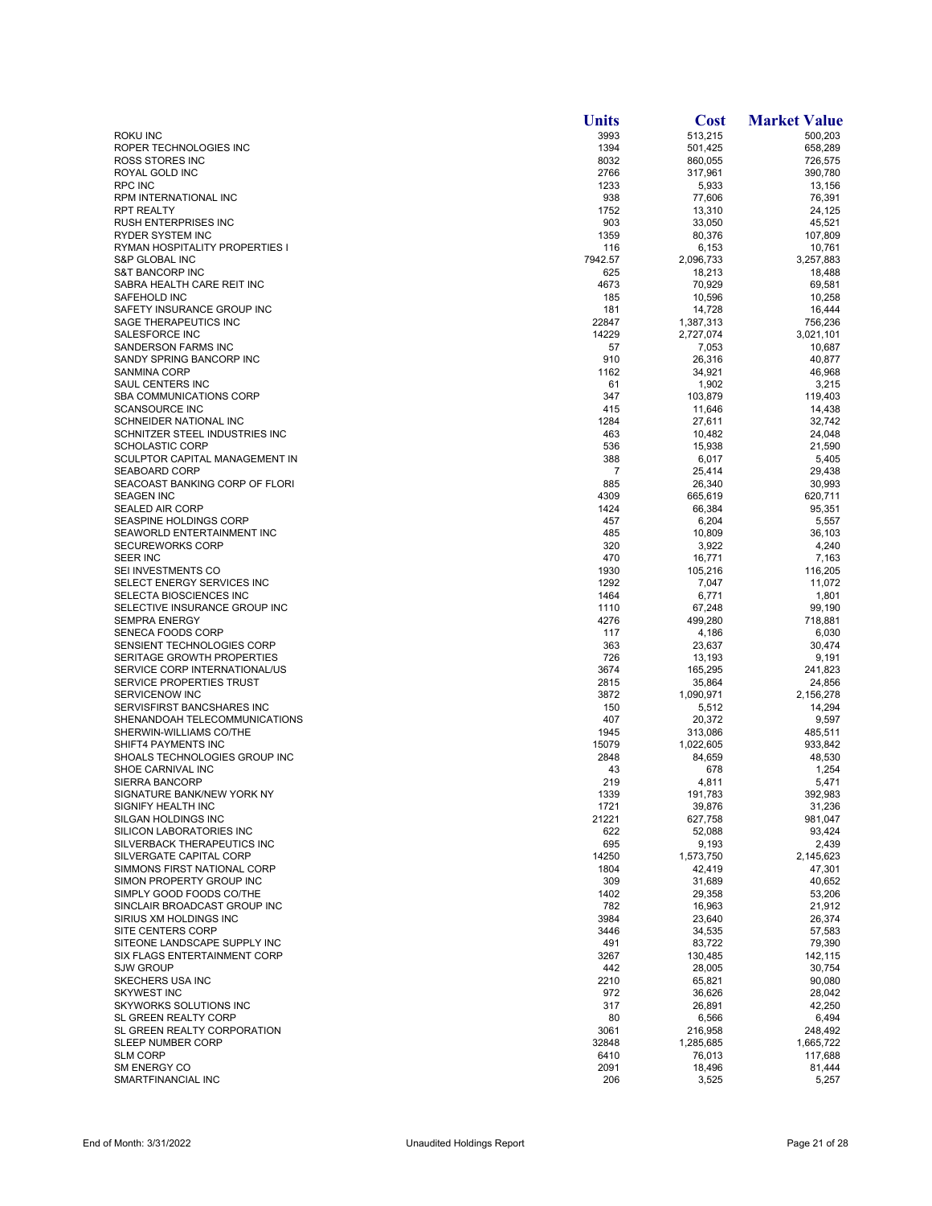|                                                  | <b>Units</b> | <b>Cost</b>       | <b>Market Value</b> |
|--------------------------------------------------|--------------|-------------------|---------------------|
| ROKU INC                                         | 3993         | 513,215           | 500,203             |
| ROPER TECHNOLOGIES INC                           | 1394         | 501,425           | 658,289             |
| ROSS STORES INC                                  | 8032         | 860,055           | 726,575             |
| ROYAL GOLD INC                                   | 2766         | 317,961           | 390,780             |
| <b>RPC INC</b>                                   | 1233         | 5,933             | 13,156              |
| RPM INTERNATIONAL INC                            | 938          | 77,606            | 76,391              |
| <b>RPT REALTY</b><br><b>RUSH ENTERPRISES INC</b> | 1752<br>903  | 13,310<br>33,050  | 24,125<br>45,521    |
| <b>RYDER SYSTEM INC</b>                          | 1359         | 80,376            | 107,809             |
| RYMAN HOSPITALITY PROPERTIES I                   | 116          | 6,153             | 10,761              |
| S&P GLOBAL INC                                   | 7942.57      | 2,096,733         | 3,257,883           |
| <b>S&amp;T BANCORP INC</b>                       | 625          | 18,213            | 18,488              |
| SABRA HEALTH CARE REIT INC                       | 4673         | 70,929            | 69,581              |
| SAFEHOLD INC                                     | 185          | 10,596            | 10.258              |
| SAFETY INSURANCE GROUP INC                       | 181          | 14,728            | 16,444              |
| SAGE THERAPEUTICS INC                            | 22847        | 1,387,313         | 756,236             |
| SALESFORCE INC                                   | 14229        | 2,727,074         | 3,021,101           |
| SANDERSON FARMS INC                              | 57           | 7,053             | 10,687              |
| SANDY SPRING BANCORP INC                         | 910          | 26,316            | 40,877              |
| <b>SANMINA CORP</b>                              | 1162         | 34,921            | 46,968              |
| SAUL CENTERS INC                                 | 61           | 1,902             | 3,215               |
| SBA COMMUNICATIONS CORP                          | 347          | 103,879           | 119,403             |
| <b>SCANSOURCE INC</b><br>SCHNEIDER NATIONAL INC  | 415<br>1284  | 11,646<br>27,611  | 14,438              |
| SCHNITZER STEEL INDUSTRIES INC                   | 463          | 10,482            | 32,742<br>24,048    |
| <b>SCHOLASTIC CORP</b>                           | 536          | 15,938            | 21,590              |
| SCULPTOR CAPITAL MANAGEMENT IN                   | 388          | 6,017             | 5,405               |
| <b>SEABOARD CORP</b>                             | 7            | 25.414            | 29,438              |
| SEACOAST BANKING CORP OF FLORI                   | 885          | 26,340            | 30,993              |
| <b>SEAGEN INC</b>                                | 4309         | 665,619           | 620,711             |
| <b>SEALED AIR CORP</b>                           | 1424         | 66,384            | 95,351              |
| SEASPINE HOLDINGS CORP                           | 457          | 6,204             | 5,557               |
| SEAWORLD ENTERTAINMENT INC                       | 485          | 10,809            | 36,103              |
| <b>SECUREWORKS CORP</b>                          | 320          | 3,922             | 4,240               |
| <b>SEER INC</b>                                  | 470          | 16,771            | 7,163               |
| SEI INVESTMENTS CO                               | 1930         | 105,216           | 116,205             |
| SELECT ENERGY SERVICES INC                       | 1292         | 7,047             | 11,072              |
| SELECTA BIOSCIENCES INC                          | 1464         | 6,771             | 1,801               |
| SELECTIVE INSURANCE GROUP INC                    | 1110         | 67,248            | 99,190              |
| <b>SEMPRA ENERGY</b>                             | 4276         | 499,280           | 718,881             |
| SENECA FOODS CORP<br>SENSIENT TECHNOLOGIES CORP  | 117<br>363   | 4,186<br>23,637   | 6,030<br>30,474     |
| SERITAGE GROWTH PROPERTIES                       | 726          | 13,193            | 9,191               |
| SERVICE CORP INTERNATIONAL/US                    | 3674         | 165,295           | 241,823             |
| SERVICE PROPERTIES TRUST                         | 2815         | 35,864            | 24,856              |
| <b>SERVICENOW INC</b>                            | 3872         | 1,090,971         | 2,156,278           |
| SERVISFIRST BANCSHARES INC                       | 150          | 5,512             | 14,294              |
| SHENANDOAH TELECOMMUNICATIONS                    | 407          | 20,372            | 9,597               |
| SHERWIN-WILLIAMS CO/THE                          | 1945         | 313,086           | 485,511             |
| SHIFT4 PAYMENTS INC                              | 15079        | 1,022,605         | 933,842             |
| SHOALS TECHNOLOGIES GROUP INC                    | 2848         | 84,659            | 48,530              |
| SHOE CARNIVAL INC                                | 43           | 678               | 1,254               |
| <b>SIERRA BANCORP</b>                            | 219          | 4,811             | 5,471               |
| SIGNATURE BANK/NEW YORK NY<br>SIGNIFY HEALTH INC | 1339         | 191,783           | 392,983             |
| SILGAN HOLDINGS INC                              | 1721         | 39,876            | 31,236              |
| <b>SILICON LABORATORIES INC</b>                  | 21221<br>622 | 627,758<br>52,088 | 981,047<br>93,424   |
| SILVERBACK THERAPEUTICS INC                      | 695          | 9,193             | 2,439               |
| SILVERGATE CAPITAL CORP                          | 14250        | 1,573,750         | 2,145,623           |
| SIMMONS FIRST NATIONAL CORP                      | 1804         | 42,419            | 47,301              |
| SIMON PROPERTY GROUP INC                         | 309          | 31,689            | 40,652              |
| SIMPLY GOOD FOODS CO/THE                         | 1402         | 29,358            | 53,206              |
| SINCLAIR BROADCAST GROUP INC                     | 782          | 16,963            | 21,912              |
| SIRIUS XM HOLDINGS INC                           | 3984         | 23,640            | 26,374              |
| SITE CENTERS CORP                                | 3446         | 34,535            | 57,583              |
| SITEONE LANDSCAPE SUPPLY INC                     | 491          | 83,722            | 79,390              |
| SIX FLAGS ENTERTAINMENT CORP                     | 3267         | 130,485           | 142,115             |
| <b>SJW GROUP</b>                                 | 442          | 28,005            | 30,754              |
| SKECHERS USA INC                                 | 2210         | 65,821            | 90,080              |
| <b>SKYWEST INC</b><br>SKYWORKS SOLUTIONS INC     | 972<br>317   | 36,626<br>26,891  | 28,042<br>42,250    |
| SL GREEN REALTY CORP                             | 80           | 6,566             | 6,494               |
| SL GREEN REALTY CORPORATION                      | 3061         | 216,958           | 248,492             |
| SLEEP NUMBER CORP                                | 32848        | 1,285,685         | 1,665,722           |
| <b>SLM CORP</b>                                  | 6410         | 76,013            | 117,688             |
| <b>SM ENERGY CO</b>                              | 2091         | 18,496            | 81,444              |
| SMARTFINANCIAL INC                               | 206          | 3,525             | 5,257               |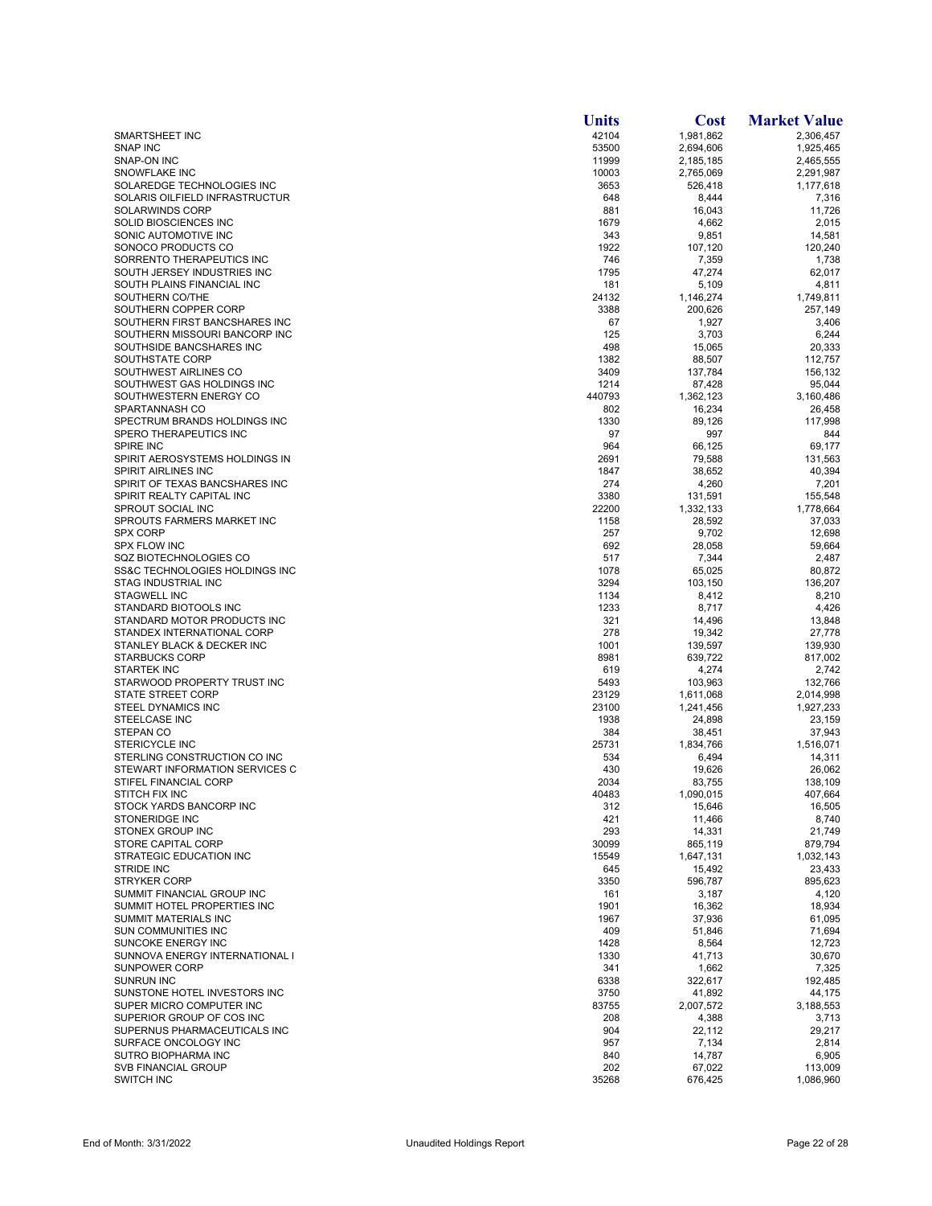|                                                           | <b>Units</b> | <b>Cost</b>          | <b>Market Value</b> |
|-----------------------------------------------------------|--------------|----------------------|---------------------|
| <b>SMARTSHEET INC</b>                                     | 42104        | 1,981,862            | 2,306,457           |
| <b>SNAP INC</b>                                           | 53500        | 2,694,606            | 1,925,465           |
| SNAP-ON INC                                               | 11999        | 2,185,185            | 2,465,555           |
| <b>SNOWFLAKE INC</b>                                      | 10003        | 2,765,069            | 2,291,987           |
| SOLAREDGE TECHNOLOGIES INC                                | 3653         | 526,418              | 1,177,618           |
| SOLARIS OILFIELD INFRASTRUCTUR<br><b>SOLARWINDS CORP</b>  | 648<br>881   | 8,444                | 7,316               |
| SOLID BIOSCIENCES INC                                     | 1679         | 16,043<br>4,662      | 11,726<br>2,015     |
| SONIC AUTOMOTIVE INC                                      | 343          | 9,851                | 14,581              |
| SONOCO PRODUCTS CO                                        | 1922         | 107,120              | 120,240             |
| SORRENTO THERAPEUTICS INC                                 | 746          | 7,359                | 1,738               |
| SOUTH JERSEY INDUSTRIES INC                               | 1795         | 47,274               | 62.017              |
| SOUTH PLAINS FINANCIAL INC                                | 181          | 5,109                | 4,811               |
| SOUTHERN CO/THE                                           | 24132        | 1,146,274            | 1,749,811           |
| SOUTHERN COPPER CORP                                      | 3388         | 200,626              | 257,149             |
| SOUTHERN FIRST BANCSHARES INC                             | 67           | 1,927                | 3,406               |
| SOUTHERN MISSOURI BANCORP INC                             | 125          | 3,703                | 6,244               |
| SOUTHSIDE BANCSHARES INC                                  | 498          | 15,065               | 20,333              |
| SOUTHSTATE CORP                                           | 1382         | 88,507               | 112,757             |
| SOUTHWEST AIRLINES CO                                     | 3409         | 137,784              | 156,132             |
| SOUTHWEST GAS HOLDINGS INC                                | 1214         | 87,428               | 95,044              |
| SOUTHWESTERN ENERGY CO                                    | 440793       | 1,362,123            | 3,160,486           |
| SPARTANNASH CO                                            | 802          | 16,234               | 26,458              |
| SPECTRUM BRANDS HOLDINGS INC<br>SPERO THERAPEUTICS INC    | 1330<br>97   | 89,126<br>997        | 117,998<br>844      |
| SPIRE INC                                                 | 964          | 66,125               | 69,177              |
| SPIRIT AEROSYSTEMS HOLDINGS IN                            | 2691         | 79,588               | 131,563             |
| <b>SPIRIT AIRLINES INC</b>                                | 1847         | 38,652               | 40,394              |
| SPIRIT OF TEXAS BANCSHARES INC                            | 274          | 4,260                | 7,201               |
| SPIRIT REALTY CAPITAL INC                                 | 3380         | 131,591              | 155,548             |
| SPROUT SOCIAL INC                                         | 22200        | 1,332,133            | 1,778,664           |
| SPROUTS FARMERS MARKET INC                                | 1158         | 28,592               | 37,033              |
| <b>SPX CORP</b>                                           | 257          | 9,702                | 12,698              |
| <b>SPX FLOW INC</b>                                       | 692          | 28,058               | 59,664              |
| SQZ BIOTECHNOLOGIES CO                                    | 517          | 7,344                | 2,487               |
| SS&C TECHNOLOGIES HOLDINGS INC                            | 1078         | 65,025               | 80,872              |
| <b>STAG INDUSTRIAL INC</b>                                | 3294         | 103,150              | 136,207             |
| <b>STAGWELL INC</b>                                       | 1134         | 8,412                | 8,210               |
| STANDARD BIOTOOLS INC                                     | 1233         | 8,717                | 4,426               |
| STANDARD MOTOR PRODUCTS INC                               | 321          | 14,496               | 13,848              |
| STANDEX INTERNATIONAL CORP                                | 278          | 19,342               | 27,778              |
| STANLEY BLACK & DECKER INC                                | 1001         | 139,597              | 139,930             |
| <b>STARBUCKS CORP</b>                                     | 8981         | 639,722              | 817,002             |
| <b>STARTEK INC</b><br>STARWOOD PROPERTY TRUST INC         | 619<br>5493  | 4,274                | 2,742<br>132,766    |
| <b>STATE STREET CORP</b>                                  | 23129        | 103,963<br>1,611,068 | 2,014,998           |
| STEEL DYNAMICS INC                                        | 23100        | 1,241,456            | 1,927,233           |
| <b>STEELCASE INC</b>                                      | 1938         | 24,898               | 23,159              |
| STEPAN CO                                                 | 384          | 38,451               | 37,943              |
| STERICYCLE INC                                            | 25731        | 1,834,766            | 1,516,071           |
| STERLING CONSTRUCTION CO INC                              | 534          | 6,494                | 14,311              |
| STEWART INFORMATION SERVICES C                            | 430          | 19,626               | 26,062              |
| STIFEL FINANCIAL CORP                                     | 2034         | 83,755               | 138,109             |
| STITCH FIX INC                                            | 40483        | 1,090,015            | 407,664             |
| STOCK YARDS BANCORP INC                                   | 312          | 15,646               | 16,505              |
| <b>STONERIDGE INC</b>                                     | 421          | 11,466               | 8,740               |
| STONEX GROUP INC                                          | 293          | 14,331               | 21,749              |
| STORE CAPITAL CORP                                        | 30099        | 865,119              | 879,794             |
| STRATEGIC EDUCATION INC                                   | 15549        | 1,647,131            | 1,032,143           |
| <b>STRIDE INC</b>                                         | 645          | 15,492               | 23,433              |
| <b>STRYKER CORP</b>                                       | 3350         | 596,787              | 895,623             |
| SUMMIT FINANCIAL GROUP INC<br>SUMMIT HOTEL PROPERTIES INC | 161<br>1901  | 3,187<br>16,362      | 4,120<br>18,934     |
| <b>SUMMIT MATERIALS INC</b>                               | 1967         | 37,936               | 61,095              |
| SUN COMMUNITIES INC                                       | 409          | 51,846               | 71,694              |
| <b>SUNCOKE ENERGY INC</b>                                 | 1428         | 8,564                | 12.723              |
| SUNNOVA ENERGY INTERNATIONAL I                            | 1330         | 41,713               | 30,670              |
| <b>SUNPOWER CORP</b>                                      | 341          | 1,662                | 7,325               |
| <b>SUNRUN INC</b>                                         | 6338         | 322,617              | 192,485             |
| SUNSTONE HOTEL INVESTORS INC                              | 3750         | 41,892               | 44,175              |
| SUPER MICRO COMPUTER INC                                  | 83755        | 2,007,572            | 3,188,553           |
| SUPERIOR GROUP OF COS INC                                 | 208          | 4,388                | 3,713               |
| SUPERNUS PHARMACEUTICALS INC                              | 904          | 22,112               | 29,217              |
| SURFACE ONCOLOGY INC                                      | 957          | 7,134                | 2,814               |
| SUTRO BIOPHARMA INC                                       | 840          | 14,787               | 6,905               |
| <b>SVB FINANCIAL GROUP</b>                                | 202          | 67,022               | 113,009             |
| <b>SWITCH INC</b>                                         | 35268        | 676,425              | 1,086,960           |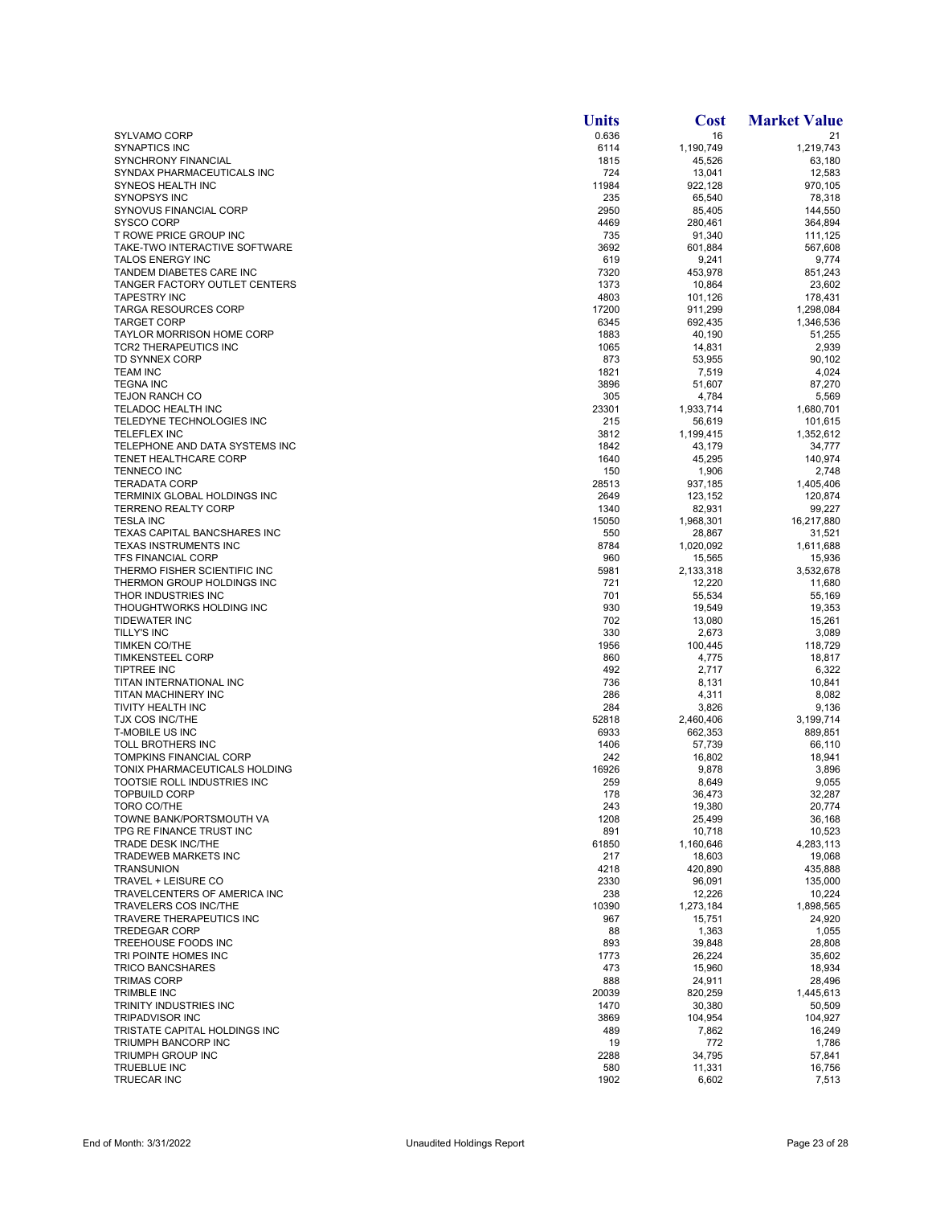|                                                           | <b>Units</b> | <b>Cost</b>         | <b>Market Value</b>  |
|-----------------------------------------------------------|--------------|---------------------|----------------------|
| <b>SYLVAMO CORP</b>                                       | 0.636        | 16                  | 21                   |
| <b>SYNAPTICS INC</b>                                      | 6114         | 1,190,749           | 1,219,743            |
| <b>SYNCHRONY FINANCIAL</b>                                | 1815         | 45,526              | 63,180               |
| SYNDAX PHARMACEUTICALS INC<br>SYNEOS HEALTH INC           | 724<br>11984 | 13,041<br>922,128   | 12,583<br>970,105    |
| <b>SYNOPSYS INC</b>                                       | 235          | 65,540              | 78,318               |
| SYNOVUS FINANCIAL CORP                                    | 2950         | 85,405              | 144,550              |
| SYSCO CORP                                                | 4469         | 280,461             | 364,894              |
| T ROWE PRICE GROUP INC                                    | 735          | 91,340              | 111,125              |
| TAKE-TWO INTERACTIVE SOFTWARE                             | 3692         | 601,884             | 567,608              |
| TALOS ENERGY INC                                          | 619          | 9,241               | 9,774                |
| TANDEM DIABETES CARE INC<br>TANGER FACTORY OUTLET CENTERS | 7320<br>1373 | 453,978             | 851,243              |
| <b>TAPESTRY INC</b>                                       | 4803         | 10,864<br>101,126   | 23,602<br>178,431    |
| <b>TARGA RESOURCES CORP</b>                               | 17200        | 911,299             | 1,298,084            |
| <b>TARGET CORP</b>                                        | 6345         | 692,435             | 1,346,536            |
| <b>TAYLOR MORRISON HOME CORP</b>                          | 1883         | 40,190              | 51,255               |
| <b>TCR2 THERAPEUTICS INC</b>                              | 1065         | 14,831              | 2,939                |
| <b>TD SYNNEX CORP</b>                                     | 873          | 53,955              | 90,102               |
| <b>TEAM INC</b>                                           | 1821         | 7,519               | 4,024                |
| <b>TEGNA INC</b>                                          | 3896         | 51,607              | 87,270               |
| <b>TEJON RANCH CO</b><br><b>TELADOC HEALTH INC</b>        | 305<br>23301 | 4,784<br>1,933,714  | 5,569<br>1,680,701   |
| TELEDYNE TECHNOLOGIES INC                                 | 215          | 56,619              | 101,615              |
| <b>TELEFLEX INC</b>                                       | 3812         | 1,199,415           | 1,352,612            |
| TELEPHONE AND DATA SYSTEMS INC                            | 1842         | 43,179              | 34,777               |
| <b>TENET HEALTHCARE CORP</b>                              | 1640         | 45,295              | 140,974              |
| <b>TENNECO INC</b>                                        | 150          | 1,906               | 2,748                |
| <b>TERADATA CORP</b>                                      | 28513        | 937,185             | 1,405,406            |
| TERMINIX GLOBAL HOLDINGS INC                              | 2649         | 123,152             | 120,874              |
| <b>TERRENO REALTY CORP</b>                                | 1340         | 82,931              | 99,227               |
| <b>TESLA INC</b><br>TEXAS CAPITAL BANCSHARES INC          | 15050<br>550 | 1,968,301<br>28,867 | 16,217,880<br>31,521 |
| TEXAS INSTRUMENTS INC                                     | 8784         | 1,020,092           | 1,611,688            |
| <b>TFS FINANCIAL CORP</b>                                 | 960          | 15,565              | 15,936               |
| THERMO FISHER SCIENTIFIC INC                              | 5981         | 2,133,318           | 3,532,678            |
| THERMON GROUP HOLDINGS INC                                | 721          | 12,220              | 11,680               |
| THOR INDUSTRIES INC                                       | 701          | 55,534              | 55,169               |
| THOUGHTWORKS HOLDING INC                                  | 930          | 19,549              | 19,353               |
| <b>TIDEWATER INC</b>                                      | 702          | 13,080              | 15,261               |
| <b>TILLY'S INC</b><br><b>TIMKEN CO/THE</b>                | 330<br>1956  | 2,673<br>100,445    | 3,089<br>118,729     |
| <b>TIMKENSTEEL CORP</b>                                   | 860          | 4,775               | 18,817               |
| <b>TIPTREE INC</b>                                        | 492          | 2,717               | 6,322                |
| TITAN INTERNATIONAL INC                                   | 736          | 8,131               | 10,841               |
| TITAN MACHINERY INC                                       | 286          | 4,311               | 8,082                |
| TIVITY HEALTH INC                                         | 284          | 3,826               | 9,136                |
| <b>TJX COS INC/THE</b>                                    | 52818        | 2,460,406           | 3,199,714            |
| <b>T-MOBILE US INC</b>                                    | 6933         | 662,353             | 889,851              |
| TOLL BROTHERS INC<br>TOMPKINS FINANCIAL CORP              | 1406<br>242  | 57,739<br>16,802    | 66,110<br>18,941     |
| TONIX PHARMACEUTICALS HOLDING                             | 16926        | 9,878               | 3,896                |
| TOOTSIE ROLL INDUSTRIES INC                               | 259          | 8,649               | 9,055                |
| <b>TOPBUILD CORP</b>                                      | 178          | 36,473              | 32,287               |
| <b>TORO CO/THE</b>                                        | 243          | 19,380              | 20,774               |
| TOWNE BANK/PORTSMOUTH VA                                  | 1208         | 25,499              | 36,168               |
| TPG RE FINANCE TRUST INC                                  | 891          | 10,718              | 10,523               |
| <b>TRADE DESK INC/THE</b><br>TRADEWEB MARKETS INC         | 61850<br>217 | 1,160,646           | 4,283,113            |
| <b>TRANSUNION</b>                                         | 4218         | 18,603<br>420,890   | 19,068<br>435,888    |
| TRAVEL + LEISURE CO                                       | 2330         | 96,091              | 135,000              |
| TRAVELCENTERS OF AMERICA INC                              | 238          | 12,226              | 10,224               |
| TRAVELERS COS INC/THE                                     | 10390        | 1,273,184           | 1,898,565            |
| TRAVERE THERAPEUTICS INC                                  | 967          | 15,751              | 24,920               |
| <b>TREDEGAR CORP</b>                                      | 88           | 1,363               | 1,055                |
| TREEHOUSE FOODS INC                                       | 893          | 39,848              | 28,808               |
| TRI POINTE HOMES INC                                      | 1773         | 26,224              | 35,602               |
| <b>TRICO BANCSHARES</b><br><b>TRIMAS CORP</b>             | 473<br>888   | 15,960<br>24,911    | 18,934<br>28,496     |
| TRIMBLE INC                                               | 20039        | 820,259             | 1,445,613            |
| TRINITY INDUSTRIES INC                                    | 1470         | 30,380              | 50,509               |
| TRIPADVISOR INC                                           | 3869         | 104,954             | 104,927              |
| TRISTATE CAPITAL HOLDINGS INC                             | 489          | 7,862               | 16,249               |
| TRIUMPH BANCORP INC                                       | 19           | 772                 | 1,786                |
| TRIUMPH GROUP INC                                         | 2288         | 34,795              | 57,841               |
| TRUEBLUE INC                                              | 580          | 11,331              | 16,756               |
| TRUECAR INC                                               | 1902         | 6,602               | 7,513                |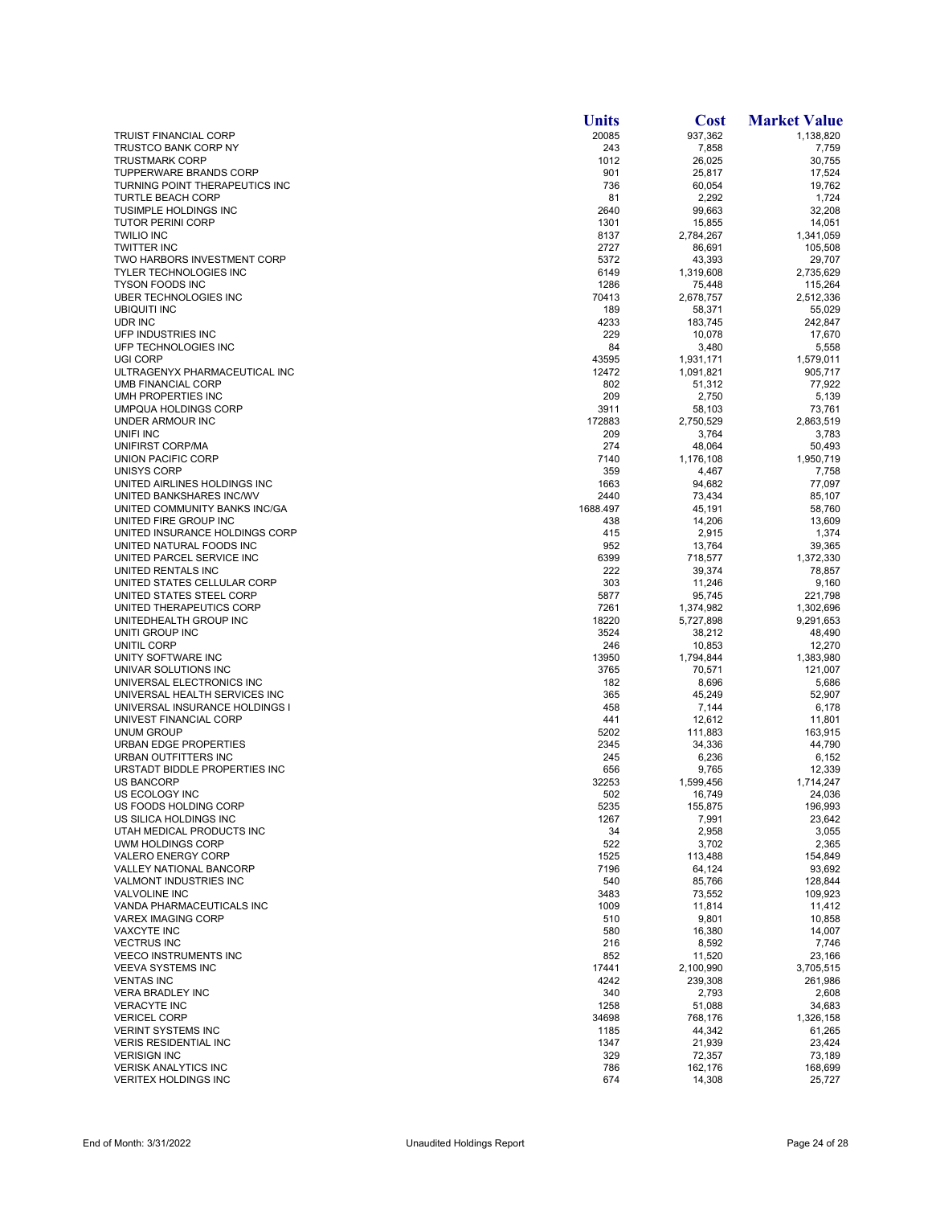|                                                                 | <b>Units</b>   | <b>Cost</b>            | <b>Market Value</b>  |
|-----------------------------------------------------------------|----------------|------------------------|----------------------|
| <b>TRUIST FINANCIAL CORP</b>                                    | 20085          | 937,362                | 1,138,820            |
| TRUSTCO BANK CORP NY                                            | 243            | 7,858                  | 7,759                |
| <b>TRUSTMARK CORP</b><br><b>TUPPERWARE BRANDS CORP</b>          | 1012<br>901    | 26,025                 | 30,755               |
| TURNING POINT THERAPEUTICS INC                                  | 736            | 25,817<br>60,054       | 17,524<br>19,762     |
| <b>TURTLE BEACH CORP</b>                                        | 81             | 2,292                  | 1,724                |
| <b>TUSIMPLE HOLDINGS INC</b>                                    | 2640           | 99,663                 | 32,208               |
| <b>TUTOR PERINI CORP</b>                                        | 1301           | 15,855                 | 14,051               |
| <b>TWILIO INC</b>                                               | 8137           | 2,784,267              | 1,341,059            |
| <b>TWITTER INC</b>                                              | 2727           | 86,691                 | 105,508              |
| TWO HARBORS INVESTMENT CORP<br><b>TYLER TECHNOLOGIES INC</b>    | 5372<br>6149   | 43,393<br>1,319,608    | 29,707<br>2,735,629  |
| <b>TYSON FOODS INC</b>                                          | 1286           | 75,448                 | 115,264              |
| <b>UBER TECHNOLOGIES INC</b>                                    | 70413          | 2,678,757              | 2,512,336            |
| <b>UBIQUITI INC</b>                                             | 189            | 58,371                 | 55,029               |
| <b>UDR INC</b>                                                  | 4233           | 183,745                | 242,847              |
| UFP INDUSTRIES INC                                              | 229            | 10,078                 | 17,670               |
| UFP TECHNOLOGIES INC                                            | 84             | 3,480                  | 5,558                |
| UGI CORP<br>ULTRAGENYX PHARMACEUTICAL INC                       | 43595<br>12472 | 1,931,171<br>1,091,821 | 1,579,011<br>905,717 |
| <b>UMB FINANCIAL CORP</b>                                       | 802            | 51,312                 | 77,922               |
| UMH PROPERTIES INC                                              | 209            | 2,750                  | 5,139                |
| UMPQUA HOLDINGS CORP                                            | 3911           | 58,103                 | 73.761               |
| UNDER ARMOUR INC                                                | 172883         | 2,750,529              | 2,863,519            |
| UNIFI INC                                                       | 209            | 3,764                  | 3,783                |
| UNIFIRST CORP/MA                                                | 274            | 48,064                 | 50,493               |
| <b>UNION PACIFIC CORP</b>                                       | 7140           | 1,176,108              | 1,950,719            |
| UNISYS CORP<br>UNITED AIRLINES HOLDINGS INC                     | 359<br>1663    | 4,467<br>94,682        | 7,758<br>77.097      |
| UNITED BANKSHARES INC/WV                                        | 2440           | 73,434                 | 85,107               |
| UNITED COMMUNITY BANKS INC/GA                                   | 1688.497       | 45,191                 | 58,760               |
| UNITED FIRE GROUP INC                                           | 438            | 14,206                 | 13,609               |
| UNITED INSURANCE HOLDINGS CORP                                  | 415            | 2,915                  | 1,374                |
| UNITED NATURAL FOODS INC                                        | 952            | 13,764                 | 39,365               |
| UNITED PARCEL SERVICE INC                                       | 6399           | 718,577                | 1,372,330            |
| UNITED RENTALS INC                                              | 222            | 39,374                 | 78,857               |
| UNITED STATES CELLULAR CORP<br>UNITED STATES STEEL CORP         | 303<br>5877    | 11,246                 | 9,160                |
| UNITED THERAPEUTICS CORP                                        | 7261           | 95,745<br>1,374,982    | 221,798<br>1,302,696 |
| UNITEDHEALTH GROUP INC                                          | 18220          | 5,727,898              | 9,291,653            |
| UNITI GROUP INC                                                 | 3524           | 38,212                 | 48,490               |
| UNITIL CORP                                                     | 246            | 10,853                 | 12,270               |
| UNITY SOFTWARE INC                                              | 13950          | 1,794,844              | 1,383,980            |
| UNIVAR SOLUTIONS INC                                            | 3765           | 70,571                 | 121,007              |
| UNIVERSAL ELECTRONICS INC                                       | 182            | 8,696                  | 5,686                |
| UNIVERSAL HEALTH SERVICES INC<br>UNIVERSAL INSURANCE HOLDINGS I | 365<br>458     | 45,249                 | 52,907               |
| UNIVEST FINANCIAL CORP                                          | 441            | 7,144<br>12,612        | 6,178<br>11,801      |
| UNUM GROUP                                                      | 5202           | 111,883                | 163,915              |
| <b>URBAN EDGE PROPERTIES</b>                                    | 2345           | 34,336                 | 44,790               |
| URBAN OUTFITTERS INC                                            | 245            | 6,236                  | 6,152                |
| URSTADT BIDDLE PROPERTIES INC                                   | 656            | 9,765                  | 12,339               |
| <b>US BANCORP</b>                                               | 32253          | 1,599,456              | 1,714,247            |
| US ECOLOGY INC                                                  | 502            | 16,749                 | 24,036               |
| US FOODS HOLDING CORP<br>US SILICA HOLDINGS INC                 | 5235<br>1267   | 155,875                | 196,993              |
| UTAH MEDICAL PRODUCTS INC                                       | 34             | 7,991<br>2,958         | 23,642<br>3,055      |
| UWM HOLDINGS CORP                                               | 522            | 3,702                  | 2,365                |
| <b>VALERO ENERGY CORP</b>                                       | 1525           | 113,488                | 154,849              |
| VALLEY NATIONAL BANCORP                                         | 7196           | 64,124                 | 93,692               |
| VALMONT INDUSTRIES INC                                          | 540            | 85,766                 | 128,844              |
| <b>VALVOLINE INC</b>                                            | 3483           | 73,552                 | 109,923              |
| VANDA PHARMACEUTICALS INC                                       | 1009           | 11,814                 | 11,412               |
| <b>VAREX IMAGING CORP</b><br><b>VAXCYTE INC</b>                 | 510<br>580     | 9,801<br>16,380        | 10,858<br>14,007     |
| <b>VECTRUS INC</b>                                              | 216            | 8,592                  | 7,746                |
| <b>VEECO INSTRUMENTS INC</b>                                    | 852            | 11,520                 | 23,166               |
| <b>VEEVA SYSTEMS INC</b>                                        | 17441          | 2,100,990              | 3,705,515            |
| <b>VENTAS INC</b>                                               | 4242           | 239,308                | 261,986              |
| <b>VERA BRADLEY INC</b>                                         | 340            | 2,793                  | 2,608                |
| <b>VERACYTE INC</b>                                             | 1258           | 51,088                 | 34,683               |
| <b>VERICEL CORP</b>                                             | 34698          | 768,176                | 1,326,158            |
| <b>VERINT SYSTEMS INC</b>                                       | 1185           | 44,342                 | 61,265               |
| <b>VERIS RESIDENTIAL INC</b><br><b>VERISIGN INC</b>             | 1347<br>329    | 21,939                 | 23,424<br>73,189     |
| <b>VERISK ANALYTICS INC</b>                                     | 786            | 72,357<br>162,176      | 168,699              |
| <b>VERITEX HOLDINGS INC</b>                                     | 674            | 14,308                 | 25,727               |
|                                                                 |                |                        |                      |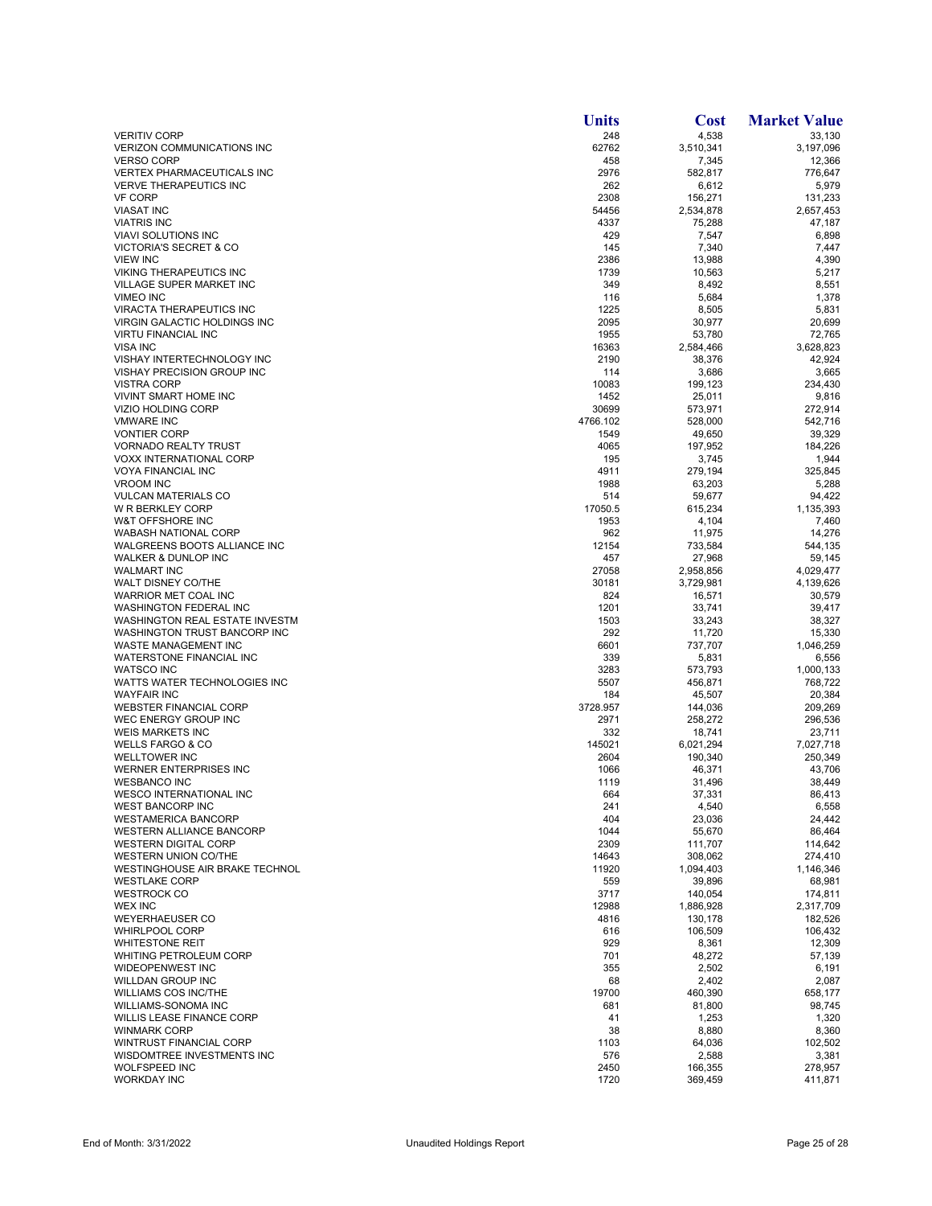|                                                                 | <b>Units</b>      | <b>Cost</b>        | <b>Market Value</b>  |
|-----------------------------------------------------------------|-------------------|--------------------|----------------------|
| <b>VERITIV CORP</b>                                             | 248               | 4,538              | 33,130               |
| VERIZON COMMUNICATIONS INC                                      | 62762             | 3,510,341          | 3,197,096            |
| <b>VERSO CORP</b><br><b>VERTEX PHARMACEUTICALS INC</b>          | 458<br>2976       | 7,345<br>582,817   | 12,366<br>776,647    |
| <b>VERVE THERAPEUTICS INC</b>                                   | 262               | 6,612              | 5,979                |
| <b>VF CORP</b>                                                  | 2308              | 156,271            | 131,233              |
| <b>VIASAT INC</b>                                               | 54456             | 2,534,878          | 2,657,453            |
| <b>VIATRIS INC</b>                                              | 4337              | 75,288             | 47,187               |
| <b>VIAVI SOLUTIONS INC</b><br><b>VICTORIA'S SECRET &amp; CO</b> | 429<br>145        | 7,547<br>7,340     | 6,898<br>7,447       |
| <b>VIEW INC</b>                                                 | 2386              | 13,988             | 4,390                |
| <b>VIKING THERAPEUTICS INC</b>                                  | 1739              | 10,563             | 5,217                |
| VILLAGE SUPER MARKET INC                                        | 349               | 8,492              | 8,551                |
| VIMEO INC                                                       | 116               | 5,684              | 1,378                |
| VIRACTA THERAPEUTICS INC                                        | 1225              | 8,505              | 5,831                |
| VIRGIN GALACTIC HOLDINGS INC<br><b>VIRTU FINANCIAL INC</b>      | 2095<br>1955      | 30,977<br>53,780   | 20,699<br>72,765     |
| <b>VISA INC</b>                                                 | 16363             | 2,584,466          | 3,628,823            |
| VISHAY INTERTECHNOLOGY INC                                      | 2190              | 38,376             | 42,924               |
| <b>VISHAY PRECISION GROUP INC</b>                               | 114               | 3,686              | 3,665                |
| <b>VISTRA CORP</b>                                              | 10083             | 199,123            | 234,430              |
| VIVINT SMART HOME INC                                           | 1452              | 25,011             | 9,816                |
| <b>VIZIO HOLDING CORP</b><br><b>VMWARE INC</b>                  | 30699<br>4766.102 | 573,971<br>528,000 | 272,914<br>542.716   |
| <b>VONTIER CORP</b>                                             | 1549              | 49,650             | 39,329               |
| <b>VORNADO REALTY TRUST</b>                                     | 4065              | 197,952            | 184,226              |
| <b>VOXX INTERNATIONAL CORP</b>                                  | 195               | 3,745              | 1,944                |
| <b>VOYA FINANCIAL INC</b>                                       | 4911              | 279,194            | 325,845              |
| <b>VROOM INC</b>                                                | 1988              | 63,203             | 5,288                |
| <b>VULCAN MATERIALS CO</b>                                      | 514               | 59,677             | 94,422               |
| W R BERKLEY CORP<br>W&T OFFSHORE INC                            | 17050.5<br>1953   | 615,234<br>4,104   | 1,135,393<br>7,460   |
| <b>WABASH NATIONAL CORP</b>                                     | 962               | 11,975             | 14,276               |
| WALGREENS BOOTS ALLIANCE INC                                    | 12154             | 733,584            | 544,135              |
| WALKER & DUNLOP INC                                             | 457               | 27,968             | 59,145               |
| <b>WALMART INC</b>                                              | 27058             | 2,958,856          | 4,029,477            |
| WALT DISNEY CO/THE<br>WARRIOR MET COAL INC                      | 30181<br>824      | 3,729,981          | 4,139,626            |
| <b>WASHINGTON FEDERAL INC</b>                                   | 1201              | 16,571<br>33,741   | 30,579<br>39,417     |
| WASHINGTON REAL ESTATE INVESTM                                  | 1503              | 33,243             | 38,327               |
| WASHINGTON TRUST BANCORP INC                                    | 292               | 11,720             | 15,330               |
| WASTE MANAGEMENT INC                                            | 6601              | 737,707            | 1,046,259            |
| WATERSTONE FINANCIAL INC                                        | 339               | 5,831              | 6,556                |
| <b>WATSCO INC</b><br>WATTS WATER TECHNOLOGIES INC               | 3283<br>5507      | 573,793<br>456,871 | 1,000,133<br>768,722 |
| <b>WAYFAIR INC</b>                                              | 184               | 45,507             | 20,384               |
| <b>WEBSTER FINANCIAL CORP</b>                                   | 3728.957          | 144,036            | 209,269              |
| WEC ENERGY GROUP INC                                            | 2971              | 258,272            | 296,536              |
| <b>WEIS MARKETS INC</b>                                         | 332               | 18,741             | 23,711               |
| <b>WELLS FARGO &amp; CO</b>                                     | 145021            | 6,021,294          | 7,027,718            |
| <b>WELLTOWER INC</b><br>WERNER ENTERPRISES INC                  | 2604<br>1066      | 190,340<br>46,371  | 250,349<br>43,706    |
| <b>WESBANCO INC</b>                                             | 1119              | 31,496             | 38,449               |
| WESCO INTERNATIONAL INC                                         | 664               | 37,331             | 86,413               |
| <b>WEST BANCORP INC</b>                                         | 241               | 4,540              | 6,558                |
| <b>WESTAMERICA BANCORP</b>                                      | 404               | 23,036             | 24,442               |
| WESTERN ALLIANCE BANCORP<br><b>WESTERN DIGITAL CORP</b>         | 1044              | 55,670             | 86,464               |
| <b>WESTERN UNION CO/THE</b>                                     | 2309<br>14643     | 111,707<br>308,062 | 114,642<br>274.410   |
| WESTINGHOUSE AIR BRAKE TECHNOL                                  | 11920             | 1,094,403          | 1,146,346            |
| <b>WESTLAKE CORP</b>                                            | 559               | 39,896             | 68,981               |
| <b>WESTROCK CO</b>                                              | 3717              | 140,054            | 174,811              |
| <b>WEX INC</b>                                                  | 12988             | 1,886,928          | 2,317,709            |
| <b>WEYERHAEUSER CO</b><br><b>WHIRLPOOL CORP</b>                 | 4816              | 130,178            | 182,526              |
| <b>WHITESTONE REIT</b>                                          | 616<br>929        | 106,509<br>8,361   | 106,432<br>12,309    |
| <b>WHITING PETROLEUM CORP</b>                                   | 701               | 48,272             | 57,139               |
| <b>WIDEOPENWEST INC</b>                                         | 355               | 2,502              | 6,191                |
| WILLDAN GROUP INC                                               | 68                | 2,402              | 2,087                |
| <b>WILLIAMS COS INC/THE</b>                                     | 19700             | 460,390            | 658,177              |
| WILLIAMS-SONOMA INC                                             | 681               | 81,800             | 98,745               |
| <b>WILLIS LEASE FINANCE CORP</b><br><b>WINMARK CORP</b>         | 41<br>38          | 1,253<br>8,880     | 1,320<br>8,360       |
| WINTRUST FINANCIAL CORP                                         | 1103              | 64,036             | 102,502              |
| WISDOMTREE INVESTMENTS INC                                      | 576               | 2,588              | 3,381                |
| <b>WOLFSPEED INC</b>                                            | 2450              | 166,355            | 278,957              |
| <b>WORKDAY INC</b>                                              | 1720              | 369,459            | 411,871              |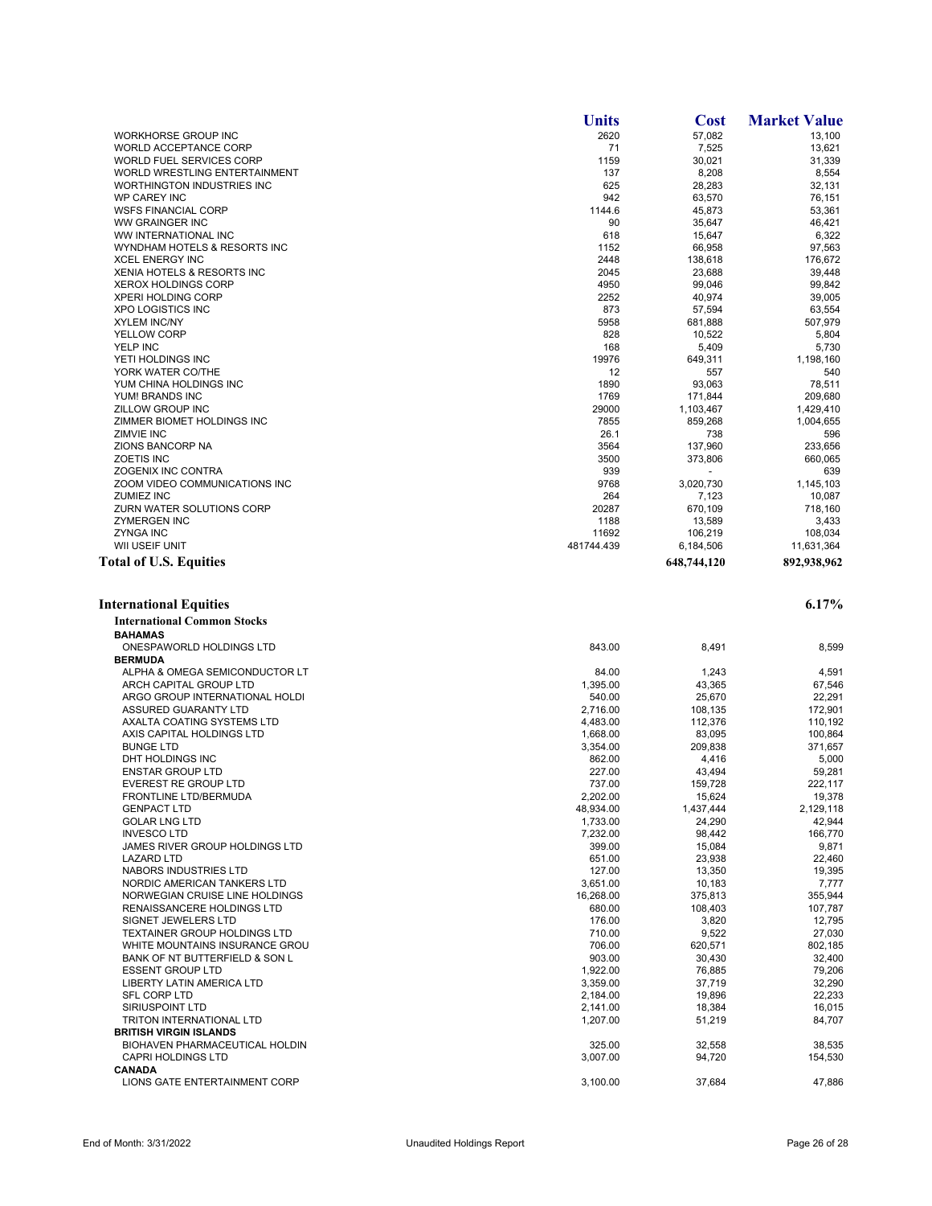|                                                      | <b>Units</b>     | <b>Cost</b>       | <b>Market Value</b>   |
|------------------------------------------------------|------------------|-------------------|-----------------------|
| WORKHORSE GROUP INC                                  | 2620             | 57,082            | 13,100                |
| WORLD ACCEPTANCE CORP                                | 71               | 7,525             | 13,621                |
| WORLD FUEL SERVICES CORP                             | 1159             | 30,021            | 31,339                |
| WORLD WRESTLING ENTERTAINMENT                        | 137              | 8,208             | 8,554                 |
| WORTHINGTON INDUSTRIES INC                           | 625              | 28,283            | 32,131                |
| <b>WP CAREY INC</b>                                  | 942              | 63,570            | 76,151                |
| <b>WSFS FINANCIAL CORP</b><br>WW GRAINGER INC        | 1144.6<br>90     | 45,873<br>35,647  | 53.361<br>46,421      |
| WW INTERNATIONAL INC                                 | 618              | 15,647            | 6,322                 |
| WYNDHAM HOTELS & RESORTS INC                         | 1152             | 66,958            | 97,563                |
| <b>XCEL ENERGY INC</b>                               | 2448             | 138,618           | 176,672               |
| XENIA HOTELS & RESORTS INC                           | 2045             | 23,688            | 39,448                |
| <b>XEROX HOLDINGS CORP</b>                           | 4950             | 99,046            | 99,842                |
| <b>XPERI HOLDING CORP</b>                            | 2252             | 40,974            | 39,005                |
| <b>XPO LOGISTICS INC</b>                             | 873              | 57,594            | 63,554                |
| <b>XYLEM INC/NY</b>                                  | 5958             | 681,888           | 507,979               |
| <b>YELLOW CORP</b>                                   | 828              | 10,522            | 5,804                 |
| YELP INC                                             | 168              | 5,409             | 5,730                 |
| YETI HOLDINGS INC                                    | 19976            | 649,311           | 1,198,160             |
| YORK WATER CO/THE                                    | 12               | 557               | 540                   |
| YUM CHINA HOLDINGS INC                               | 1890             | 93,063            | 78,511                |
| YUM! BRANDS INC                                      | 1769             | 171,844           | 209,680               |
| <b>ZILLOW GROUP INC</b>                              | 29000            | 1,103,467         | 1,429,410             |
| ZIMMER BIOMET HOLDINGS INC                           | 7855             | 859,268           | 1,004,655             |
| <b>ZIMVIE INC</b>                                    | 26.1             | 738               | 596                   |
| ZIONS BANCORP NA                                     | 3564             | 137,960           | 233,656               |
| <b>ZOETIS INC</b>                                    | 3500             | 373,806           | 660,065               |
| ZOGENIX INC CONTRA                                   | 939              |                   | 639                   |
| ZOOM VIDEO COMMUNICATIONS INC                        | 9768             | 3,020,730         | 1,145,103             |
| <b>ZUMIEZ INC</b>                                    | 264              | 7,123             | 10,087                |
| ZURN WATER SOLUTIONS CORP                            | 20287            | 670,109           | 718,160               |
| <b>ZYMERGEN INC</b><br><b>ZYNGA INC</b>              | 1188<br>11692    | 13,589<br>106,219 | 3,433                 |
| WII USEIF UNIT                                       | 481744.439       | 6,184,506         | 108,034<br>11,631,364 |
| <b>Total of U.S. Equities</b>                        |                  | 648,744,120       | 892,938,962           |
|                                                      |                  |                   |                       |
|                                                      |                  |                   |                       |
| <b>International Equities</b>                        |                  |                   | 6.17%                 |
| <b>International Common Stocks</b>                   |                  |                   |                       |
| <b>BAHAMAS</b>                                       |                  |                   |                       |
| ONESPAWORLD HOLDINGS LTD                             | 843.00           | 8,491             | 8,599                 |
| <b>BERMUDA</b>                                       |                  |                   |                       |
| ALPHA & OMEGA SEMICONDUCTOR LT                       | 84.00            | 1,243             | 4,591                 |
| ARCH CAPITAL GROUP LTD                               | 1,395.00         | 43,365            | 67,546                |
| ARGO GROUP INTERNATIONAL HOLDI                       | 540.00           | 25,670            | 22,291                |
| ASSURED GUARANTY LTD                                 | 2,716.00         | 108,135           | 172,901               |
| AXALTA COATING SYSTEMS LTD                           | 4,483.00         | 112,376           | 110,192               |
| AXIS CAPITAL HOLDINGS LTD                            | 1,668.00         | 83,095            | 100,864               |
| <b>BUNGE LTD</b>                                     | 3,354.00         | 209,838           | 371,657               |
| DHT HOLDINGS INC                                     | 862.00           | 4,416             | 5,000                 |
| <b>ENSTAR GROUP LTD</b>                              | 227.00           | 43,494            | 59,281                |
| <b>EVEREST RE GROUP LTD</b>                          | 737.00           | 159,728           | 222,117               |
| FRONTLINE LTD/BERMUDA                                | 2,202.00         | 15,624            | 19,378                |
| <b>GENPACT LTD</b>                                   | 48,934.00        | 1,437,444         | 2,129,118             |
| <b>GOLAR LNG LTD</b>                                 | 1,733.00         | 24,290            | 42,944                |
| <b>INVESCO LTD</b><br>JAMES RIVER GROUP HOLDINGS LTD | 7,232.00         | 98,442            | 166,770               |
| <b>LAZARD LTD</b>                                    | 399.00<br>651.00 | 15,084<br>23,938  | 9,871<br>22.460       |
| NABORS INDUSTRIES LTD                                | 127.00           | 13,350            | 19,395                |
| NORDIC AMERICAN TANKERS LTD                          | 3,651.00         | 10,183            | 7,777                 |
| NORWEGIAN CRUISE LINE HOLDINGS                       | 16,268.00        | 375,813           | 355,944               |
| RENAISSANCERE HOLDINGS LTD                           | 680.00           | 108,403           | 107,787               |
| SIGNET JEWELERS LTD                                  | 176.00           | 3,820             | 12.795                |
| <b>TEXTAINER GROUP HOLDINGS LTD</b>                  | 710.00           | 9,522             | 27,030                |
| WHITE MOUNTAINS INSURANCE GROU                       | 706.00           | 620,571           | 802,185               |
| BANK OF NT BUTTERFIELD & SON L                       | 903.00           | 30,430            | 32,400                |
| <b>ESSENT GROUP LTD</b>                              | 1,922.00         | 76,885            | 79,206                |
| LIBERTY LATIN AMERICA LTD                            | 3,359.00         | 37,719            | 32,290                |
| SFL CORP LTD                                         | 2,184.00         | 19,896            | 22,233                |
| SIRIUSPOINT LTD                                      | 2,141.00         | 18,384            | 16,015                |
| TRITON INTERNATIONAL LTD                             | 1,207.00         | 51,219            | 84,707                |
| <b>BRITISH VIRGIN ISLANDS</b>                        |                  |                   |                       |
| BIOHAVEN PHARMACEUTICAL HOLDIN                       | 325.00           | 32,558            | 38,535                |
| <b>CAPRI HOLDINGS LTD</b>                            | 3,007.00         | 94,720            | 154,530               |
| <b>CANADA</b>                                        |                  |                   |                       |
| LIONS GATE ENTERTAINMENT CORP                        | 3,100.00         | 37,684            | 47,886                |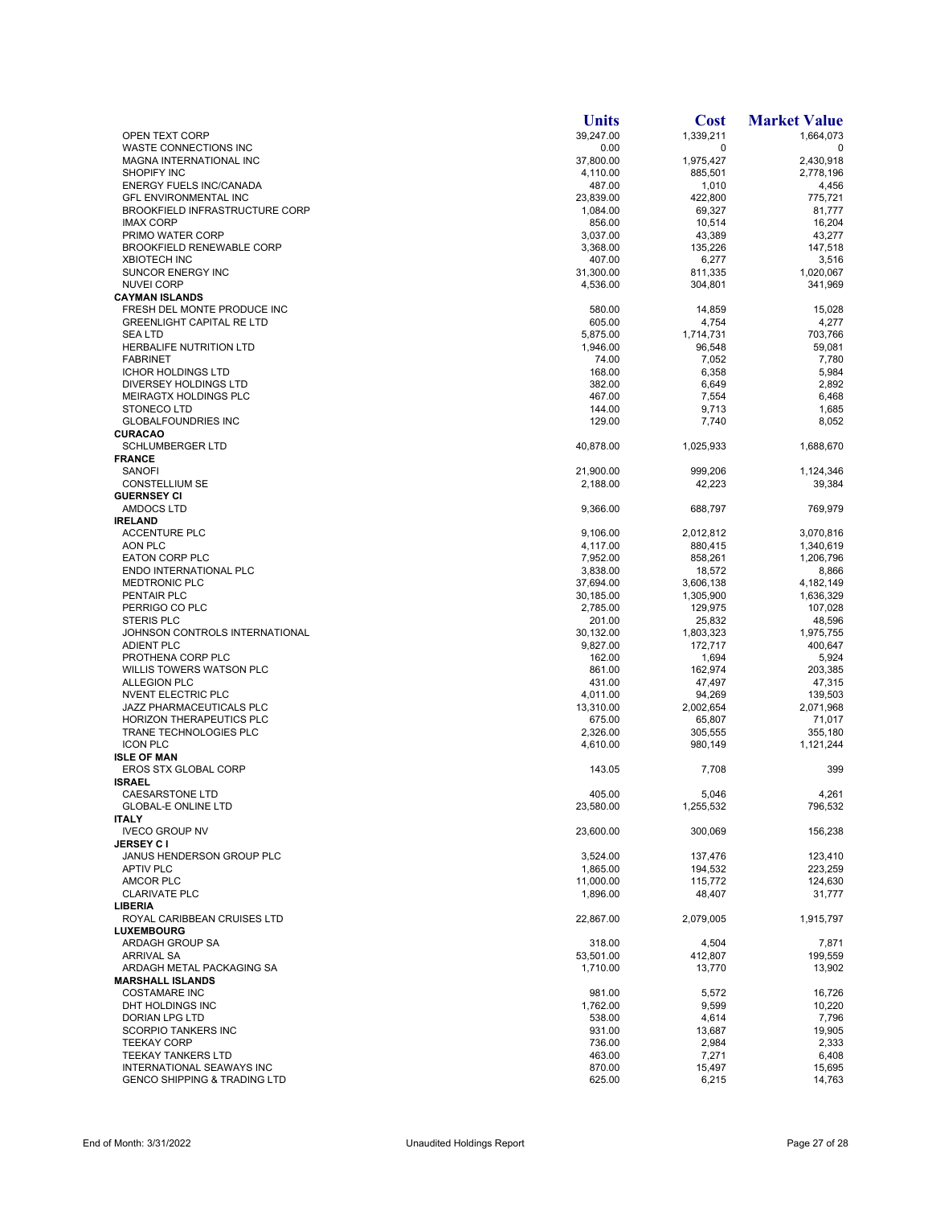|                                                    | <b>Units</b>         | <b>Cost</b>         | <b>Market Value</b> |
|----------------------------------------------------|----------------------|---------------------|---------------------|
| OPEN TEXT CORP                                     | 39,247.00            | 1,339,211           | 1.664.073           |
| WASTE CONNECTIONS INC                              | 0.00                 | $\mathbf 0$         | 0                   |
| MAGNA INTERNATIONAL INC                            | 37,800.00            | 1,975,427           | 2,430,918           |
| <b>SHOPIFY INC</b><br>ENERGY FUELS INC/CANADA      | 4,110.00<br>487.00   | 885,501<br>1,010    | 2,778,196<br>4,456  |
| <b>GFL ENVIRONMENTAL INC</b>                       | 23,839.00            | 422,800             | 775.721             |
| BROOKFIELD INFRASTRUCTURE CORP                     | 1,084.00             | 69,327              | 81,777              |
| <b>IMAX CORP</b>                                   | 856.00               | 10,514              | 16,204              |
| PRIMO WATER CORP                                   | 3,037.00             | 43,389              | 43,277              |
| <b>BROOKFIELD RENEWABLE CORP</b>                   | 3,368.00             | 135,226             | 147,518             |
| <b>XBIOTECH INC</b>                                | 407.00               | 6,277               | 3,516               |
| SUNCOR ENERGY INC                                  | 31,300.00            | 811,335             | 1,020,067           |
| <b>NUVEI CORP</b>                                  | 4,536.00             | 304,801             | 341,969             |
| <b>CAYMAN ISLANDS</b>                              |                      |                     |                     |
| FRESH DEL MONTE PRODUCE INC                        | 580.00               | 14,859              | 15,028              |
| <b>GREENLIGHT CAPITAL RE LTD</b><br><b>SEA LTD</b> | 605.00<br>5,875.00   | 4,754               | 4,277<br>703,766    |
| HERBALIFE NUTRITION LTD                            | 1,946.00             | 1,714,731<br>96,548 | 59,081              |
| <b>FABRINET</b>                                    | 74.00                | 7,052               | 7,780               |
| <b>ICHOR HOLDINGS LTD</b>                          | 168.00               | 6,358               | 5,984               |
| DIVERSEY HOLDINGS LTD                              | 382.00               | 6,649               | 2,892               |
| <b>MEIRAGTX HOLDINGS PLC</b>                       | 467.00               | 7,554               | 6,468               |
| STONECO LTD                                        | 144.00               | 9,713               | 1,685               |
| <b>GLOBALFOUNDRIES INC</b>                         | 129.00               | 7,740               | 8,052               |
| <b>CURACAO</b>                                     |                      |                     |                     |
| <b>SCHLUMBERGER LTD</b>                            | 40,878.00            | 1,025,933           | 1,688,670           |
| <b>FRANCE</b>                                      |                      |                     |                     |
| <b>SANOFI</b>                                      | 21,900.00            | 999,206             | 1.124.346           |
| <b>CONSTELLIUM SE</b>                              | 2,188.00             | 42,223              | 39,384              |
| <b>GUERNSEY CI</b>                                 |                      |                     |                     |
| <b>AMDOCS LTD</b><br><b>IRELAND</b>                | 9,366.00             | 688,797             | 769,979             |
| <b>ACCENTURE PLC</b>                               | 9,106.00             | 2,012,812           | 3,070,816           |
| AON PLC                                            | 4,117.00             | 880,415             | 1,340,619           |
| <b>EATON CORP PLC</b>                              | 7,952.00             | 858,261             | 1,206,796           |
| ENDO INTERNATIONAL PLC                             | 3,838.00             | 18,572              | 8,866               |
| MEDTRONIC PLC                                      | 37,694.00            | 3,606,138           | 4,182,149           |
| PENTAIR PLC                                        | 30,185.00            | 1,305,900           | 1,636,329           |
| PERRIGO CO PLC                                     | 2,785.00             | 129,975             | 107,028             |
| <b>STERIS PLC</b>                                  | 201.00               | 25,832              | 48,596              |
| JOHNSON CONTROLS INTERNATIONAL                     | 30,132.00            | 1,803,323           | 1,975,755           |
| <b>ADIENT PLC</b>                                  | 9,827.00             | 172,717             | 400,647             |
| PROTHENA CORP PLC                                  | 162.00               | 1,694               | 5,924               |
| WILLIS TOWERS WATSON PLC<br><b>ALLEGION PLC</b>    | 861.00<br>431.00     | 162,974             | 203,385             |
| NVENT ELECTRIC PLC                                 | 4,011.00             | 47,497<br>94,269    | 47,315<br>139,503   |
| JAZZ PHARMACEUTICALS PLC                           | 13,310.00            | 2,002,654           | 2,071,968           |
| <b>HORIZON THERAPEUTICS PLC</b>                    | 675.00               | 65,807              | 71.017              |
| TRANE TECHNOLOGIES PLC                             | 2,326.00             | 305,555             | 355.180             |
| <b>ICON PLC</b>                                    | 4,610.00             | 980,149             | 1,121,244           |
| <b>ISLE OF MAN</b>                                 |                      |                     |                     |
| <b>EROS STX GLOBAL CORP</b>                        | 143.05               | 7,708               | 399                 |
| <b>ISRAEL</b>                                      |                      |                     |                     |
| CAESARSTONE LTD                                    | 405.00               | 5,046               | 4,261               |
| <b>GLOBAL-E ONLINE LTD</b>                         | 23,580.00            | 1,255,532           | 796,532             |
| <b>ITALY</b>                                       |                      |                     |                     |
| <b>IVECO GROUP NV</b>                              | 23,600.00            | 300.069             | 156,238             |
| <b>JERSEY C I</b>                                  |                      |                     |                     |
| JANUS HENDERSON GROUP PLC<br><b>APTIV PLC</b>      | 3,524.00<br>1,865.00 | 137,476<br>194,532  | 123,410<br>223,259  |
| <b>AMCOR PLC</b>                                   | 11,000.00            | 115,772             | 124,630             |
| <b>CLARIVATE PLC</b>                               | 1,896.00             | 48,407              | 31,777              |
| <b>LIBERIA</b>                                     |                      |                     |                     |
| ROYAL CARIBBEAN CRUISES LTD                        | 22,867.00            | 2,079,005           | 1,915,797           |
| <b>LUXEMBOURG</b>                                  |                      |                     |                     |
| ARDAGH GROUP SA                                    | 318.00               | 4,504               | 7,871               |
| <b>ARRIVAL SA</b>                                  | 53,501.00            | 412,807             | 199,559             |
| ARDAGH METAL PACKAGING SA                          | 1,710.00             | 13,770              | 13,902              |
| <b>MARSHALL ISLANDS</b>                            |                      |                     |                     |
| <b>COSTAMARE INC</b>                               | 981.00               | 5,572               | 16,726              |
| DHT HOLDINGS INC                                   | 1,762.00             | 9,599               | 10,220              |
| DORIAN LPG LTD                                     | 538.00               | 4,614               | 7,796               |
| SCORPIO TANKERS INC                                | 931.00               | 13,687              | 19,905              |
| <b>TEEKAY CORP</b><br><b>TEEKAY TANKERS LTD</b>    | 736.00<br>463.00     | 2,984<br>7,271      | 2,333<br>6,408      |
| INTERNATIONAL SEAWAYS INC                          | 870.00               | 15,497              | 15,695              |
| <b>GENCO SHIPPING &amp; TRADING LTD</b>            | 625.00               | 6,215               | 14,763              |
|                                                    |                      |                     |                     |